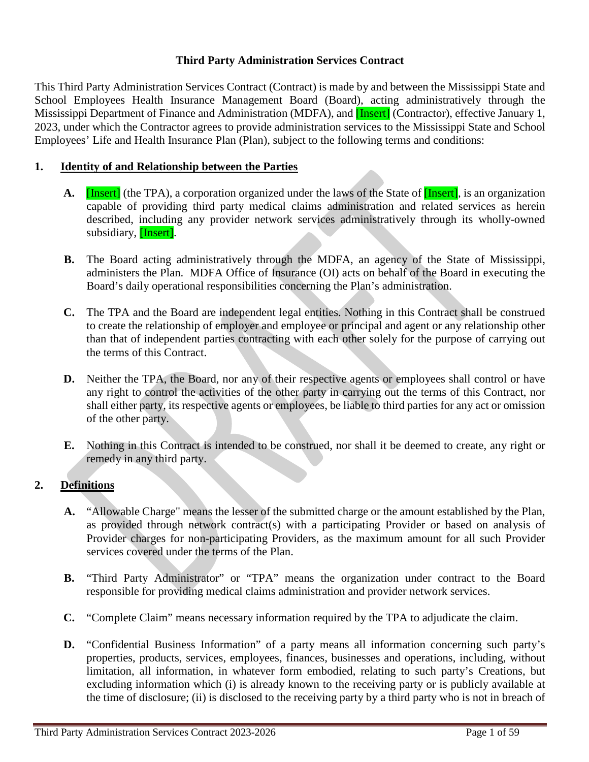# **Third Party Administration Services Contract**

This Third Party Administration Services Contract (Contract) is made by and between the Mississippi State and School Employees Health Insurance Management Board (Board), acting administratively through the Mississippi Department of Finance and Administration (MDFA), and **[Insert]** (Contractor), effective January 1, 2023, under which the Contractor agrees to provide administration services to the Mississippi State and School Employees' Life and Health Insurance Plan (Plan), subject to the following terms and conditions:

# **1. Identity of and Relationship between the Parties**

- **A.** [Insert] (the TPA), a corporation organized under the laws of the State of **[Insert]**, is an organization capable of providing third party medical claims administration and related services as herein described, including any provider network services administratively through its wholly-owned subsidiary, [Insert].
- **B.** The Board acting administratively through the MDFA, an agency of the State of Mississippi, administers the Plan. MDFA Office of Insurance (OI) acts on behalf of the Board in executing the Board's daily operational responsibilities concerning the Plan's administration.
- **C.** The TPA and the Board are independent legal entities. Nothing in this Contract shall be construed to create the relationship of employer and employee or principal and agent or any relationship other than that of independent parties contracting with each other solely for the purpose of carrying out the terms of this Contract.
- **D.** Neither the TPA, the Board, nor any of their respective agents or employees shall control or have any right to control the activities of the other party in carrying out the terms of this Contract, nor shall either party, its respective agents or employees, be liable to third parties for any act or omission of the other party.
- **E.** Nothing in this Contract is intended to be construed, nor shall it be deemed to create, any right or remedy in any third party.

# **2. Definitions**

- **A.** "Allowable Charge" means the lesser of the submitted charge or the amount established by the Plan, as provided through network contract(s) with a participating Provider or based on analysis of Provider charges for non-participating Providers, as the maximum amount for all such Provider services covered under the terms of the Plan.
- **B.** "Third Party Administrator" or "TPA" means the organization under contract to the Board responsible for providing medical claims administration and provider network services.
- **C.** "Complete Claim" means necessary information required by the TPA to adjudicate the claim.
- **D.** "Confidential Business Information" of a party means all information concerning such party's properties, products, services, employees, finances, businesses and operations, including, without limitation, all information, in whatever form embodied, relating to such party's Creations, but excluding information which (i) is already known to the receiving party or is publicly available at the time of disclosure; (ii) is disclosed to the receiving party by a third party who is not in breach of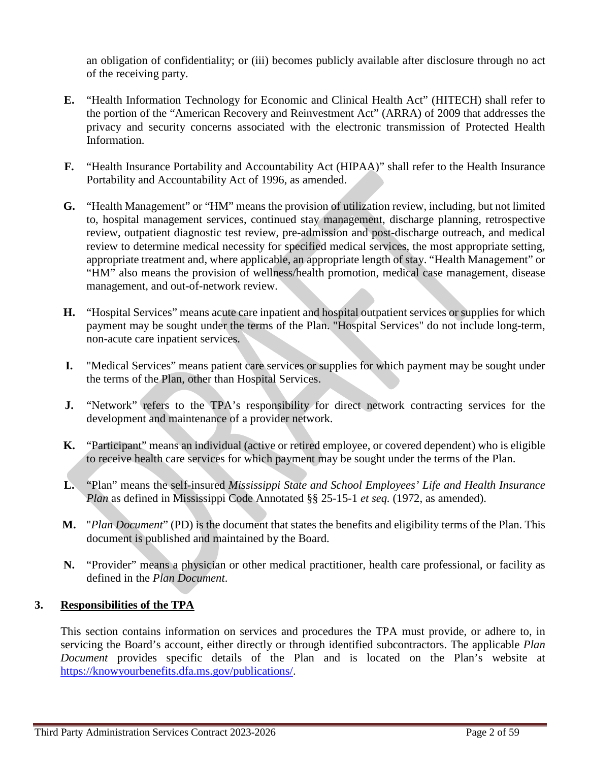an obligation of confidentiality; or (iii) becomes publicly available after disclosure through no act of the receiving party.

- **E.** "Health Information Technology for Economic and Clinical Health Act" (HITECH) shall refer to the portion of the "American Recovery and Reinvestment Act" (ARRA) of 2009 that addresses the privacy and security concerns associated with the electronic transmission of Protected Health Information.
- **F.** "Health Insurance Portability and Accountability Act (HIPAA)" shall refer to the Health Insurance Portability and Accountability Act of 1996, as amended.
- **G.** "Health Management" or "HM" means the provision of utilization review, including, but not limited to, hospital management services, continued stay management, discharge planning, retrospective review, outpatient diagnostic test review, pre-admission and post-discharge outreach, and medical review to determine medical necessity for specified medical services, the most appropriate setting, appropriate treatment and, where applicable, an appropriate length of stay. "Health Management" or "HM" also means the provision of wellness/health promotion, medical case management, disease management, and out-of-network review.
- **H.** "Hospital Services" means acute care inpatient and hospital outpatient services or supplies for which payment may be sought under the terms of the Plan. "Hospital Services" do not include long-term, non-acute care inpatient services.
- **I.** "Medical Services" means patient care services or supplies for which payment may be sought under the terms of the Plan, other than Hospital Services.
- **J.** "Network" refers to the TPA's responsibility for direct network contracting services for the development and maintenance of a provider network.
- **K.** "Participant" means an individual (active or retired employee, or covered dependent) who is eligible to receive health care services for which payment may be sought under the terms of the Plan.
- **L.** "Plan" means the self-insured *Mississippi State and School Employees' Life and Health Insurance Plan* as defined in Mississippi Code Annotated §§ 25-15-1 *et seq.* (1972, as amended).
- **M.** "*Plan Document*" (PD) is the document that states the benefits and eligibility terms of the Plan. This document is published and maintained by the Board.
- **N.** "Provider" means a physician or other medical practitioner, health care professional, or facility as defined in the *Plan Document*.

## **3. Responsibilities of the TPA**

This section contains information on services and procedures the TPA must provide, or adhere to, in servicing the Board's account, either directly or through identified subcontractors. The applicable *Plan Document* provides specific details of the Plan and is located on the Plan's website at [https://knowyourbenefits.dfa.ms.gov/publications/.](https://knowyourbenefits.dfa.ms.gov/publications/)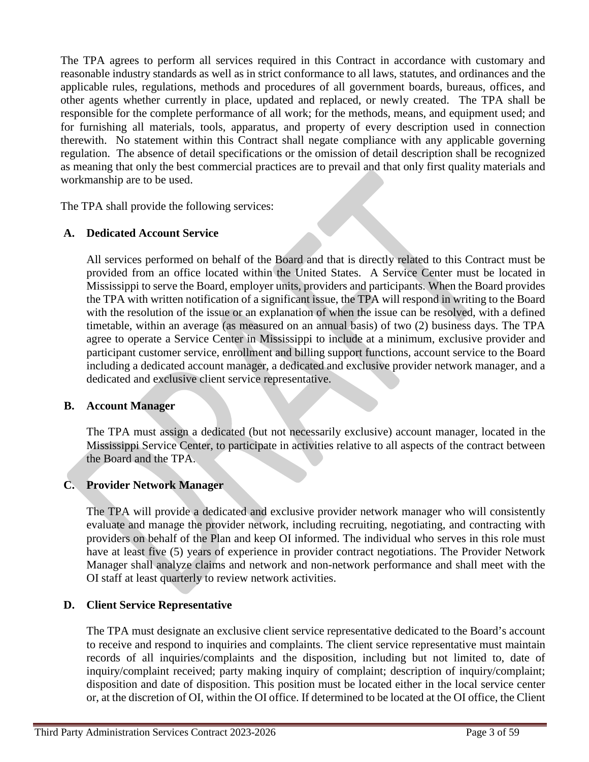The TPA agrees to perform all services required in this Contract in accordance with customary and reasonable industry standards as well as in strict conformance to all laws, statutes, and ordinances and the applicable rules, regulations, methods and procedures of all government boards, bureaus, offices, and other agents whether currently in place, updated and replaced, or newly created. The TPA shall be responsible for the complete performance of all work; for the methods, means, and equipment used; and for furnishing all materials, tools, apparatus, and property of every description used in connection therewith. No statement within this Contract shall negate compliance with any applicable governing regulation. The absence of detail specifications or the omission of detail description shall be recognized as meaning that only the best commercial practices are to prevail and that only first quality materials and workmanship are to be used.

The TPA shall provide the following services:

## **A. Dedicated Account Service**

All services performed on behalf of the Board and that is directly related to this Contract must be provided from an office located within the United States. A Service Center must be located in Mississippi to serve the Board, employer units, providers and participants. When the Board provides the TPA with written notification of a significant issue, the TPA will respond in writing to the Board with the resolution of the issue or an explanation of when the issue can be resolved, with a defined timetable, within an average (as measured on an annual basis) of two (2) business days. The TPA agree to operate a Service Center in Mississippi to include at a minimum, exclusive provider and participant customer service, enrollment and billing support functions, account service to the Board including a dedicated account manager, a dedicated and exclusive provider network manager, and a dedicated and exclusive client service representative.

### **B. Account Manager**

The TPA must assign a dedicated (but not necessarily exclusive) account manager, located in the Mississippi Service Center, to participate in activities relative to all aspects of the contract between the Board and the TPA.

## **C. Provider Network Manager**

The TPA will provide a dedicated and exclusive provider network manager who will consistently evaluate and manage the provider network, including recruiting, negotiating, and contracting with providers on behalf of the Plan and keep OI informed. The individual who serves in this role must have at least five (5) years of experience in provider contract negotiations. The Provider Network Manager shall analyze claims and network and non-network performance and shall meet with the OI staff at least quarterly to review network activities.

### **D. Client Service Representative**

The TPA must designate an exclusive client service representative dedicated to the Board's account to receive and respond to inquiries and complaints. The client service representative must maintain records of all inquiries/complaints and the disposition, including but not limited to, date of inquiry/complaint received; party making inquiry of complaint; description of inquiry/complaint; disposition and date of disposition. This position must be located either in the local service center or, at the discretion of OI, within the OI office. If determined to be located at the OI office, the Client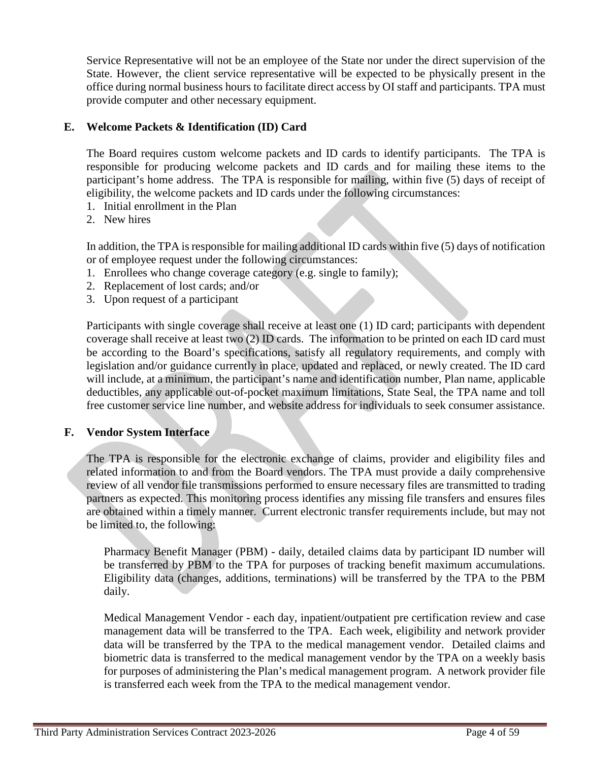Service Representative will not be an employee of the State nor under the direct supervision of the State. However, the client service representative will be expected to be physically present in the office during normal business hours to facilitate direct access by OI staff and participants. TPA must provide computer and other necessary equipment.

## **E. Welcome Packets & Identification (ID) Card**

The Board requires custom welcome packets and ID cards to identify participants. The TPA is responsible for producing welcome packets and ID cards and for mailing these items to the participant's home address. The TPA is responsible for mailing, within five (5) days of receipt of eligibility, the welcome packets and ID cards under the following circumstances:

- 1. Initial enrollment in the Plan
- 2. New hires

In addition, the TPA is responsible for mailing additional ID cards within five (5) days of notification or of employee request under the following circumstances:

- 1. Enrollees who change coverage category (e.g. single to family);
- 2. Replacement of lost cards; and/or
- 3. Upon request of a participant

Participants with single coverage shall receive at least one (1) ID card; participants with dependent coverage shall receive at least two (2) ID cards. The information to be printed on each ID card must be according to the Board's specifications, satisfy all regulatory requirements, and comply with legislation and/or guidance currently in place, updated and replaced, or newly created. The ID card will include, at a minimum, the participant's name and identification number, Plan name, applicable deductibles, any applicable out-of-pocket maximum limitations, State Seal, the TPA name and toll free customer service line number, and website address for individuals to seek consumer assistance.

### **F. Vendor System Interface**

The TPA is responsible for the electronic exchange of claims, provider and eligibility files and related information to and from the Board vendors. The TPA must provide a daily comprehensive review of all vendor file transmissions performed to ensure necessary files are transmitted to trading partners as expected. This monitoring process identifies any missing file transfers and ensures files are obtained within a timely manner. Current electronic transfer requirements include, but may not be limited to, the following:

Pharmacy Benefit Manager (PBM) - daily, detailed claims data by participant ID number will be transferred by PBM to the TPA for purposes of tracking benefit maximum accumulations. Eligibility data (changes, additions, terminations) will be transferred by the TPA to the PBM daily.

Medical Management Vendor - each day, inpatient/outpatient pre certification review and case management data will be transferred to the TPA. Each week, eligibility and network provider data will be transferred by the TPA to the medical management vendor. Detailed claims and biometric data is transferred to the medical management vendor by the TPA on a weekly basis for purposes of administering the Plan's medical management program. A network provider file is transferred each week from the TPA to the medical management vendor.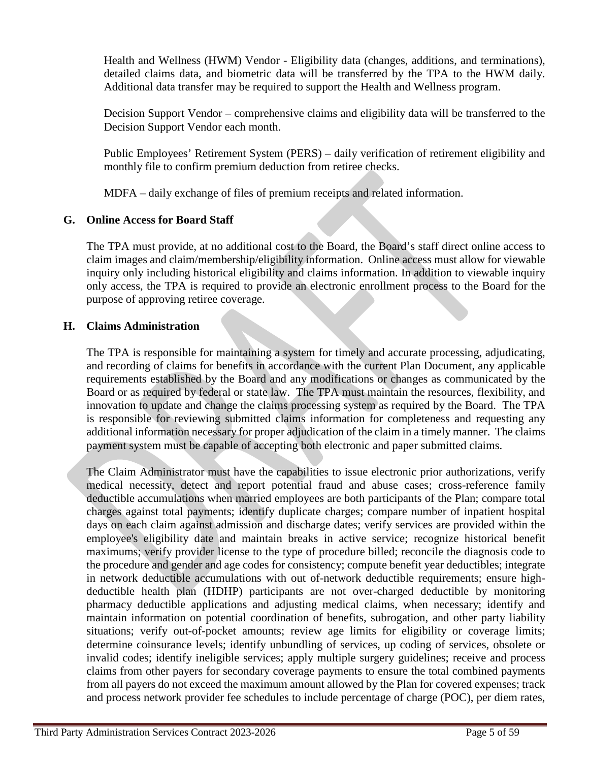Health and Wellness (HWM) Vendor - Eligibility data (changes, additions, and terminations), detailed claims data, and biometric data will be transferred by the TPA to the HWM daily. Additional data transfer may be required to support the Health and Wellness program.

Decision Support Vendor – comprehensive claims and eligibility data will be transferred to the Decision Support Vendor each month.

Public Employees' Retirement System (PERS) – daily verification of retirement eligibility and monthly file to confirm premium deduction from retiree checks.

MDFA – daily exchange of files of premium receipts and related information.

# **G. Online Access for Board Staff**

The TPA must provide, at no additional cost to the Board, the Board's staff direct online access to claim images and claim/membership/eligibility information. Online access must allow for viewable inquiry only including historical eligibility and claims information. In addition to viewable inquiry only access, the TPA is required to provide an electronic enrollment process to the Board for the purpose of approving retiree coverage.

## **H. Claims Administration**

The TPA is responsible for maintaining a system for timely and accurate processing, adjudicating, and recording of claims for benefits in accordance with the current Plan Document, any applicable requirements established by the Board and any modifications or changes as communicated by the Board or as required by federal or state law. The TPA must maintain the resources, flexibility, and innovation to update and change the claims processing system as required by the Board. The TPA is responsible for reviewing submitted claims information for completeness and requesting any additional information necessary for proper adjudication of the claim in a timely manner. The claims payment system must be capable of accepting both electronic and paper submitted claims.

The Claim Administrator must have the capabilities to issue electronic prior authorizations, verify medical necessity, detect and report potential fraud and abuse cases; cross-reference family deductible accumulations when married employees are both participants of the Plan; compare total charges against total payments; identify duplicate charges; compare number of inpatient hospital days on each claim against admission and discharge dates; verify services are provided within the employee's eligibility date and maintain breaks in active service; recognize historical benefit maximums; verify provider license to the type of procedure billed; reconcile the diagnosis code to the procedure and gender and age codes for consistency; compute benefit year deductibles; integrate in network deductible accumulations with out of-network deductible requirements; ensure highdeductible health plan (HDHP) participants are not over-charged deductible by monitoring pharmacy deductible applications and adjusting medical claims, when necessary; identify and maintain information on potential coordination of benefits, subrogation, and other party liability situations; verify out-of-pocket amounts; review age limits for eligibility or coverage limits; determine coinsurance levels; identify unbundling of services, up coding of services, obsolete or invalid codes; identify ineligible services; apply multiple surgery guidelines; receive and process claims from other payers for secondary coverage payments to ensure the total combined payments from all payers do not exceed the maximum amount allowed by the Plan for covered expenses; track and process network provider fee schedules to include percentage of charge (POC), per diem rates,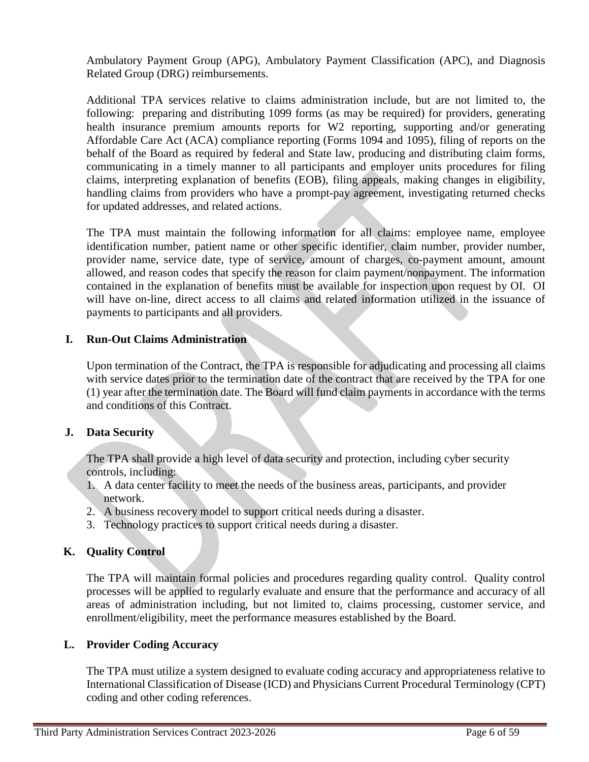Ambulatory Payment Group (APG), Ambulatory Payment Classification (APC), and Diagnosis Related Group (DRG) reimbursements.

Additional TPA services relative to claims administration include, but are not limited to, the following: preparing and distributing 1099 forms (as may be required) for providers, generating health insurance premium amounts reports for W2 reporting, supporting and/or generating Affordable Care Act (ACA) compliance reporting (Forms 1094 and 1095), filing of reports on the behalf of the Board as required by federal and State law, producing and distributing claim forms, communicating in a timely manner to all participants and employer units procedures for filing claims, interpreting explanation of benefits (EOB), filing appeals, making changes in eligibility, handling claims from providers who have a prompt-pay agreement, investigating returned checks for updated addresses, and related actions.

The TPA must maintain the following information for all claims: employee name, employee identification number, patient name or other specific identifier, claim number, provider number, provider name, service date, type of service, amount of charges, co-payment amount, amount allowed, and reason codes that specify the reason for claim payment/nonpayment. The information contained in the explanation of benefits must be available for inspection upon request by OI. OI will have on-line, direct access to all claims and related information utilized in the issuance of payments to participants and all providers.

## **I. Run-Out Claims Administration**

Upon termination of the Contract, the TPA is responsible for adjudicating and processing all claims with service dates prior to the termination date of the contract that are received by the TPA for one (1) year after the termination date. The Board will fund claim payments in accordance with the terms and conditions of this Contract.

## **J. Data Security**

The TPA shall provide a high level of data security and protection, including cyber security controls, including:

- 1. A data center facility to meet the needs of the business areas, participants, and provider network.
- 2. A business recovery model to support critical needs during a disaster.
- 3. Technology practices to support critical needs during a disaster.

## **K. Quality Control**

The TPA will maintain formal policies and procedures regarding quality control. Quality control processes will be applied to regularly evaluate and ensure that the performance and accuracy of all areas of administration including, but not limited to, claims processing, customer service, and enrollment/eligibility, meet the performance measures established by the Board.

## **L. Provider Coding Accuracy**

The TPA must utilize a system designed to evaluate coding accuracy and appropriateness relative to International Classification of Disease (ICD) and Physicians Current Procedural Terminology (CPT) coding and other coding references.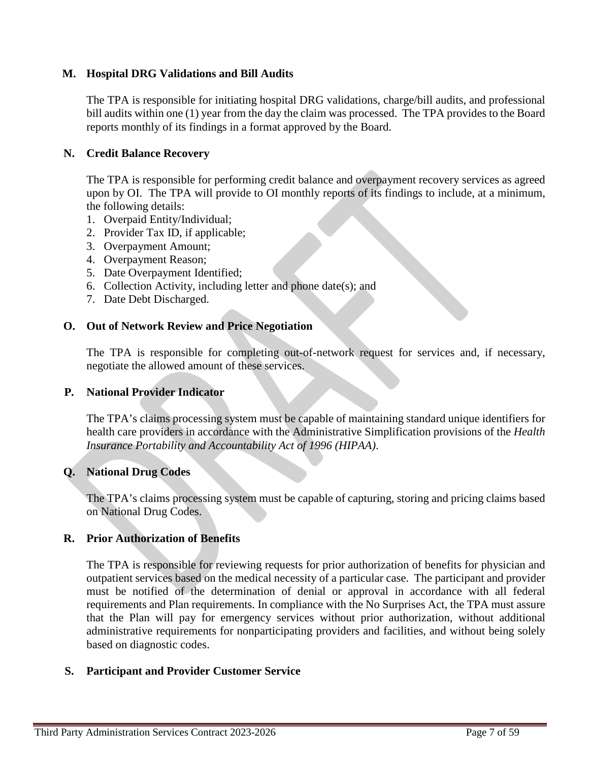# **M. Hospital DRG Validations and Bill Audits**

The TPA is responsible for initiating hospital DRG validations, charge/bill audits, and professional bill audits within one (1) year from the day the claim was processed. The TPA provides to the Board reports monthly of its findings in a format approved by the Board.

## **N. Credit Balance Recovery**

The TPA is responsible for performing credit balance and overpayment recovery services as agreed upon by OI. The TPA will provide to OI monthly reports of its findings to include, at a minimum, the following details:

- 1. Overpaid Entity/Individual;
- 2. Provider Tax ID, if applicable;
- 3. Overpayment Amount;
- 4. Overpayment Reason;
- 5. Date Overpayment Identified;
- 6. Collection Activity, including letter and phone date(s); and
- 7. Date Debt Discharged.

## **O. Out of Network Review and Price Negotiation**

The TPA is responsible for completing out-of-network request for services and, if necessary, negotiate the allowed amount of these services.

## **P. National Provider Indicator**

The TPA's claims processing system must be capable of maintaining standard unique identifiers for health care providers in accordance with the Administrative Simplification provisions of the *Health Insurance Portability and Accountability Act of 1996 (HIPAA)*.

# **Q. National Drug Codes**

The TPA's claims processing system must be capable of capturing, storing and pricing claims based on National Drug Codes.

## **R. Prior Authorization of Benefits**

The TPA is responsible for reviewing requests for prior authorization of benefits for physician and outpatient services based on the medical necessity of a particular case. The participant and provider must be notified of the determination of denial or approval in accordance with all federal requirements and Plan requirements. In compliance with the No Surprises Act, the TPA must assure that the Plan will pay for emergency services without prior authorization, without additional administrative requirements for nonparticipating providers and facilities, and without being solely based on diagnostic codes.

## **S. Participant and Provider Customer Service**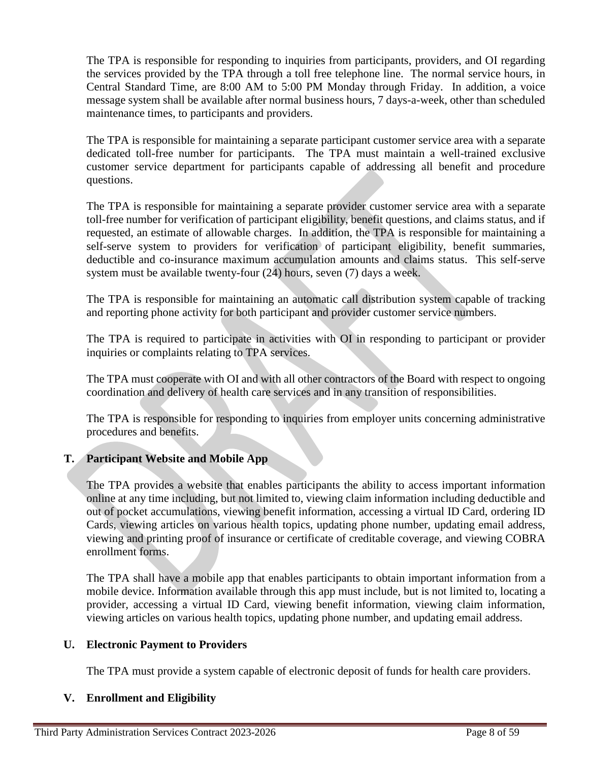The TPA is responsible for responding to inquiries from participants, providers, and OI regarding the services provided by the TPA through a toll free telephone line. The normal service hours, in Central Standard Time, are 8:00 AM to 5:00 PM Monday through Friday. In addition, a voice message system shall be available after normal business hours, 7 days-a-week, other than scheduled maintenance times, to participants and providers.

The TPA is responsible for maintaining a separate participant customer service area with a separate dedicated toll-free number for participants. The TPA must maintain a well-trained exclusive customer service department for participants capable of addressing all benefit and procedure questions.

The TPA is responsible for maintaining a separate provider customer service area with a separate toll-free number for verification of participant eligibility, benefit questions, and claims status, and if requested, an estimate of allowable charges. In addition, the TPA is responsible for maintaining a self-serve system to providers for verification of participant eligibility, benefit summaries, deductible and co-insurance maximum accumulation amounts and claims status. This self-serve system must be available twenty-four (24) hours, seven (7) days a week.

The TPA is responsible for maintaining an automatic call distribution system capable of tracking and reporting phone activity for both participant and provider customer service numbers.

The TPA is required to participate in activities with OI in responding to participant or provider inquiries or complaints relating to TPA services.

The TPA must cooperate with OI and with all other contractors of the Board with respect to ongoing coordination and delivery of health care services and in any transition of responsibilities.

The TPA is responsible for responding to inquiries from employer units concerning administrative procedures and benefits.

# **T. Participant Website and Mobile App**

The TPA provides a website that enables participants the ability to access important information online at any time including, but not limited to, viewing claim information including deductible and out of pocket accumulations, viewing benefit information, accessing a virtual ID Card, ordering ID Cards, viewing articles on various health topics, updating phone number, updating email address, viewing and printing proof of insurance or certificate of creditable coverage, and viewing COBRA enrollment forms.

The TPA shall have a mobile app that enables participants to obtain important information from a mobile device. Information available through this app must include, but is not limited to, locating a provider, accessing a virtual ID Card, viewing benefit information, viewing claim information, viewing articles on various health topics, updating phone number, and updating email address.

## **U. Electronic Payment to Providers**

The TPA must provide a system capable of electronic deposit of funds for health care providers.

## **V. Enrollment and Eligibility**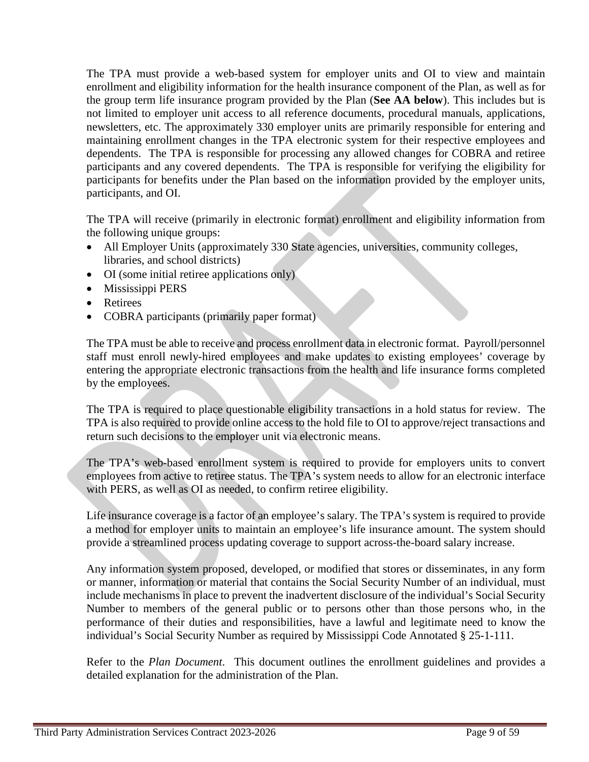The TPA must provide a web-based system for employer units and OI to view and maintain enrollment and eligibility information for the health insurance component of the Plan, as well as for the group term life insurance program provided by the Plan (**See AA below**). This includes but is not limited to employer unit access to all reference documents, procedural manuals, applications, newsletters, etc. The approximately 330 employer units are primarily responsible for entering and maintaining enrollment changes in the TPA electronic system for their respective employees and dependents. The TPA is responsible for processing any allowed changes for COBRA and retiree participants and any covered dependents. The TPA is responsible for verifying the eligibility for participants for benefits under the Plan based on the information provided by the employer units, participants, and OI.

The TPA will receive (primarily in electronic format) enrollment and eligibility information from the following unique groups:

- All Employer Units (approximately 330 State agencies, universities, community colleges, libraries, and school districts)
- OI (some initial retiree applications only)
- Mississippi PERS
- Retirees
- COBRA participants (primarily paper format)

The TPA must be able to receive and process enrollment data in electronic format. Payroll/personnel staff must enroll newly-hired employees and make updates to existing employees' coverage by entering the appropriate electronic transactions from the health and life insurance forms completed by the employees.

The TPA is required to place questionable eligibility transactions in a hold status for review. The TPA is also required to provide online access to the hold file to OI to approve/reject transactions and return such decisions to the employer unit via electronic means.

The TPA's web-based enrollment system is required to provide for employers units to convert employees from active to retiree status. The TPA's system needs to allow for an electronic interface with PERS, as well as OI as needed, to confirm retiree eligibility.

Life insurance coverage is a factor of an employee's salary. The TPA's system is required to provide a method for employer units to maintain an employee's life insurance amount. The system should provide a streamlined process updating coverage to support across-the-board salary increase.

Any information system proposed, developed, or modified that stores or disseminates, in any form or manner, information or material that contains the Social Security Number of an individual, must include mechanisms in place to prevent the inadvertent disclosure of the individual's Social Security Number to members of the general public or to persons other than those persons who, in the performance of their duties and responsibilities, have a lawful and legitimate need to know the individual's Social Security Number as required by Mississippi Code Annotated § 25-1-111.

Refer to the *Plan Document*. This document outlines the enrollment guidelines and provides a detailed explanation for the administration of the Plan.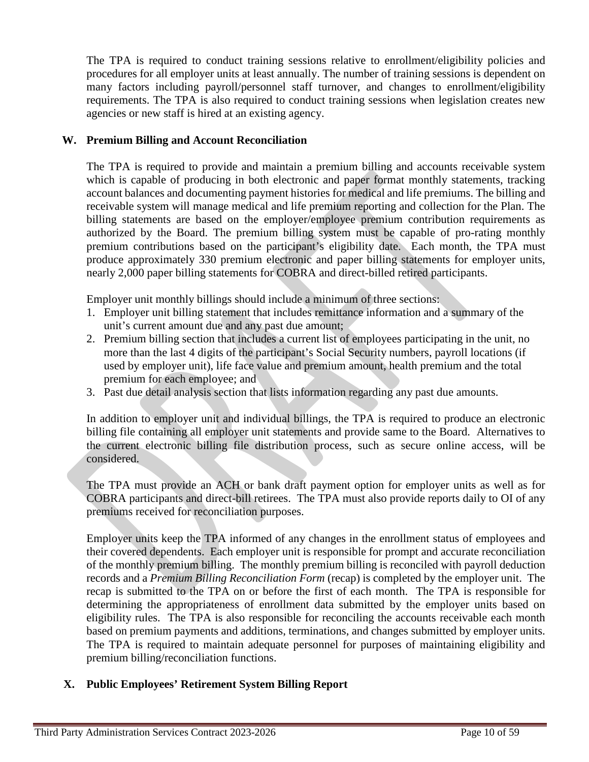The TPA is required to conduct training sessions relative to enrollment/eligibility policies and procedures for all employer units at least annually. The number of training sessions is dependent on many factors including payroll/personnel staff turnover, and changes to enrollment/eligibility requirements. The TPA is also required to conduct training sessions when legislation creates new agencies or new staff is hired at an existing agency.

## **W. Premium Billing and Account Reconciliation**

The TPA is required to provide and maintain a premium billing and accounts receivable system which is capable of producing in both electronic and paper format monthly statements, tracking account balances and documenting payment histories for medical and life premiums. The billing and receivable system will manage medical and life premium reporting and collection for the Plan. The billing statements are based on the employer/employee premium contribution requirements as authorized by the Board. The premium billing system must be capable of pro-rating monthly premium contributions based on the participant's eligibility date. Each month, the TPA must produce approximately 330 premium electronic and paper billing statements for employer units, nearly 2,000 paper billing statements for COBRA and direct-billed retired participants.

Employer unit monthly billings should include a minimum of three sections:

- 1. Employer unit billing statement that includes remittance information and a summary of the unit's current amount due and any past due amount;
- 2. Premium billing section that includes a current list of employees participating in the unit, no more than the last 4 digits of the participant's Social Security numbers, payroll locations (if used by employer unit), life face value and premium amount, health premium and the total premium for each employee; and
- 3. Past due detail analysis section that lists information regarding any past due amounts.

In addition to employer unit and individual billings, the TPA is required to produce an electronic billing file containing all employer unit statements and provide same to the Board. Alternatives to the current electronic billing file distribution process, such as secure online access, will be considered.

The TPA must provide an ACH or bank draft payment option for employer units as well as for COBRA participants and direct-bill retirees. The TPA must also provide reports daily to OI of any premiums received for reconciliation purposes.

Employer units keep the TPA informed of any changes in the enrollment status of employees and their covered dependents. Each employer unit is responsible for prompt and accurate reconciliation of the monthly premium billing. The monthly premium billing is reconciled with payroll deduction records and a *Premium Billing Reconciliation Form* (recap) is completed by the employer unit. The recap is submitted to the TPA on or before the first of each month. The TPA is responsible for determining the appropriateness of enrollment data submitted by the employer units based on eligibility rules. The TPA is also responsible for reconciling the accounts receivable each month based on premium payments and additions, terminations, and changes submitted by employer units. The TPA is required to maintain adequate personnel for purposes of maintaining eligibility and premium billing/reconciliation functions.

# **X. Public Employees' Retirement System Billing Report**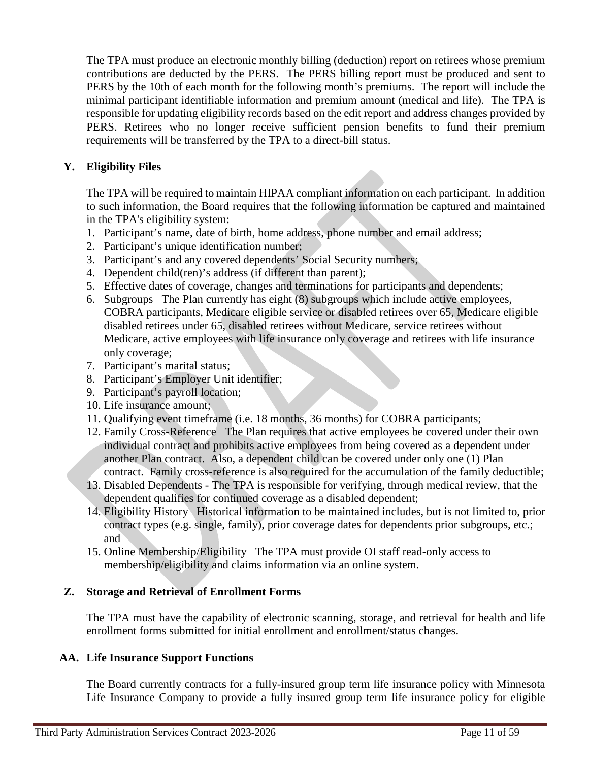The TPA must produce an electronic monthly billing (deduction) report on retirees whose premium contributions are deducted by the PERS. The PERS billing report must be produced and sent to PERS by the 10th of each month for the following month's premiums. The report will include the minimal participant identifiable information and premium amount (medical and life). The TPA is responsible for updating eligibility records based on the edit report and address changes provided by PERS. Retirees who no longer receive sufficient pension benefits to fund their premium requirements will be transferred by the TPA to a direct-bill status.

# **Y. Eligibility Files**

The TPA will be required to maintain HIPAA compliant information on each participant. In addition to such information, the Board requires that the following information be captured and maintained in the TPA's eligibility system:

- 1. Participant's name, date of birth, home address, phone number and email address;
- 2. Participant's unique identification number;
- 3. Participant's and any covered dependents' Social Security numbers;
- 4. Dependent child(ren)'s address (if different than parent);
- 5. Effective dates of coverage, changes and terminations for participants and dependents;
- 6. Subgroups The Plan currently has eight (8) subgroups which include active employees, COBRA participants, Medicare eligible service or disabled retirees over 65, Medicare eligible disabled retirees under 65, disabled retirees without Medicare, service retirees without Medicare, active employees with life insurance only coverage and retirees with life insurance only coverage;
- 7. Participant's marital status;
- 8. Participant's Employer Unit identifier;
- 9. Participant's payroll location;
- 10. Life insurance amount;
- 11. Qualifying event timeframe (i.e. 18 months, 36 months) for COBRA participants;
- 12. Family Cross-Reference The Plan requires that active employees be covered under their own individual contract and prohibits active employees from being covered as a dependent under another Plan contract. Also, a dependent child can be covered under only one (1) Plan contract. Family cross-reference is also required for the accumulation of the family deductible;
- 13. Disabled Dependents The TPA is responsible for verifying, through medical review, that the dependent qualifies for continued coverage as a disabled dependent;
- 14. Eligibility History Historical information to be maintained includes, but is not limited to, prior contract types (e.g. single, family), prior coverage dates for dependents prior subgroups, etc.; and
- 15. Online Membership/Eligibility The TPA must provide OI staff read-only access to membership/eligibility and claims information via an online system.

## **Z. Storage and Retrieval of Enrollment Forms**

The TPA must have the capability of electronic scanning, storage, and retrieval for health and life enrollment forms submitted for initial enrollment and enrollment/status changes.

## **AA. Life Insurance Support Functions**

The Board currently contracts for a fully-insured group term life insurance policy with Minnesota Life Insurance Company to provide a fully insured group term life insurance policy for eligible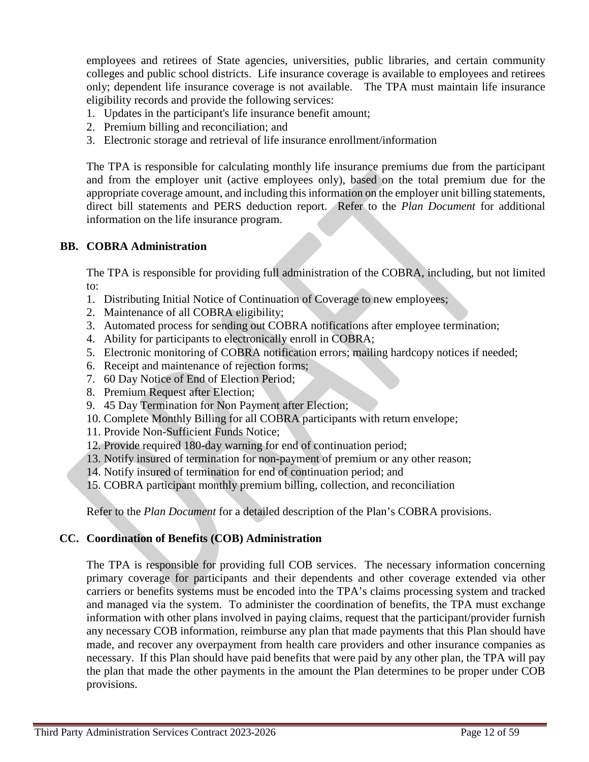employees and retirees of State agencies, universities, public libraries, and certain community colleges and public school districts. Life insurance coverage is available to employees and retirees only; dependent life insurance coverage is not available. The TPA must maintain life insurance eligibility records and provide the following services:

- 1. Updates in the participant's life insurance benefit amount;
- 2. Premium billing and reconciliation; and
- 3. Electronic storage and retrieval of life insurance enrollment/information

The TPA is responsible for calculating monthly life insurance premiums due from the participant and from the employer unit (active employees only), based on the total premium due for the appropriate coverage amount, and including this information on the employer unit billing statements, direct bill statements and PERS deduction report. Refer to the *Plan Document* for additional information on the life insurance program.

## **BB. COBRA Administration**

The TPA is responsible for providing full administration of the COBRA, including, but not limited to:

- 1. Distributing Initial Notice of Continuation of Coverage to new employees;
- 2. Maintenance of all COBRA eligibility;
- 3. Automated process for sending out COBRA notifications after employee termination;
- 4. Ability for participants to electronically enroll in COBRA;
- 5. Electronic monitoring of COBRA notification errors; mailing hardcopy notices if needed;
- 6. Receipt and maintenance of rejection forms;
- 7. 60 Day Notice of End of Election Period;
- 8. Premium Request after Election;
- 9. 45 Day Termination for Non Payment after Election;
- 10. Complete Monthly Billing for all COBRA participants with return envelope;
- 11. Provide Non-Sufficient Funds Notice;
- 12. Provide required 180-day warning for end of continuation period;
- 13. Notify insured of termination for non-payment of premium or any other reason;
- 14. Notify insured of termination for end of continuation period; and
- 15. COBRA participant monthly premium billing, collection, and reconciliation

Refer to the *Plan Document* for a detailed description of the Plan's COBRA provisions.

## **CC. Coordination of Benefits (COB) Administration**

The TPA is responsible for providing full COB services. The necessary information concerning primary coverage for participants and their dependents and other coverage extended via other carriers or benefits systems must be encoded into the TPA's claims processing system and tracked and managed via the system. To administer the coordination of benefits, the TPA must exchange information with other plans involved in paying claims, request that the participant/provider furnish any necessary COB information, reimburse any plan that made payments that this Plan should have made, and recover any overpayment from health care providers and other insurance companies as necessary. If this Plan should have paid benefits that were paid by any other plan, the TPA will pay the plan that made the other payments in the amount the Plan determines to be proper under COB provisions.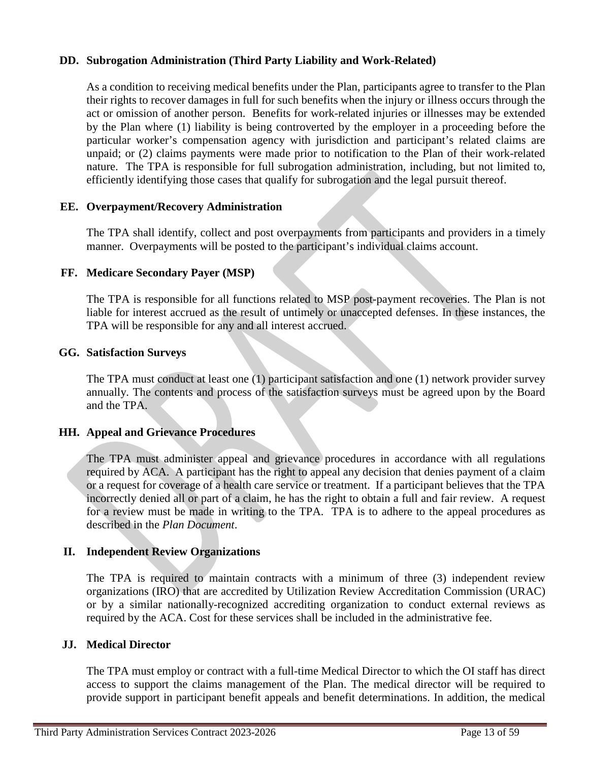# **DD. Subrogation Administration (Third Party Liability and Work-Related)**

As a condition to receiving medical benefits under the Plan, participants agree to transfer to the Plan their rights to recover damages in full for such benefits when the injury or illness occurs through the act or omission of another person. Benefits for work-related injuries or illnesses may be extended by the Plan where (1) liability is being controverted by the employer in a proceeding before the particular worker's compensation agency with jurisdiction and participant's related claims are unpaid; or (2) claims payments were made prior to notification to the Plan of their work-related nature. The TPA is responsible for full subrogation administration, including, but not limited to, efficiently identifying those cases that qualify for subrogation and the legal pursuit thereof.

## **EE. Overpayment/Recovery Administration**

The TPA shall identify, collect and post overpayments from participants and providers in a timely manner. Overpayments will be posted to the participant's individual claims account.

## **FF. Medicare Secondary Payer (MSP)**

The TPA is responsible for all functions related to MSP post-payment recoveries. The Plan is not liable for interest accrued as the result of untimely or unaccepted defenses. In these instances, the TPA will be responsible for any and all interest accrued.

### **GG. Satisfaction Surveys**

The TPA must conduct at least one (1) participant satisfaction and one (1) network provider survey annually. The contents and process of the satisfaction surveys must be agreed upon by the Board and the TPA.

## **HH. Appeal and Grievance Procedures**

The TPA must administer appeal and grievance procedures in accordance with all regulations required by ACA. A participant has the right to appeal any decision that denies payment of a claim or a request for coverage of a health care service or treatment. If a participant believes that the TPA incorrectly denied all or part of a claim, he has the right to obtain a full and fair review. A request for a review must be made in writing to the TPA. TPA is to adhere to the appeal procedures as described in the *Plan Document*.

## **II. Independent Review Organizations**

The TPA is required to maintain contracts with a minimum of three (3) independent review organizations (IRO) that are accredited by Utilization Review Accreditation Commission (URAC) or by a similar nationally-recognized accrediting organization to conduct external reviews as required by the ACA. Cost for these services shall be included in the administrative fee.

### **JJ. Medical Director**

The TPA must employ or contract with a full-time Medical Director to which the OI staff has direct access to support the claims management of the Plan. The medical director will be required to provide support in participant benefit appeals and benefit determinations. In addition, the medical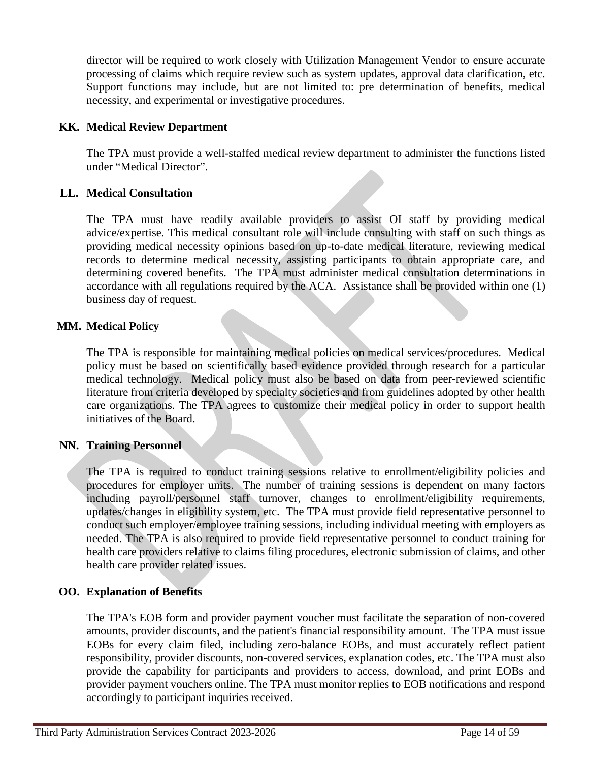director will be required to work closely with Utilization Management Vendor to ensure accurate processing of claims which require review such as system updates, approval data clarification, etc. Support functions may include, but are not limited to: pre determination of benefits, medical necessity, and experimental or investigative procedures.

## **KK. Medical Review Department**

The TPA must provide a well-staffed medical review department to administer the functions listed under "Medical Director".

## **LL. Medical Consultation**

The TPA must have readily available providers to assist OI staff by providing medical advice/expertise. This medical consultant role will include consulting with staff on such things as providing medical necessity opinions based on up-to-date medical literature, reviewing medical records to determine medical necessity, assisting participants to obtain appropriate care, and determining covered benefits. The TPA must administer medical consultation determinations in accordance with all regulations required by the ACA. Assistance shall be provided within one (1) business day of request.

## **MM. Medical Policy**

The TPA is responsible for maintaining medical policies on medical services/procedures. Medical policy must be based on scientifically based evidence provided through research for a particular medical technology. Medical policy must also be based on data from peer-reviewed scientific literature from criteria developed by specialty societies and from guidelines adopted by other health care organizations. The TPA agrees to customize their medical policy in order to support health initiatives of the Board.

## **NN. Training Personnel**

The TPA is required to conduct training sessions relative to enrollment/eligibility policies and procedures for employer units. The number of training sessions is dependent on many factors including payroll/personnel staff turnover, changes to enrollment/eligibility requirements, updates/changes in eligibility system, etc. The TPA must provide field representative personnel to conduct such employer/employee training sessions, including individual meeting with employers as needed. The TPA is also required to provide field representative personnel to conduct training for health care providers relative to claims filing procedures, electronic submission of claims, and other health care provider related issues.

## **OO. Explanation of Benefits**

The TPA's EOB form and provider payment voucher must facilitate the separation of non-covered amounts, provider discounts, and the patient's financial responsibility amount. The TPA must issue EOBs for every claim filed, including zero-balance EOBs, and must accurately reflect patient responsibility, provider discounts, non-covered services, explanation codes, etc. The TPA must also provide the capability for participants and providers to access, download, and print EOBs and provider payment vouchers online. The TPA must monitor replies to EOB notifications and respond accordingly to participant inquiries received.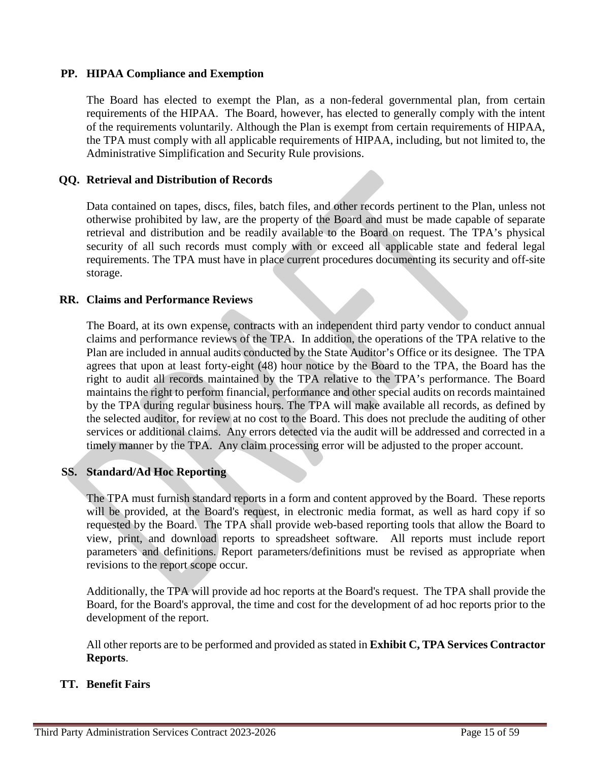# **PP. HIPAA Compliance and Exemption**

The Board has elected to exempt the Plan, as a non-federal governmental plan, from certain requirements of the HIPAA. The Board, however, has elected to generally comply with the intent of the requirements voluntarily. Although the Plan is exempt from certain requirements of HIPAA, the TPA must comply with all applicable requirements of HIPAA, including, but not limited to, the Administrative Simplification and Security Rule provisions.

## **QQ. Retrieval and Distribution of Records**

Data contained on tapes, discs, files, batch files, and other records pertinent to the Plan, unless not otherwise prohibited by law, are the property of the Board and must be made capable of separate retrieval and distribution and be readily available to the Board on request. The TPA's physical security of all such records must comply with or exceed all applicable state and federal legal requirements. The TPA must have in place current procedures documenting its security and off-site storage.

## **RR. Claims and Performance Reviews**

The Board, at its own expense, contracts with an independent third party vendor to conduct annual claims and performance reviews of the TPA. In addition, the operations of the TPA relative to the Plan are included in annual audits conducted by the State Auditor's Office or its designee. The TPA agrees that upon at least forty-eight (48) hour notice by the Board to the TPA, the Board has the right to audit all records maintained by the TPA relative to the TPA's performance. The Board maintains the right to perform financial, performance and other special audits on records maintained by the TPA during regular business hours. The TPA will make available all records, as defined by the selected auditor, for review at no cost to the Board. This does not preclude the auditing of other services or additional claims. Any errors detected via the audit will be addressed and corrected in a timely manner by the TPA. Any claim processing error will be adjusted to the proper account.

## **SS. Standard/Ad Hoc Reporting**

The TPA must furnish standard reports in a form and content approved by the Board. These reports will be provided, at the Board's request, in electronic media format, as well as hard copy if so requested by the Board. The TPA shall provide web-based reporting tools that allow the Board to view, print, and download reports to spreadsheet software. All reports must include report parameters and definitions. Report parameters/definitions must be revised as appropriate when revisions to the report scope occur.

Additionally, the TPA will provide ad hoc reports at the Board's request. The TPA shall provide the Board, for the Board's approval, the time and cost for the development of ad hoc reports prior to the development of the report.

All other reports are to be performed and provided as stated in **Exhibit C, TPA Services Contractor Reports**.

## **TT. Benefit Fairs**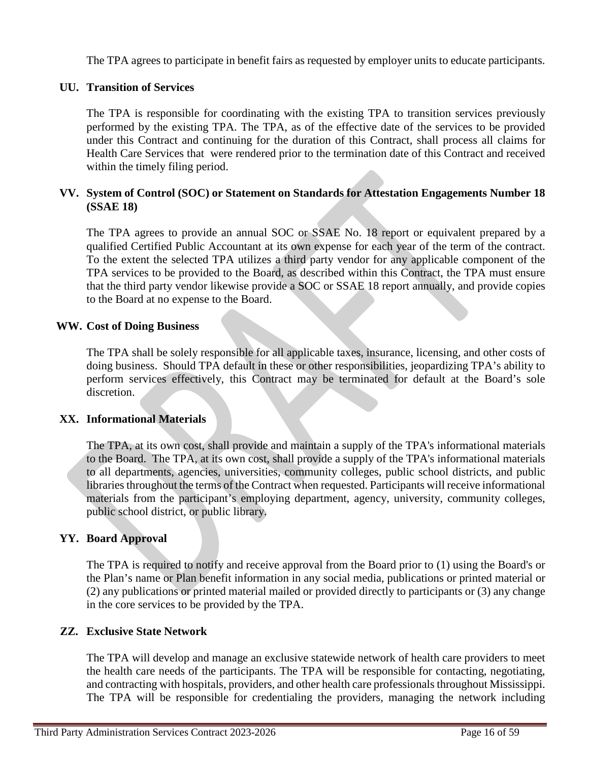The TPA agrees to participate in benefit fairs as requested by employer units to educate participants.

# **UU. Transition of Services**

The TPA is responsible for coordinating with the existing TPA to transition services previously performed by the existing TPA. The TPA, as of the effective date of the services to be provided under this Contract and continuing for the duration of this Contract, shall process all claims for Health Care Services that were rendered prior to the termination date of this Contract and received within the timely filing period.

# **VV. System of Control (SOC) or Statement on Standards for Attestation Engagements Number 18 (SSAE 18)**

The TPA agrees to provide an annual SOC or SSAE No. 18 report or equivalent prepared by a qualified Certified Public Accountant at its own expense for each year of the term of the contract. To the extent the selected TPA utilizes a third party vendor for any applicable component of the TPA services to be provided to the Board, as described within this Contract, the TPA must ensure that the third party vendor likewise provide a SOC or SSAE 18 report annually, and provide copies to the Board at no expense to the Board.

## **WW. Cost of Doing Business**

The TPA shall be solely responsible for all applicable taxes, insurance, licensing, and other costs of doing business. Should TPA default in these or other responsibilities, jeopardizing TPA's ability to perform services effectively, this Contract may be terminated for default at the Board's sole discretion.

### **XX. Informational Materials**

The TPA, at its own cost, shall provide and maintain a supply of the TPA's informational materials to the Board. The TPA, at its own cost, shall provide a supply of the TPA's informational materials to all departments, agencies, universities, community colleges, public school districts, and public libraries throughout the terms of the Contract when requested. Participants will receive informational materials from the participant's employing department, agency, university, community colleges, public school district, or public library.

## **YY. Board Approval**

The TPA is required to notify and receive approval from the Board prior to (1) using the Board's or the Plan's name or Plan benefit information in any social media, publications or printed material or (2) any publications or printed material mailed or provided directly to participants or (3) any change in the core services to be provided by the TPA.

## **ZZ. Exclusive State Network**

The TPA will develop and manage an exclusive statewide network of health care providers to meet the health care needs of the participants. The TPA will be responsible for contacting, negotiating, and contracting with hospitals, providers, and other health care professionals throughout Mississippi. The TPA will be responsible for credentialing the providers, managing the network including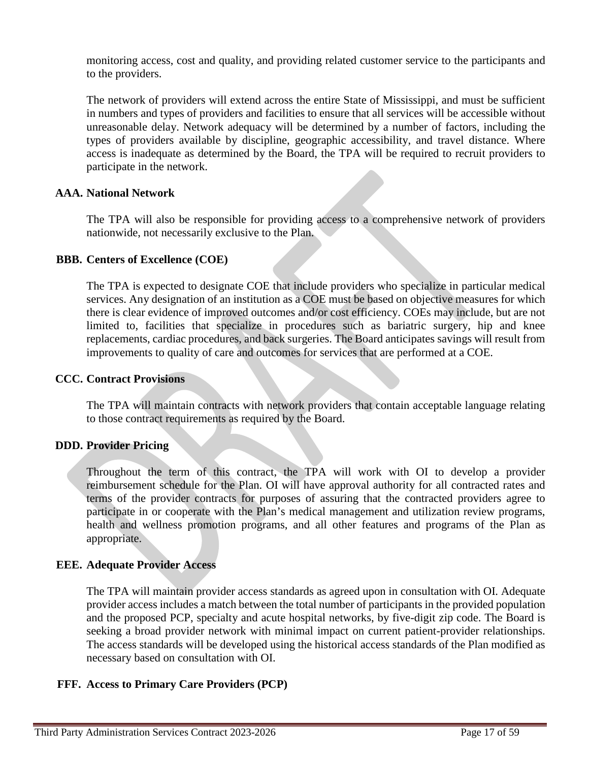monitoring access, cost and quality, and providing related customer service to the participants and to the providers.

The network of providers will extend across the entire State of Mississippi, and must be sufficient in numbers and types of providers and facilities to ensure that all services will be accessible without unreasonable delay. Network adequacy will be determined by a number of factors, including the types of providers available by discipline, geographic accessibility, and travel distance. Where access is inadequate as determined by the Board, the TPA will be required to recruit providers to participate in the network.

## **AAA. National Network**

The TPA will also be responsible for providing access to a comprehensive network of providers nationwide, not necessarily exclusive to the Plan.

### **BBB. Centers of Excellence (COE)**

The TPA is expected to designate COE that include providers who specialize in particular medical services. Any designation of an institution as a COE must be based on objective measures for which there is clear evidence of improved outcomes and/or cost efficiency. COEs may include, but are not limited to, facilities that specialize in procedures such as bariatric surgery, hip and knee replacements, cardiac procedures, and back surgeries. The Board anticipates savings will result from improvements to quality of care and outcomes for services that are performed at a COE.

## **CCC. Contract Provisions**

The TPA will maintain contracts with network providers that contain acceptable language relating to those contract requirements as required by the Board.

## **DDD. Provider Pricing**

Throughout the term of this contract, the TPA will work with OI to develop a provider reimbursement schedule for the Plan. OI will have approval authority for all contracted rates and terms of the provider contracts for purposes of assuring that the contracted providers agree to participate in or cooperate with the Plan's medical management and utilization review programs, health and wellness promotion programs, and all other features and programs of the Plan as appropriate.

## **EEE. Adequate Provider Access**

The TPA will maintain provider access standards as agreed upon in consultation with OI. Adequate provider access includes a match between the total number of participants in the provided population and the proposed PCP, specialty and acute hospital networks, by five-digit zip code. The Board is seeking a broad provider network with minimal impact on current patient-provider relationships. The access standards will be developed using the historical access standards of the Plan modified as necessary based on consultation with OI.

## **FFF. Access to Primary Care Providers (PCP)**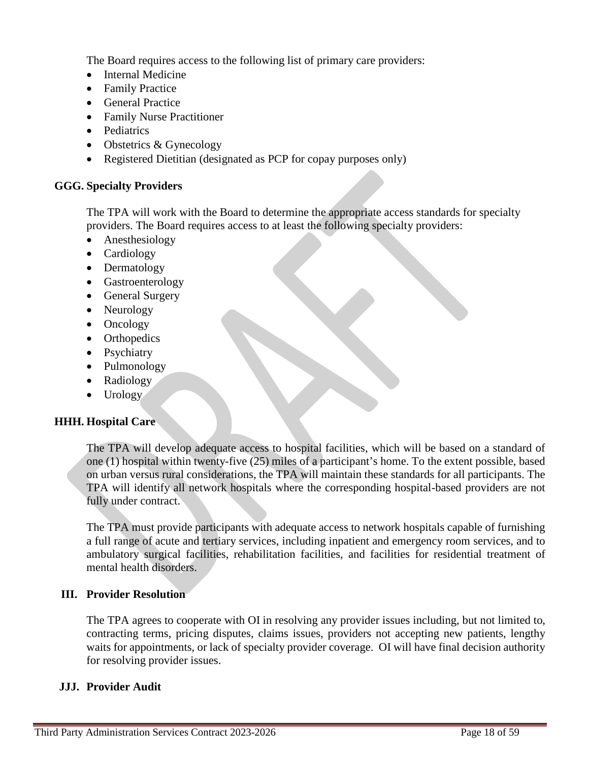The Board requires access to the following list of primary care providers:

- Internal Medicine
- Family Practice
- General Practice
- Family Nurse Practitioner
- Pediatrics
- Obstetrics & Gynecology
- Registered Dietitian (designated as PCP for copay purposes only)

# **GGG. Specialty Providers**

The TPA will work with the Board to determine the appropriate access standards for specialty providers. The Board requires access to at least the following specialty providers:

- Anesthesiology
- Cardiology
- Dermatology
- Gastroenterology
- General Surgery
- Neurology
- Oncology
- Orthopedics
- Psychiatry
- Pulmonology
- Radiology
- Urology

# **HHH. Hospital Care**

The TPA will develop adequate access to hospital facilities, which will be based on a standard of one (1) hospital within twenty-five (25) miles of a participant's home. To the extent possible, based on urban versus rural considerations, the TPA will maintain these standards for all participants. The TPA will identify all network hospitals where the corresponding hospital-based providers are not fully under contract.

The TPA must provide participants with adequate access to network hospitals capable of furnishing a full range of acute and tertiary services, including inpatient and emergency room services, and to ambulatory surgical facilities, rehabilitation facilities, and facilities for residential treatment of mental health disorders.

# **III. Provider Resolution**

The TPA agrees to cooperate with OI in resolving any provider issues including, but not limited to, contracting terms, pricing disputes, claims issues, providers not accepting new patients, lengthy waits for appointments, or lack of specialty provider coverage. OI will have final decision authority for resolving provider issues.

# **JJJ. Provider Audit**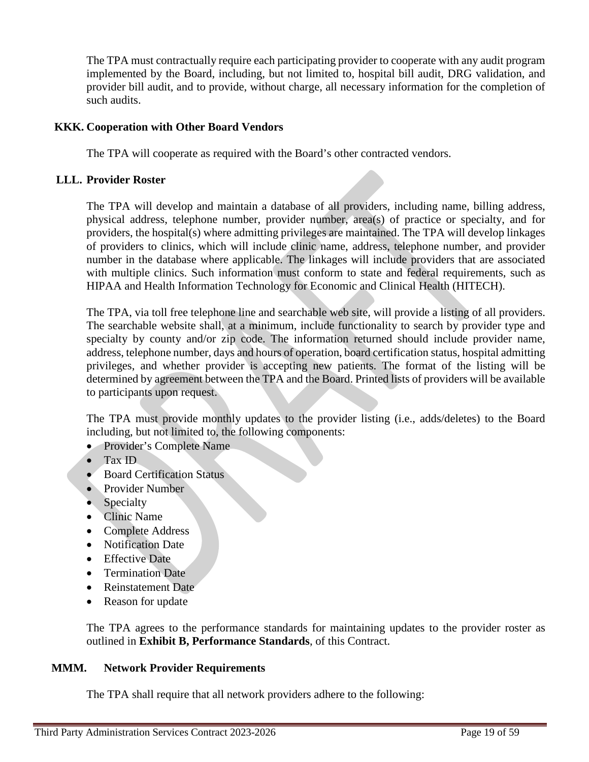The TPA must contractually require each participating provider to cooperate with any audit program implemented by the Board, including, but not limited to, hospital bill audit, DRG validation, and provider bill audit, and to provide, without charge, all necessary information for the completion of such audits.

## **KKK. Cooperation with Other Board Vendors**

The TPA will cooperate as required with the Board's other contracted vendors.

### **LLL. Provider Roster**

The TPA will develop and maintain a database of all providers, including name, billing address, physical address, telephone number, provider number, area(s) of practice or specialty, and for providers, the hospital(s) where admitting privileges are maintained. The TPA will develop linkages of providers to clinics, which will include clinic name, address, telephone number, and provider number in the database where applicable. The linkages will include providers that are associated with multiple clinics. Such information must conform to state and federal requirements, such as HIPAA and Health Information Technology for Economic and Clinical Health (HITECH).

The TPA, via toll free telephone line and searchable web site, will provide a listing of all providers. The searchable website shall, at a minimum, include functionality to search by provider type and specialty by county and/or zip code. The information returned should include provider name, address, telephone number, days and hours of operation, board certification status, hospital admitting privileges, and whether provider is accepting new patients. The format of the listing will be determined by agreement between the TPA and the Board. Printed lists of providers will be available to participants upon request.

The TPA must provide monthly updates to the provider listing (i.e., adds/deletes) to the Board including, but not limited to, the following components:

- Provider's Complete Name
- Tax ID
- **Board Certification Status**
- Provider Number
- Specialty
- Clinic Name
- Complete Address
- Notification Date
- Effective Date
- Termination Date
- Reinstatement Date
- Reason for update

The TPA agrees to the performance standards for maintaining updates to the provider roster as outlined in **Exhibit B, Performance Standards**, of this Contract.

### **MMM. Network Provider Requirements**

The TPA shall require that all network providers adhere to the following: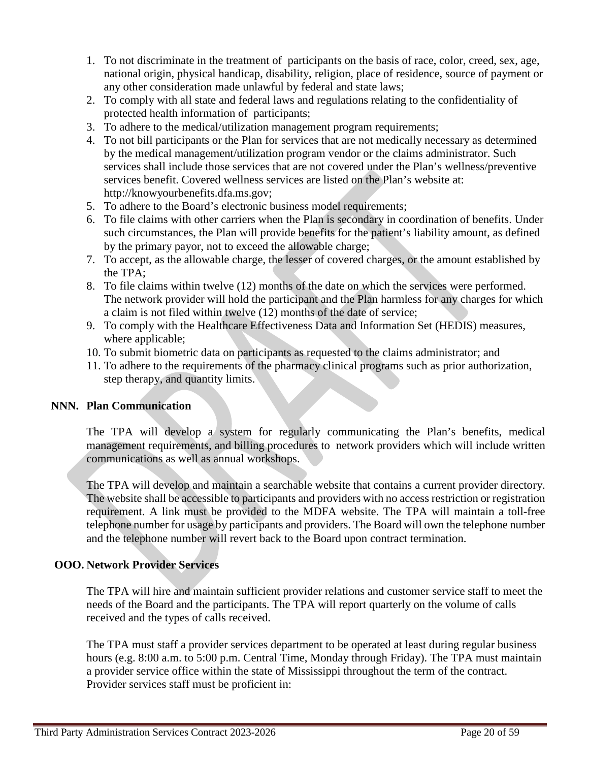- 1. To not discriminate in the treatment of participants on the basis of race, color, creed, sex, age, national origin, physical handicap, disability, religion, place of residence, source of payment or any other consideration made unlawful by federal and state laws;
- 2. To comply with all state and federal laws and regulations relating to the confidentiality of protected health information of participants;
- 3. To adhere to the medical/utilization management program requirements;
- 4. To not bill participants or the Plan for services that are not medically necessary as determined by the medical management/utilization program vendor or the claims administrator. Such services shall include those services that are not covered under the Plan's wellness/preventive services benefit. Covered wellness services are listed on the Plan's website at: http://knowyourbenefits.dfa.ms.gov;
- 5. To adhere to the Board's electronic business model requirements;
- 6. To file claims with other carriers when the Plan is secondary in coordination of benefits. Under such circumstances, the Plan will provide benefits for the patient's liability amount, as defined by the primary payor, not to exceed the allowable charge;
- 7. To accept, as the allowable charge, the lesser of covered charges, or the amount established by the TPA;
- 8. To file claims within twelve (12) months of the date on which the services were performed. The network provider will hold the participant and the Plan harmless for any charges for which a claim is not filed within twelve (12) months of the date of service;
- 9. To comply with the Healthcare Effectiveness Data and Information Set (HEDIS) measures, where applicable;
- 10. To submit biometric data on participants as requested to the claims administrator; and
- 11. To adhere to the requirements of the pharmacy clinical programs such as prior authorization, step therapy, and quantity limits.

## **NNN. Plan Communication**

The TPA will develop a system for regularly communicating the Plan's benefits, medical management requirements, and billing procedures to network providers which will include written communications as well as annual workshops.

The TPA will develop and maintain a searchable website that contains a current provider directory. The website shall be accessible to participants and providers with no access restriction or registration requirement. A link must be provided to the MDFA website. The TPA will maintain a toll-free telephone number for usage by participants and providers. The Board will own the telephone number and the telephone number will revert back to the Board upon contract termination.

## **OOO. Network Provider Services**

The TPA will hire and maintain sufficient provider relations and customer service staff to meet the needs of the Board and the participants. The TPA will report quarterly on the volume of calls received and the types of calls received.

The TPA must staff a provider services department to be operated at least during regular business hours (e.g. 8:00 a.m. to 5:00 p.m. Central Time, Monday through Friday). The TPA must maintain a provider service office within the state of Mississippi throughout the term of the contract. Provider services staff must be proficient in: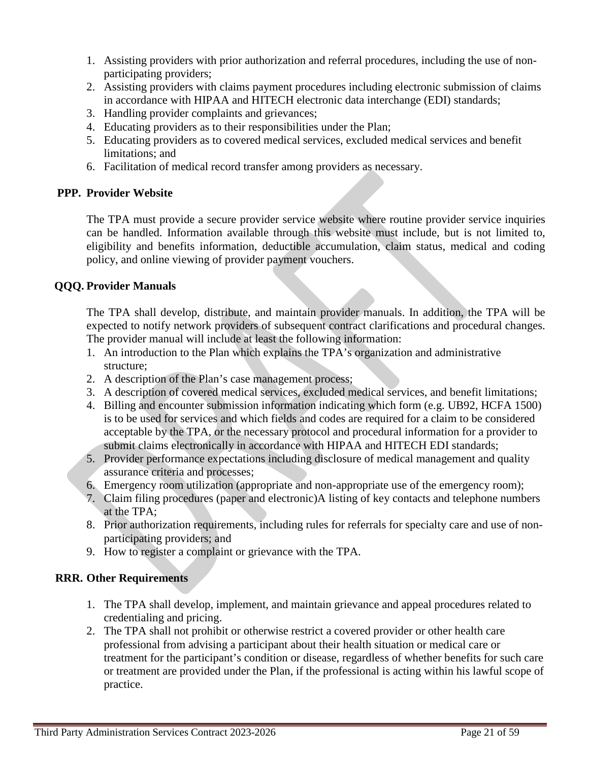- 1. Assisting providers with prior authorization and referral procedures, including the use of nonparticipating providers;
- 2. Assisting providers with claims payment procedures including electronic submission of claims in accordance with HIPAA and HITECH electronic data interchange (EDI) standards;
- 3. Handling provider complaints and grievances;
- 4. Educating providers as to their responsibilities under the Plan;
- 5. Educating providers as to covered medical services, excluded medical services and benefit limitations; and
- 6. Facilitation of medical record transfer among providers as necessary.

# **PPP. Provider Website**

The TPA must provide a secure provider service website where routine provider service inquiries can be handled. Information available through this website must include, but is not limited to, eligibility and benefits information, deductible accumulation, claim status, medical and coding policy, and online viewing of provider payment vouchers.

# **QQQ. Provider Manuals**

The TPA shall develop, distribute, and maintain provider manuals. In addition, the TPA will be expected to notify network providers of subsequent contract clarifications and procedural changes. The provider manual will include at least the following information:

- 1. An introduction to the Plan which explains the TPA's organization and administrative structure;
- 2. A description of the Plan's case management process;
- 3. A description of covered medical services, excluded medical services, and benefit limitations;
- 4. Billing and encounter submission information indicating which form (e.g. UB92, HCFA 1500) is to be used for services and which fields and codes are required for a claim to be considered acceptable by the TPA, or the necessary protocol and procedural information for a provider to submit claims electronically in accordance with HIPAA and HITECH EDI standards;
- 5. Provider performance expectations including disclosure of medical management and quality assurance criteria and processes;
- 6. Emergency room utilization (appropriate and non-appropriate use of the emergency room);
- 7. Claim filing procedures (paper and electronic)A listing of key contacts and telephone numbers at the TPA;
- 8. Prior authorization requirements, including rules for referrals for specialty care and use of nonparticipating providers; and
- 9. How to register a complaint or grievance with the TPA.

# **RRR. Other Requirements**

- 1. The TPA shall develop, implement, and maintain grievance and appeal procedures related to credentialing and pricing.
- 2. The TPA shall not prohibit or otherwise restrict a covered provider or other health care professional from advising a participant about their health situation or medical care or treatment for the participant's condition or disease, regardless of whether benefits for such care or treatment are provided under the Plan, if the professional is acting within his lawful scope of practice.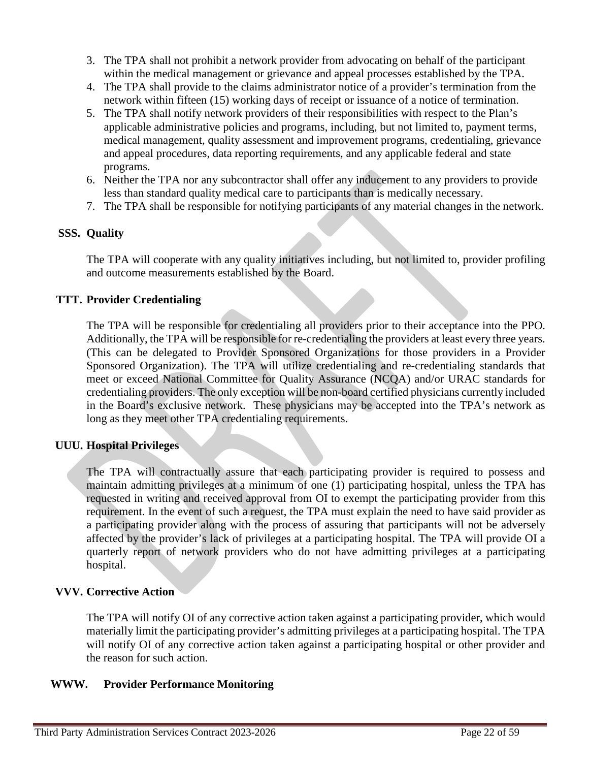- 3. The TPA shall not prohibit a network provider from advocating on behalf of the participant within the medical management or grievance and appeal processes established by the TPA.
- 4. The TPA shall provide to the claims administrator notice of a provider's termination from the network within fifteen (15) working days of receipt or issuance of a notice of termination.
- 5. The TPA shall notify network providers of their responsibilities with respect to the Plan's applicable administrative policies and programs, including, but not limited to, payment terms, medical management, quality assessment and improvement programs, credentialing, grievance and appeal procedures, data reporting requirements, and any applicable federal and state programs.
- 6. Neither the TPA nor any subcontractor shall offer any inducement to any providers to provide less than standard quality medical care to participants than is medically necessary.
- 7. The TPA shall be responsible for notifying participants of any material changes in the network.

# **SSS. Quality**

The TPA will cooperate with any quality initiatives including, but not limited to, provider profiling and outcome measurements established by the Board.

# **TTT. Provider Credentialing**

The TPA will be responsible for credentialing all providers prior to their acceptance into the PPO. Additionally, the TPA will be responsible for re-credentialing the providers at least every three years. (This can be delegated to Provider Sponsored Organizations for those providers in a Provider Sponsored Organization). The TPA will utilize credentialing and re-credentialing standards that meet or exceed National Committee for Quality Assurance (NCQA) and/or URAC standards for credentialing providers. The only exception will be non-board certified physicians currently included in the Board's exclusive network. These physicians may be accepted into the TPA's network as long as they meet other TPA credentialing requirements.

# **UUU. Hospital Privileges**

The TPA will contractually assure that each participating provider is required to possess and maintain admitting privileges at a minimum of one (1) participating hospital, unless the TPA has requested in writing and received approval from OI to exempt the participating provider from this requirement. In the event of such a request, the TPA must explain the need to have said provider as a participating provider along with the process of assuring that participants will not be adversely affected by the provider's lack of privileges at a participating hospital. The TPA will provide OI a quarterly report of network providers who do not have admitting privileges at a participating hospital.

## **VVV. Corrective Action**

The TPA will notify OI of any corrective action taken against a participating provider, which would materially limit the participating provider's admitting privileges at a participating hospital. The TPA will notify OI of any corrective action taken against a participating hospital or other provider and the reason for such action.

## **WWW. Provider Performance Monitoring**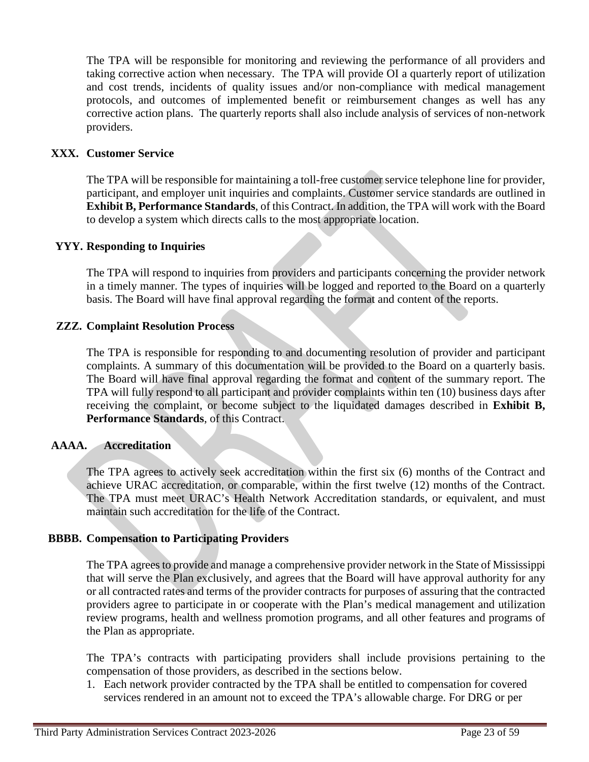The TPA will be responsible for monitoring and reviewing the performance of all providers and taking corrective action when necessary. The TPA will provide OI a quarterly report of utilization and cost trends, incidents of quality issues and/or non-compliance with medical management protocols, and outcomes of implemented benefit or reimbursement changes as well has any corrective action plans. The quarterly reports shall also include analysis of services of non-network providers.

## **XXX. Customer Service**

The TPA will be responsible for maintaining a toll-free customer service telephone line for provider, participant, and employer unit inquiries and complaints. Customer service standards are outlined in **Exhibit B, Performance Standards**, of this Contract. In addition, the TPA will work with the Board to develop a system which directs calls to the most appropriate location.

### **YYY. Responding to Inquiries**

The TPA will respond to inquiries from providers and participants concerning the provider network in a timely manner. The types of inquiries will be logged and reported to the Board on a quarterly basis. The Board will have final approval regarding the format and content of the reports.

### **ZZZ. Complaint Resolution Process**

The TPA is responsible for responding to and documenting resolution of provider and participant complaints. A summary of this documentation will be provided to the Board on a quarterly basis. The Board will have final approval regarding the format and content of the summary report. The TPA will fully respond to all participant and provider complaints within ten (10) business days after receiving the complaint, or become subject to the liquidated damages described in **Exhibit B, Performance Standards**, of this Contract.

### **AAAA. Accreditation**

The TPA agrees to actively seek accreditation within the first six (6) months of the Contract and achieve URAC accreditation, or comparable, within the first twelve (12) months of the Contract. The TPA must meet URAC's Health Network Accreditation standards, or equivalent, and must maintain such accreditation for the life of the Contract.

### **BBBB. Compensation to Participating Providers**

The TPA agrees to provide and manage a comprehensive provider network in the State of Mississippi that will serve the Plan exclusively, and agrees that the Board will have approval authority for any or all contracted rates and terms of the provider contracts for purposes of assuring that the contracted providers agree to participate in or cooperate with the Plan's medical management and utilization review programs, health and wellness promotion programs, and all other features and programs of the Plan as appropriate.

The TPA's contracts with participating providers shall include provisions pertaining to the compensation of those providers, as described in the sections below.

1. Each network provider contracted by the TPA shall be entitled to compensation for covered services rendered in an amount not to exceed the TPA's allowable charge. For DRG or per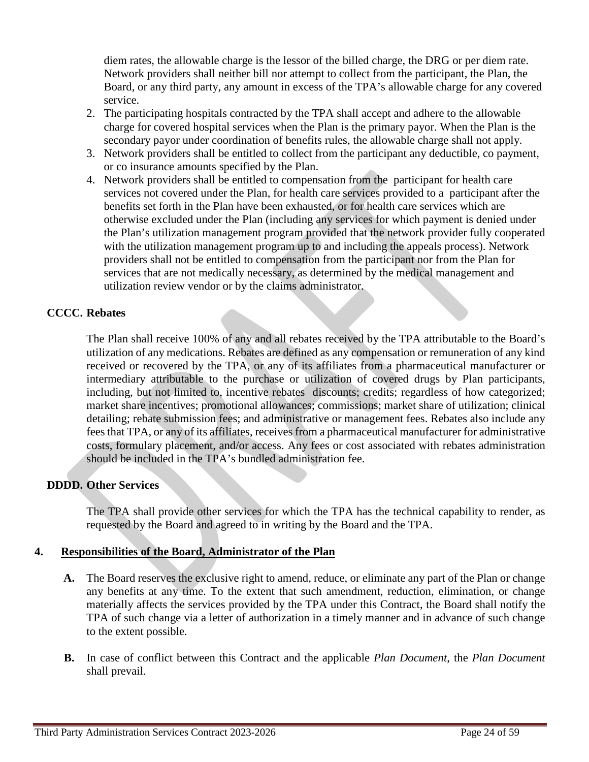diem rates, the allowable charge is the lessor of the billed charge, the DRG or per diem rate. Network providers shall neither bill nor attempt to collect from the participant, the Plan, the Board, or any third party, any amount in excess of the TPA's allowable charge for any covered service.

- 2. The participating hospitals contracted by the TPA shall accept and adhere to the allowable charge for covered hospital services when the Plan is the primary payor. When the Plan is the secondary payor under coordination of benefits rules, the allowable charge shall not apply.
- 3. Network providers shall be entitled to collect from the participant any deductible, co payment, or co insurance amounts specified by the Plan.
- 4. Network providers shall be entitled to compensation from the participant for health care services not covered under the Plan, for health care services provided to a participant after the benefits set forth in the Plan have been exhausted, or for health care services which are otherwise excluded under the Plan (including any services for which payment is denied under the Plan's utilization management program provided that the network provider fully cooperated with the utilization management program up to and including the appeals process). Network providers shall not be entitled to compensation from the participant nor from the Plan for services that are not medically necessary, as determined by the medical management and utilization review vendor or by the claims administrator.

## **CCCC. Rebates**

The Plan shall receive 100% of any and all rebates received by the TPA attributable to the Board's utilization of any medications. Rebates are defined as any compensation or remuneration of any kind received or recovered by the TPA, or any of its affiliates from a pharmaceutical manufacturer or intermediary attributable to the purchase or utilization of covered drugs by Plan participants, including, but not limited to, incentive rebates discounts; credits; regardless of how categorized; market share incentives; promotional allowances; commissions; market share of utilization; clinical detailing; rebate submission fees; and administrative or management fees. Rebates also include any fees that TPA, or any of its affiliates, receives from a pharmaceutical manufacturer for administrative costs, formulary placement, and/or access. Any fees or cost associated with rebates administration should be included in the TPA's bundled administration fee.

## **DDDD. Other Services**

The TPA shall provide other services for which the TPA has the technical capability to render, as requested by the Board and agreed to in writing by the Board and the TPA.

## **4. Responsibilities of the Board, Administrator of the Plan**

- **A.** The Board reserves the exclusive right to amend, reduce, or eliminate any part of the Plan or change any benefits at any time. To the extent that such amendment, reduction, elimination, or change materially affects the services provided by the TPA under this Contract, the Board shall notify the TPA of such change via a letter of authorization in a timely manner and in advance of such change to the extent possible.
- **B.** In case of conflict between this Contract and the applicable *Plan Document*, the *Plan Document* shall prevail.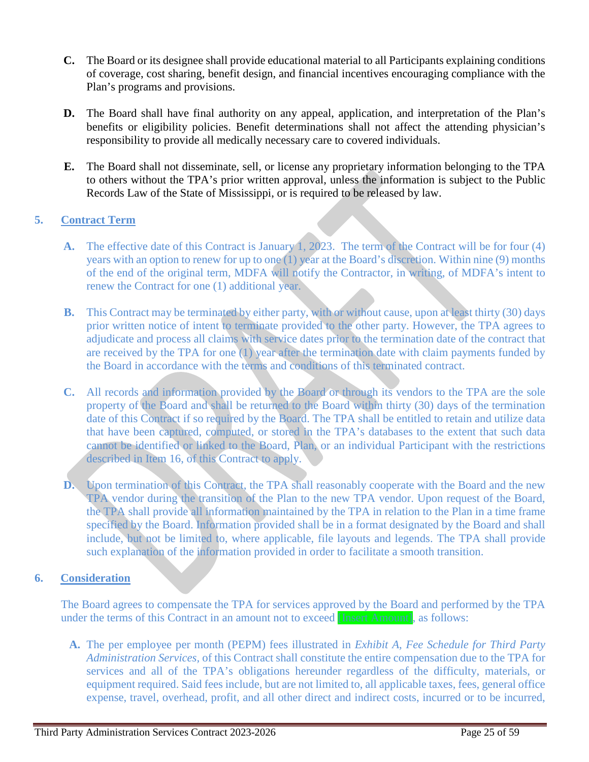- **C.** The Board or its designee shall provide educational material to all Participants explaining conditions of coverage, cost sharing, benefit design, and financial incentives encouraging compliance with the Plan's programs and provisions.
- **D.** The Board shall have final authority on any appeal, application, and interpretation of the Plan's benefits or eligibility policies. Benefit determinations shall not affect the attending physician's responsibility to provide all medically necessary care to covered individuals.
- **E.** The Board shall not disseminate, sell, or license any proprietary information belonging to the TPA to others without the TPA's prior written approval, unless the information is subject to the Public Records Law of the State of Mississippi, or is required to be released by law.

# **5. Contract Term**

- **A.** The effective date of this Contract is January 1, 2023. The term of the Contract will be for four (4) years with an option to renew for up to one (1) year at the Board's discretion. Within nine (9) months of the end of the original term, MDFA will notify the Contractor, in writing, of MDFA's intent to renew the Contract for one (1) additional year.
- **B.** This Contract may be terminated by either party, with or without cause, upon at least thirty (30) days prior written notice of intent to terminate provided to the other party. However, the TPA agrees to adjudicate and process all claims with service dates prior to the termination date of the contract that are received by the TPA for one (1) year after the termination date with claim payments funded by the Board in accordance with the terms and conditions of this terminated contract.
- **C.** All records and information provided by the Board or through its vendors to the TPA are the sole property of the Board and shall be returned to the Board within thirty (30) days of the termination date of this Contract if so required by the Board. The TPA shall be entitled to retain and utilize data that have been captured, computed, or stored in the TPA's databases to the extent that such data cannot be identified or linked to the Board, Plan, or an individual Participant with the restrictions described in Item 16, of this Contract to apply.
- **D.** Upon termination of this Contract, the TPA shall reasonably cooperate with the Board and the new TPA vendor during the transition of the Plan to the new TPA vendor. Upon request of the Board, the TPA shall provide all information maintained by the TPA in relation to the Plan in a time frame specified by the Board. Information provided shall be in a format designated by the Board and shall include, but not be limited to, where applicable, file layouts and legends. The TPA shall provide such explanation of the information provided in order to facilitate a smooth transition.

# **6. Consideration**

The Board agrees to compensate the TPA for services approved by the Board and performed by the TPA under the terms of this Contract in an amount not to exceed [Insert Amount], as follows:

**A.** The per employee per month (PEPM) fees illustrated in *Exhibit A, Fee Schedule for Third Party Administration Services,* of this Contract shall constitute the entire compensation due to the TPA for services and all of the TPA's obligations hereunder regardless of the difficulty, materials, or equipment required. Said fees include, but are not limited to, all applicable taxes, fees, general office expense, travel, overhead, profit, and all other direct and indirect costs, incurred or to be incurred,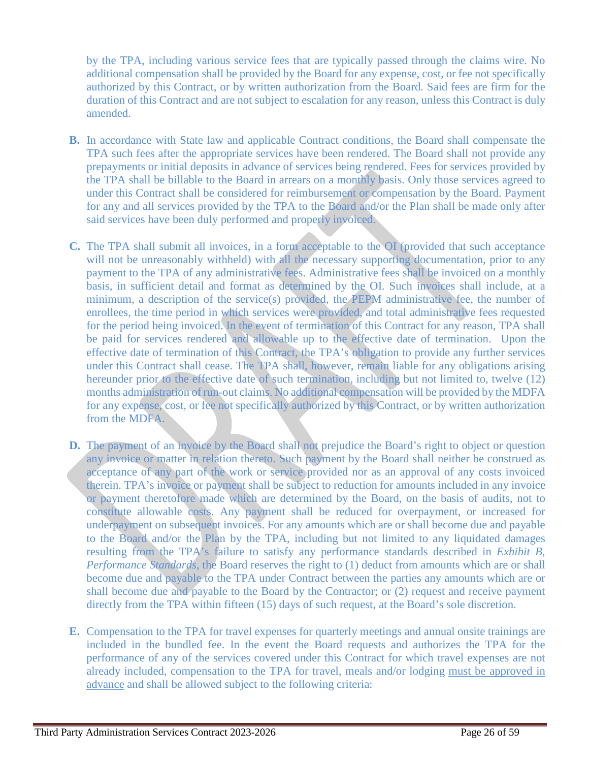by the TPA, including various service fees that are typically passed through the claims wire. No additional compensation shall be provided by the Board for any expense, cost, or fee not specifically authorized by this Contract, or by written authorization from the Board. Said fees are firm for the duration of this Contract and are not subject to escalation for any reason, unless this Contract is duly amended.

- **B.** In accordance with State law and applicable Contract conditions, the Board shall compensate the TPA such fees after the appropriate services have been rendered. The Board shall not provide any prepayments or initial deposits in advance of services being rendered. Fees for services provided by the TPA shall be billable to the Board in arrears on a monthly basis. Only those services agreed to under this Contract shall be considered for reimbursement or compensation by the Board. Payment for any and all services provided by the TPA to the Board and/or the Plan shall be made only after said services have been duly performed and properly invoiced.
- **C.** The TPA shall submit all invoices, in a form acceptable to the OI (provided that such acceptance will not be unreasonably withheld) with all the necessary supporting documentation, prior to any payment to the TPA of any administrative fees. Administrative fees shall be invoiced on a monthly basis, in sufficient detail and format as determined by the OI. Such invoices shall include, at a minimum, a description of the service(s) provided, the PEPM administrative fee, the number of enrollees, the time period in which services were provided, and total administrative fees requested for the period being invoiced. In the event of termination of this Contract for any reason, TPA shall be paid for services rendered and allowable up to the effective date of termination. Upon the effective date of termination of this Contract, the TPA's obligation to provide any further services under this Contract shall cease. The TPA shall, however, remain liable for any obligations arising hereunder prior to the effective date of such termination, including but not limited to, twelve (12) months administration of run-out claims. No additional compensation will be provided by the MDFA for any expense, cost, or fee not specifically authorized by this Contract, or by written authorization from the MDFA.
- **D.** The payment of an invoice by the Board shall not prejudice the Board's right to object or question any invoice or matter in relation thereto. Such payment by the Board shall neither be construed as acceptance of any part of the work or service provided nor as an approval of any costs invoiced therein. TPA's invoice or payment shall be subject to reduction for amounts included in any invoice or payment theretofore made which are determined by the Board, on the basis of audits, not to constitute allowable costs. Any payment shall be reduced for overpayment, or increased for underpayment on subsequent invoices. For any amounts which are or shall become due and payable to the Board and/or the Plan by the TPA, including but not limited to any liquidated damages resulting from the TPA's failure to satisfy any performance standards described in *Exhibit B, Performance Standards*, the Board reserves the right to (1) deduct from amounts which are or shall become due and payable to the TPA under Contract between the parties any amounts which are or shall become due and payable to the Board by the Contractor; or (2) request and receive payment directly from the TPA within fifteen (15) days of such request, at the Board's sole discretion.
- **E.** Compensation to the TPA for travel expenses for quarterly meetings and annual onsite trainings are included in the bundled fee. In the event the Board requests and authorizes the TPA for the performance of any of the services covered under this Contract for which travel expenses are not already included, compensation to the TPA for travel, meals and/or lodging must be approved in advance and shall be allowed subject to the following criteria: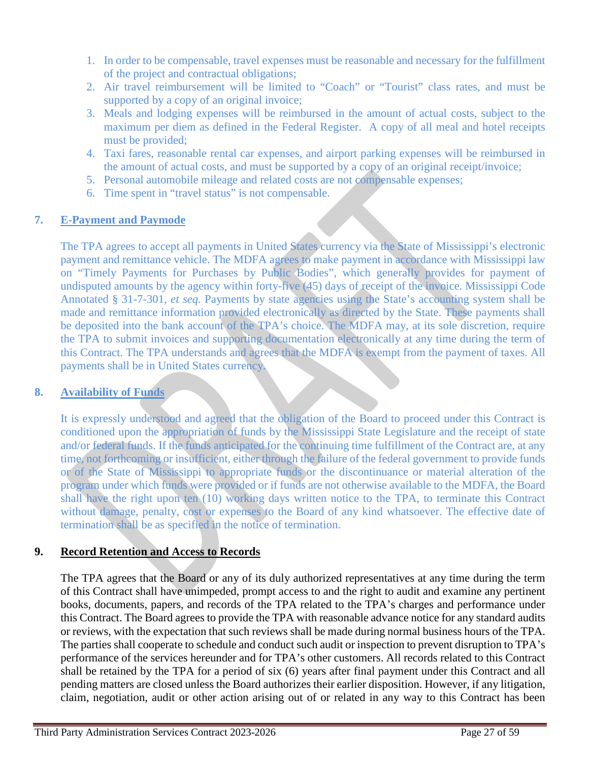- 1. In order to be compensable, travel expenses must be reasonable and necessary for the fulfillment of the project and contractual obligations;
- 2. Air travel reimbursement will be limited to "Coach" or "Tourist" class rates, and must be supported by a copy of an original invoice;
- 3. Meals and lodging expenses will be reimbursed in the amount of actual costs, subject to the maximum per diem as defined in the Federal Register. A copy of all meal and hotel receipts must be provided;
- 4. Taxi fares, reasonable rental car expenses, and airport parking expenses will be reimbursed in the amount of actual costs, and must be supported by a copy of an original receipt/invoice;
- 5. Personal automobile mileage and related costs are not compensable expenses;
- 6. Time spent in "travel status" is not compensable.

# **7. E-Payment and Paymode**

The TPA agrees to accept all payments in United States currency via the State of Mississippi's electronic payment and remittance vehicle. The MDFA agrees to make payment in accordance with Mississippi law on "Timely Payments for Purchases by Public Bodies", which generally provides for payment of undisputed amounts by the agency within forty-five (45) days of receipt of the invoice. Mississippi Code Annotated § 31-7-301, *et seq*. Payments by state agencies using the State's accounting system shall be made and remittance information provided electronically as directed by the State. These payments shall be deposited into the bank account of the TPA's choice. The MDFA may, at its sole discretion, require the TPA to submit invoices and supporting documentation electronically at any time during the term of this Contract. The TPA understands and agrees that the MDFA is exempt from the payment of taxes. All payments shall be in United States currency.

## **8. Availability of Funds**

It is expressly understood and agreed that the obligation of the Board to proceed under this Contract is conditioned upon the appropriation of funds by the Mississippi State Legislature and the receipt of state and/or federal funds. If the funds anticipated for the continuing time fulfillment of the Contract are, at any time, not forthcoming or insufficient, either through the failure of the federal government to provide funds or of the State of Mississippi to appropriate funds or the discontinuance or material alteration of the program under which funds were provided or if funds are not otherwise available to the MDFA, the Board shall have the right upon ten (10) working days written notice to the TPA, to terminate this Contract without damage, penalty, cost or expenses to the Board of any kind whatsoever. The effective date of termination shall be as specified in the notice of termination.

## **9. Record Retention and Access to Records**

The TPA agrees that the Board or any of its duly authorized representatives at any time during the term of this Contract shall have unimpeded, prompt access to and the right to audit and examine any pertinent books, documents, papers, and records of the TPA related to the TPA's charges and performance under this Contract. The Board agrees to provide the TPA with reasonable advance notice for any standard audits or reviews, with the expectation that such reviews shall be made during normal business hours of the TPA. The parties shall cooperate to schedule and conduct such audit or inspection to prevent disruption to TPA's performance of the services hereunder and for TPA's other customers. All records related to this Contract shall be retained by the TPA for a period of six (6) years after final payment under this Contract and all pending matters are closed unless the Board authorizes their earlier disposition. However, if any litigation, claim, negotiation, audit or other action arising out of or related in any way to this Contract has been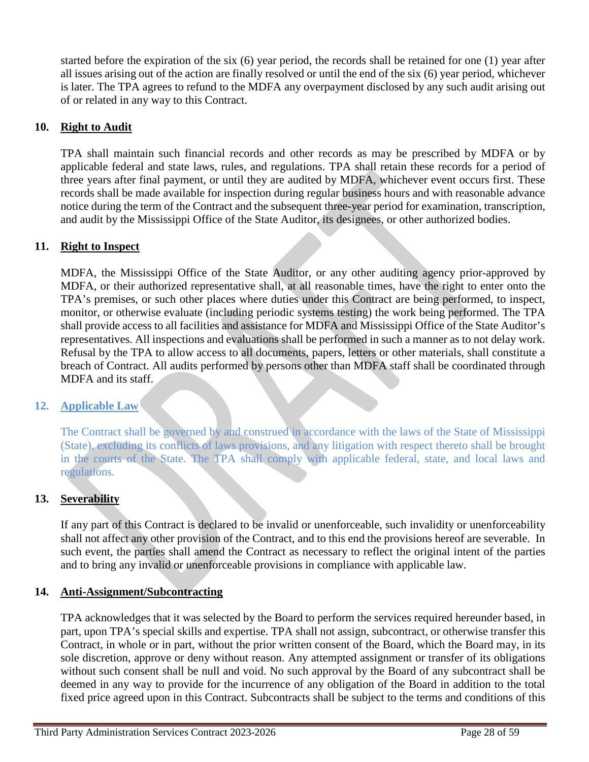started before the expiration of the six (6) year period, the records shall be retained for one (1) year after all issues arising out of the action are finally resolved or until the end of the six (6) year period, whichever is later. The TPA agrees to refund to the MDFA any overpayment disclosed by any such audit arising out of or related in any way to this Contract.

# **10. Right to Audit**

TPA shall maintain such financial records and other records as may be prescribed by MDFA or by applicable federal and state laws, rules, and regulations. TPA shall retain these records for a period of three years after final payment, or until they are audited by MDFA, whichever event occurs first. These records shall be made available for inspection during regular business hours and with reasonable advance notice during the term of the Contract and the subsequent three-year period for examination, transcription, and audit by the Mississippi Office of the State Auditor, its designees, or other authorized bodies.

## **11. Right to Inspect**

MDFA, the Mississippi Office of the State Auditor, or any other auditing agency prior-approved by MDFA, or their authorized representative shall, at all reasonable times, have the right to enter onto the TPA's premises, or such other places where duties under this Contract are being performed, to inspect, monitor, or otherwise evaluate (including periodic systems testing) the work being performed. The TPA shall provide access to all facilities and assistance for MDFA and Mississippi Office of the State Auditor's representatives. All inspections and evaluations shall be performed in such a manner as to not delay work. Refusal by the TPA to allow access to all documents, papers, letters or other materials, shall constitute a breach of Contract. All audits performed by persons other than MDFA staff shall be coordinated through MDFA and its staff.

### **12. Applicable Law**

The Contract shall be governed by and construed in accordance with the laws of the State of Mississippi (State), excluding its conflicts of laws provisions, and any litigation with respect thereto shall be brought in the courts of the State. The TPA shall comply with applicable federal, state, and local laws and regulations.

## **13. Severability**

If any part of this Contract is declared to be invalid or unenforceable, such invalidity or unenforceability shall not affect any other provision of the Contract, and to this end the provisions hereof are severable. In such event, the parties shall amend the Contract as necessary to reflect the original intent of the parties and to bring any invalid or unenforceable provisions in compliance with applicable law.

### **14. Anti-Assignment/Subcontracting**

TPA acknowledges that it was selected by the Board to perform the services required hereunder based, in part, upon TPA's special skills and expertise. TPA shall not assign, subcontract, or otherwise transfer this Contract, in whole or in part, without the prior written consent of the Board, which the Board may, in its sole discretion, approve or deny without reason. Any attempted assignment or transfer of its obligations without such consent shall be null and void. No such approval by the Board of any subcontract shall be deemed in any way to provide for the incurrence of any obligation of the Board in addition to the total fixed price agreed upon in this Contract. Subcontracts shall be subject to the terms and conditions of this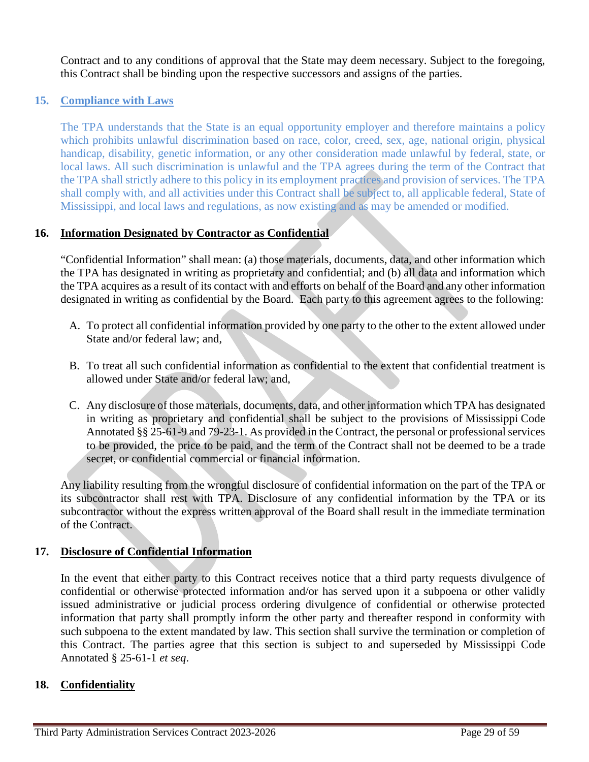Contract and to any conditions of approval that the State may deem necessary. Subject to the foregoing, this Contract shall be binding upon the respective successors and assigns of the parties.

# **15. Compliance with Laws**

The TPA understands that the State is an equal opportunity employer and therefore maintains a policy which prohibits unlawful discrimination based on race, color, creed, sex, age, national origin, physical handicap, disability, genetic information, or any other consideration made unlawful by federal, state, or local laws. All such discrimination is unlawful and the TPA agrees during the term of the Contract that the TPA shall strictly adhere to this policy in its employment practices and provision of services. The TPA shall comply with, and all activities under this Contract shall be subject to, all applicable federal, State of Mississippi, and local laws and regulations, as now existing and as may be amended or modified.

## **16. Information Designated by Contractor as Confidential**

"Confidential Information" shall mean: (a) those materials, documents, data, and other information which the TPA has designated in writing as proprietary and confidential; and (b) all data and information which the TPA acquires as a result of its contact with and efforts on behalf of the Board and any other information designated in writing as confidential by the Board. Each party to this agreement agrees to the following:

- A. To protect all confidential information provided by one party to the other to the extent allowed under State and/or federal law; and,
- B. To treat all such confidential information as confidential to the extent that confidential treatment is allowed under State and/or federal law; and,
- C. Any disclosure of those materials, documents, data, and other information which TPA has designated in writing as proprietary and confidential shall be subject to the provisions of Mississippi Code Annotated §§ 25-61-9 and 79-23-1. As provided in the Contract, the personal or professional services to be provided, the price to be paid, and the term of the Contract shall not be deemed to be a trade secret, or confidential commercial or financial information.

Any liability resulting from the wrongful disclosure of confidential information on the part of the TPA or its subcontractor shall rest with TPA. Disclosure of any confidential information by the TPA or its subcontractor without the express written approval of the Board shall result in the immediate termination of the Contract.

## **17. Disclosure of Confidential Information**

In the event that either party to this Contract receives notice that a third party requests divulgence of confidential or otherwise protected information and/or has served upon it a subpoena or other validly issued administrative or judicial process ordering divulgence of confidential or otherwise protected information that party shall promptly inform the other party and thereafter respond in conformity with such subpoena to the extent mandated by law. This section shall survive the termination or completion of this Contract. The parties agree that this section is subject to and superseded by Mississippi Code Annotated § 25-61-1 *et seq*.

## **18. Confidentiality**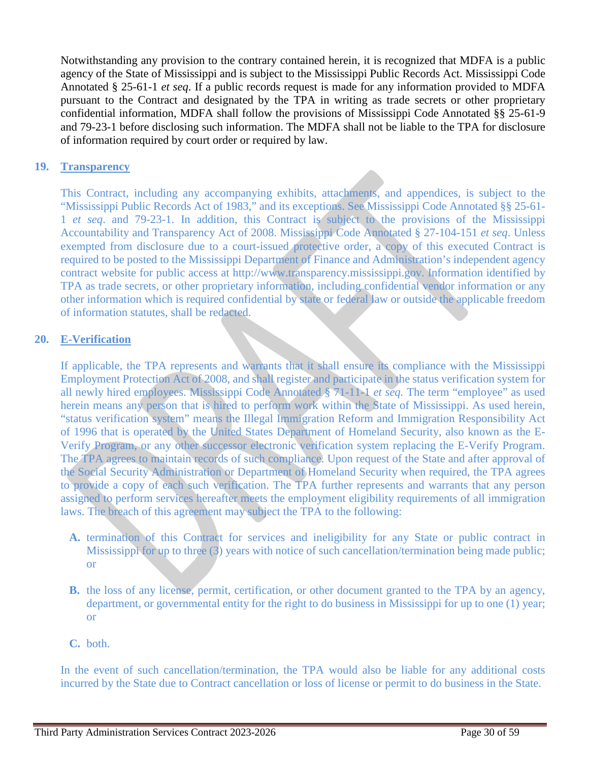Notwithstanding any provision to the contrary contained herein, it is recognized that MDFA is a public agency of the State of Mississippi and is subject to the Mississippi Public Records Act. Mississippi Code Annotated § 25-61-1 *et seq*. If a public records request is made for any information provided to MDFA pursuant to the Contract and designated by the TPA in writing as trade secrets or other proprietary confidential information, MDFA shall follow the provisions of Mississippi Code Annotated §§ 25-61-9 and 79-23-1 before disclosing such information. The MDFA shall not be liable to the TPA for disclosure of information required by court order or required by law.

## **19. Transparency**

This Contract, including any accompanying exhibits, attachments, and appendices, is subject to the "Mississippi Public Records Act of 1983," and its exceptions. See Mississippi Code Annotated §§ 25-61- 1 *et seq*. and 79-23-1. In addition, this Contract is subject to the provisions of the Mississippi Accountability and Transparency Act of 2008. Mississippi Code Annotated § 27-104-151 *et seq*. Unless exempted from disclosure due to a court-issued protective order, a copy of this executed Contract is required to be posted to the Mississippi Department of Finance and Administration's independent agency contract website for public access at http://www.transparency.mississippi.gov. Information identified by TPA as trade secrets, or other proprietary information, including confidential vendor information or any other information which is required confidential by state or federal law or outside the applicable freedom of information statutes, shall be redacted.

## **20. E-Verification**

If applicable, the TPA represents and warrants that it shall ensure its compliance with the Mississippi Employment Protection Act of 2008, and shall register and participate in the status verification system for all newly hired employees. Mississippi Code Annotated § 71-11-1 *et seq.* The term "employee" as used herein means any person that is hired to perform work within the State of Mississippi. As used herein, "status verification system" means the Illegal Immigration Reform and Immigration Responsibility Act of 1996 that is operated by the United States Department of Homeland Security, also known as the E-Verify Program, or any other successor electronic verification system replacing the E-Verify Program. The TPA agrees to maintain records of such compliance. Upon request of the State and after approval of the Social Security Administration or Department of Homeland Security when required, the TPA agrees to provide a copy of each such verification. The TPA further represents and warrants that any person assigned to perform services hereafter meets the employment eligibility requirements of all immigration laws. The breach of this agreement may subject the TPA to the following:

- **A.** termination of this Contract for services and ineligibility for any State or public contract in Mississippi for up to three (3) years with notice of such cancellation/termination being made public; or
- **B.** the loss of any license, permit, certification, or other document granted to the TPA by an agency, department, or governmental entity for the right to do business in Mississippi for up to one (1) year; or

### **C.** both.

In the event of such cancellation/termination, the TPA would also be liable for any additional costs incurred by the State due to Contract cancellation or loss of license or permit to do business in the State.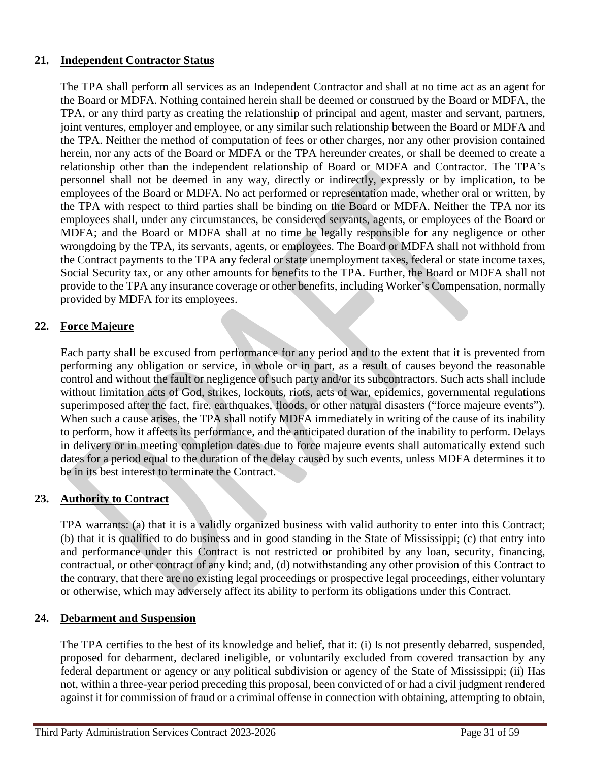# **21. Independent Contractor Status**

The TPA shall perform all services as an Independent Contractor and shall at no time act as an agent for the Board or MDFA. Nothing contained herein shall be deemed or construed by the Board or MDFA, the TPA, or any third party as creating the relationship of principal and agent, master and servant, partners, joint ventures, employer and employee, or any similar such relationship between the Board or MDFA and the TPA. Neither the method of computation of fees or other charges, nor any other provision contained herein, nor any acts of the Board or MDFA or the TPA hereunder creates, or shall be deemed to create a relationship other than the independent relationship of Board or MDFA and Contractor. The TPA's personnel shall not be deemed in any way, directly or indirectly, expressly or by implication, to be employees of the Board or MDFA. No act performed or representation made, whether oral or written, by the TPA with respect to third parties shall be binding on the Board or MDFA. Neither the TPA nor its employees shall, under any circumstances, be considered servants, agents, or employees of the Board or MDFA; and the Board or MDFA shall at no time be legally responsible for any negligence or other wrongdoing by the TPA, its servants, agents, or employees. The Board or MDFA shall not withhold from the Contract payments to the TPA any federal or state unemployment taxes, federal or state income taxes, Social Security tax, or any other amounts for benefits to the TPA. Further, the Board or MDFA shall not provide to the TPA any insurance coverage or other benefits, including Worker's Compensation, normally provided by MDFA for its employees.

# **22. Force Majeure**

Each party shall be excused from performance for any period and to the extent that it is prevented from performing any obligation or service, in whole or in part, as a result of causes beyond the reasonable control and without the fault or negligence of such party and/or its subcontractors. Such acts shall include without limitation acts of God, strikes, lockouts, riots, acts of war, epidemics, governmental regulations superimposed after the fact, fire, earthquakes, floods, or other natural disasters ("force majeure events"). When such a cause arises, the TPA shall notify MDFA immediately in writing of the cause of its inability to perform, how it affects its performance, and the anticipated duration of the inability to perform. Delays in delivery or in meeting completion dates due to force majeure events shall automatically extend such dates for a period equal to the duration of the delay caused by such events, unless MDFA determines it to be in its best interest to terminate the Contract.

## **23. Authority to Contract**

TPA warrants: (a) that it is a validly organized business with valid authority to enter into this Contract; (b) that it is qualified to do business and in good standing in the State of Mississippi; (c) that entry into and performance under this Contract is not restricted or prohibited by any loan, security, financing, contractual, or other contract of any kind; and, (d) notwithstanding any other provision of this Contract to the contrary, that there are no existing legal proceedings or prospective legal proceedings, either voluntary or otherwise, which may adversely affect its ability to perform its obligations under this Contract.

## **24. Debarment and Suspension**

The TPA certifies to the best of its knowledge and belief, that it: (i) Is not presently debarred, suspended, proposed for debarment, declared ineligible, or voluntarily excluded from covered transaction by any federal department or agency or any political subdivision or agency of the State of Mississippi; (ii) Has not, within a three-year period preceding this proposal, been convicted of or had a civil judgment rendered against it for commission of fraud or a criminal offense in connection with obtaining, attempting to obtain,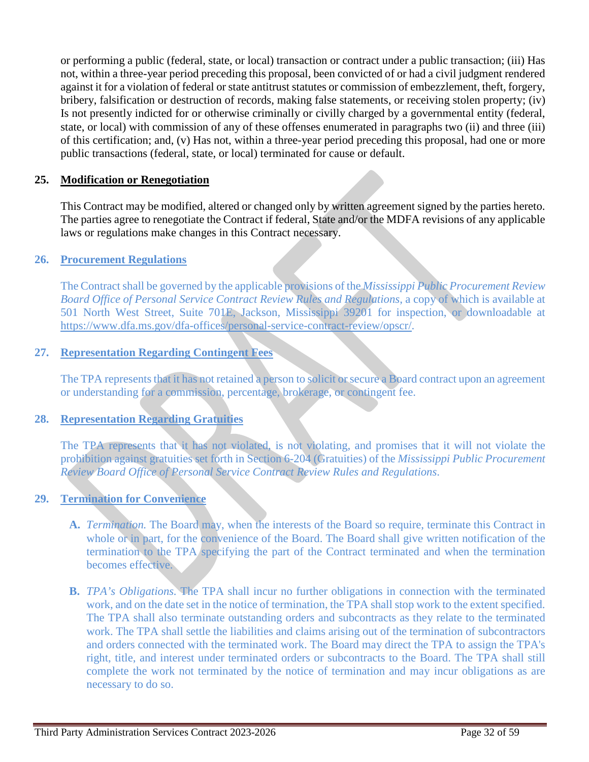or performing a public (federal, state, or local) transaction or contract under a public transaction; (iii) Has not, within a three-year period preceding this proposal, been convicted of or had a civil judgment rendered against it for a violation of federal or state antitrust statutes or commission of embezzlement, theft, forgery, bribery, falsification or destruction of records, making false statements, or receiving stolen property; (iv) Is not presently indicted for or otherwise criminally or civilly charged by a governmental entity (federal, state, or local) with commission of any of these offenses enumerated in paragraphs two (ii) and three (iii) of this certification; and, (v) Has not, within a three-year period preceding this proposal, had one or more public transactions (federal, state, or local) terminated for cause or default.

## **25. Modification or Renegotiation**

This Contract may be modified, altered or changed only by written agreement signed by the parties hereto. The parties agree to renegotiate the Contract if federal, State and/or the MDFA revisions of any applicable laws or regulations make changes in this Contract necessary.

## **26. Procurement Regulations**

The Contract shall be governed by the applicable provisions of the *Mississippi Public Procurement Review Board Office of Personal Service Contract Review Rules and Regulations*, a copy of which is available at 501 North West Street, Suite 701E, Jackson, Mississippi 39201 for inspection, or downloadable at [https://www.dfa.ms.gov/dfa-offices/personal-service-contract-review/opscr/.](https://www.dfa.ms.gov/dfa-offices/personal-service-contract-review/opscr/)

## **27. Representation Regarding Contingent Fees**

The TPA represents that it has not retained a person to solicit or secure a Board contract upon an agreement or understanding for a commission, percentage, brokerage, or contingent fee.

## **28. Representation Regarding Gratuities**

The TPA represents that it has not violated, is not violating, and promises that it will not violate the prohibition against gratuities set forth in Section 6-204 (Gratuities) of the *Mississippi Public Procurement Review Board Office of Personal Service Contract Review Rules and Regulations*.

### **29. Termination for Convenience**

- **A.** *Termination.* The Board may, when the interests of the Board so require, terminate this Contract in whole or in part, for the convenience of the Board. The Board shall give written notification of the termination to the TPA specifying the part of the Contract terminated and when the termination becomes effective.
- **B.** *TPA's Obligations.* The TPA shall incur no further obligations in connection with the terminated work, and on the date set in the notice of termination, the TPA shall stop work to the extent specified. The TPA shall also terminate outstanding orders and subcontracts as they relate to the terminated work. The TPA shall settle the liabilities and claims arising out of the termination of subcontractors and orders connected with the terminated work. The Board may direct the TPA to assign the TPA's right, title, and interest under terminated orders or subcontracts to the Board. The TPA shall still complete the work not terminated by the notice of termination and may incur obligations as are necessary to do so.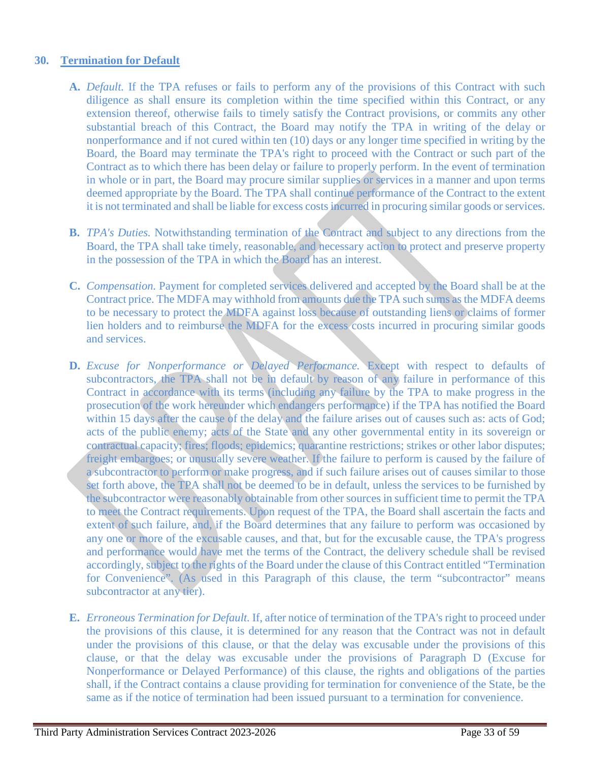## **30. Termination for Default**

- **A.** *Default.* If the TPA refuses or fails to perform any of the provisions of this Contract with such diligence as shall ensure its completion within the time specified within this Contract, or any extension thereof, otherwise fails to timely satisfy the Contract provisions, or commits any other substantial breach of this Contract, the Board may notify the TPA in writing of the delay or nonperformance and if not cured within ten (10) days or any longer time specified in writing by the Board, the Board may terminate the TPA's right to proceed with the Contract or such part of the Contract as to which there has been delay or failure to properly perform. In the event of termination in whole or in part, the Board may procure similar supplies or services in a manner and upon terms deemed appropriate by the Board. The TPA shall continue performance of the Contract to the extent it is not terminated and shall be liable for excess costs incurred in procuring similar goods or services.
- **B.** *TPA's Duties.* Notwithstanding termination of the Contract and subject to any directions from the Board, the TPA shall take timely, reasonable, and necessary action to protect and preserve property in the possession of the TPA in which the Board has an interest.
- **C.** *Compensation.* Payment for completed services delivered and accepted by the Board shall be at the Contract price. The MDFA may withhold from amounts due the TPA such sums as the MDFA deems to be necessary to protect the MDFA against loss because of outstanding liens or claims of former lien holders and to reimburse the MDFA for the excess costs incurred in procuring similar goods and services.
- **D.** *Excuse for Nonperformance or Delayed Performance.* Except with respect to defaults of subcontractors, the TPA shall not be in default by reason of any failure in performance of this Contract in accordance with its terms (including any failure by the TPA to make progress in the prosecution of the work hereunder which endangers performance) if the TPA has notified the Board within 15 days after the cause of the delay and the failure arises out of causes such as: acts of God; acts of the public enemy; acts of the State and any other governmental entity in its sovereign or contractual capacity; fires; floods; epidemics; quarantine restrictions; strikes or other labor disputes; freight embargoes; or unusually severe weather. If the failure to perform is caused by the failure of a subcontractor to perform or make progress, and if such failure arises out of causes similar to those set forth above, the TPA shall not be deemed to be in default, unless the services to be furnished by the subcontractor were reasonably obtainable from other sources in sufficient time to permit the TPA to meet the Contract requirements. Upon request of the TPA, the Board shall ascertain the facts and extent of such failure, and, if the Board determines that any failure to perform was occasioned by any one or more of the excusable causes, and that, but for the excusable cause, the TPA's progress and performance would have met the terms of the Contract, the delivery schedule shall be revised accordingly, subject to the rights of the Board under the clause of this Contract entitled "Termination for Convenience". (As used in this Paragraph of this clause, the term "subcontractor" means subcontractor at any tier).
- **E.** *Erroneous Termination for Default.* If, after notice of termination of the TPA's right to proceed under the provisions of this clause, it is determined for any reason that the Contract was not in default under the provisions of this clause, or that the delay was excusable under the provisions of this clause, or that the delay was excusable under the provisions of Paragraph D (Excuse for Nonperformance or Delayed Performance) of this clause, the rights and obligations of the parties shall, if the Contract contains a clause providing for termination for convenience of the State, be the same as if the notice of termination had been issued pursuant to a termination for convenience.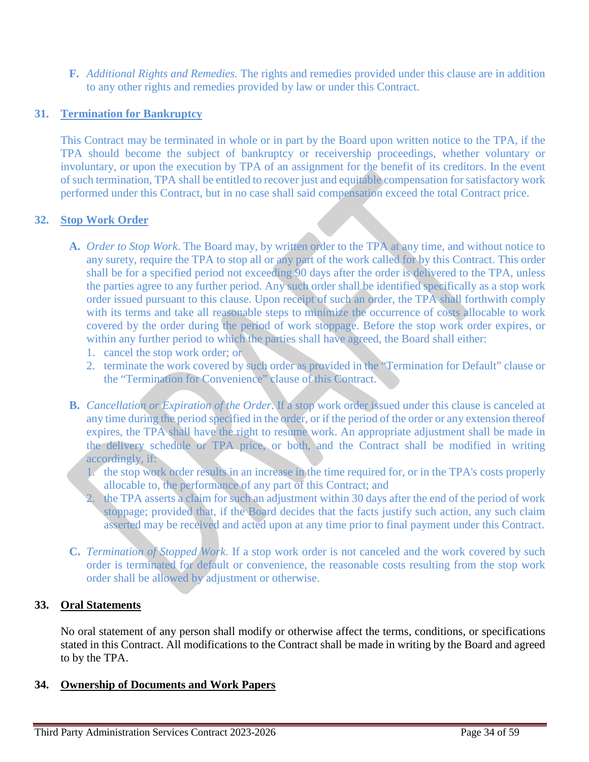**F.** *Additional Rights and Remedies.* The rights and remedies provided under this clause are in addition to any other rights and remedies provided by law or under this Contract.

# **31. Termination for Bankruptcy**

This Contract may be terminated in whole or in part by the Board upon written notice to the TPA, if the TPA should become the subject of bankruptcy or receivership proceedings, whether voluntary or involuntary, or upon the execution by TPA of an assignment for the benefit of its creditors. In the event of such termination, TPA shall be entitled to recover just and equitable compensation for satisfactory work performed under this Contract, but in no case shall said compensation exceed the total Contract price.

## **32. Stop Work Order**

- **A.** *Order to Stop Work*. The Board may, by written order to the TPA at any time, and without notice to any surety, require the TPA to stop all or any part of the work called for by this Contract. This order shall be for a specified period not exceeding 90 days after the order is delivered to the TPA, unless the parties agree to any further period. Any such order shall be identified specifically as a stop work order issued pursuant to this clause. Upon receipt of such an order, the TPA shall forthwith comply with its terms and take all reasonable steps to minimize the occurrence of costs allocable to work covered by the order during the period of work stoppage. Before the stop work order expires, or within any further period to which the parties shall have agreed, the Board shall either:
	- 1. cancel the stop work order; or
	- 2. terminate the work covered by such order as provided in the "Termination for Default" clause or the "Termination for Convenience" clause of this Contract.
- **B.** *Cancellation or Expiration of the Order*. If a stop work order issued under this clause is canceled at any time during the period specified in the order, or if the period of the order or any extension thereof expires, the TPA shall have the right to resume work. An appropriate adjustment shall be made in the delivery schedule or TPA price, or both, and the Contract shall be modified in writing accordingly, if:
	- 1. the stop work order results in an increase in the time required for, or in the TPA's costs properly allocable to, the performance of any part of this Contract; and
	- 2. the TPA asserts a claim for such an adjustment within 30 days after the end of the period of work stoppage; provided that, if the Board decides that the facts justify such action, any such claim asserted may be received and acted upon at any time prior to final payment under this Contract.
- **C.** *Termination of Stopped Work*. If a stop work order is not canceled and the work covered by such order is terminated for default or convenience, the reasonable costs resulting from the stop work order shall be allowed by adjustment or otherwise.

## **33. Oral Statements**

No oral statement of any person shall modify or otherwise affect the terms, conditions, or specifications stated in this Contract. All modifications to the Contract shall be made in writing by the Board and agreed to by the TPA.

## **34. Ownership of Documents and Work Papers**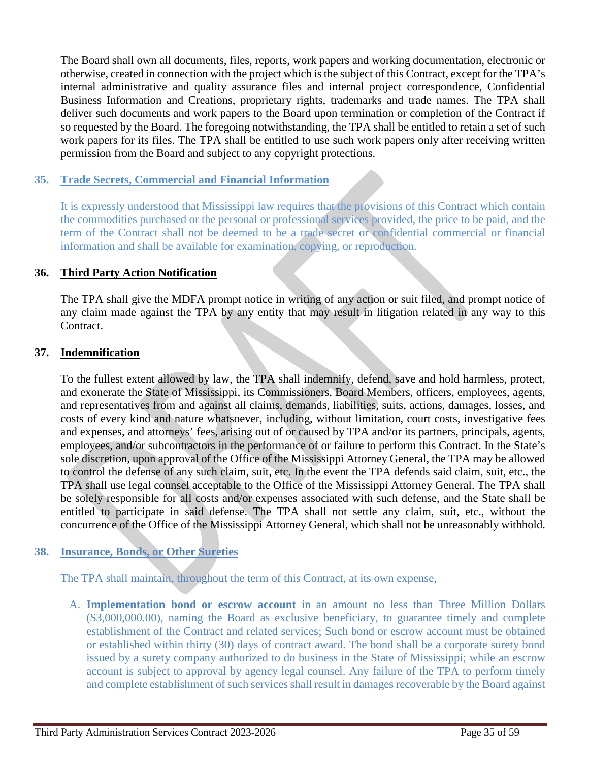The Board shall own all documents, files, reports, work papers and working documentation, electronic or otherwise, created in connection with the project which is the subject of this Contract, except for the TPA's internal administrative and quality assurance files and internal project correspondence, Confidential Business Information and Creations, proprietary rights, trademarks and trade names. The TPA shall deliver such documents and work papers to the Board upon termination or completion of the Contract if so requested by the Board. The foregoing notwithstanding, the TPA shall be entitled to retain a set of such work papers for its files. The TPA shall be entitled to use such work papers only after receiving written permission from the Board and subject to any copyright protections.

## **35. Trade Secrets, Commercial and Financial Information**

It is expressly understood that Mississippi law requires that the provisions of this Contract which contain the commodities purchased or the personal or professional services provided, the price to be paid, and the term of the Contract shall not be deemed to be a trade secret or confidential commercial or financial information and shall be available for examination, copying, or reproduction.

## **36. Third Party Action Notification**

The TPA shall give the MDFA prompt notice in writing of any action or suit filed, and prompt notice of any claim made against the TPA by any entity that may result in litigation related in any way to this Contract.

## **37. Indemnification**

To the fullest extent allowed by law, the TPA shall indemnify, defend, save and hold harmless, protect, and exonerate the State of Mississippi, its Commissioners, Board Members, officers, employees, agents, and representatives from and against all claims, demands, liabilities, suits, actions, damages, losses, and costs of every kind and nature whatsoever, including, without limitation, court costs, investigative fees and expenses, and attorneys' fees, arising out of or caused by TPA and/or its partners, principals, agents, employees, and/or subcontractors in the performance of or failure to perform this Contract. In the State's sole discretion, upon approval of the Office of the Mississippi Attorney General, the TPA may be allowed to control the defense of any such claim, suit, etc. In the event the TPA defends said claim, suit, etc., the TPA shall use legal counsel acceptable to the Office of the Mississippi Attorney General. The TPA shall be solely responsible for all costs and/or expenses associated with such defense, and the State shall be entitled to participate in said defense. The TPA shall not settle any claim, suit, etc., without the concurrence of the Office of the Mississippi Attorney General, which shall not be unreasonably withhold.

## **38. Insurance, Bonds, or Other Sureties**

The TPA shall maintain, throughout the term of this Contract, at its own expense,

A. **Implementation bond or escrow account** in an amount no less than Three Million Dollars (\$3,000,000.00), naming the Board as exclusive beneficiary, to guarantee timely and complete establishment of the Contract and related services; Such bond or escrow account must be obtained or established within thirty (30) days of contract award. The bond shall be a corporate surety bond issued by a surety company authorized to do business in the State of Mississippi; while an escrow account is subject to approval by agency legal counsel. Any failure of the TPA to perform timely and complete establishment of such services shall result in damages recoverable by the Board against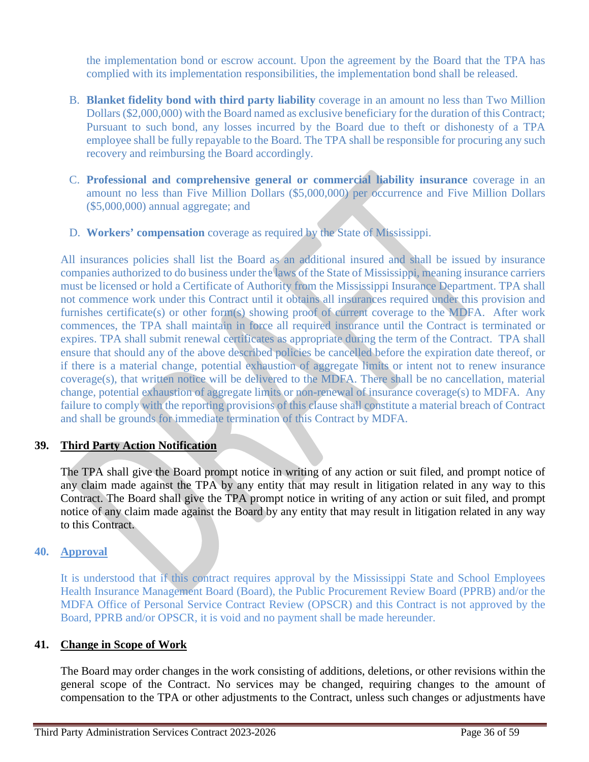the implementation bond or escrow account. Upon the agreement by the Board that the TPA has complied with its implementation responsibilities, the implementation bond shall be released.

- B. **Blanket fidelity bond with third party liability** coverage in an amount no less than Two Million Dollars (\$2,000,000) with the Board named as exclusive beneficiary for the duration of this Contract; Pursuant to such bond, any losses incurred by the Board due to theft or dishonesty of a TPA employee shall be fully repayable to the Board. The TPA shall be responsible for procuring any such recovery and reimbursing the Board accordingly.
- C. **Professional and comprehensive general or commercial liability insurance** coverage in an amount no less than Five Million Dollars (\$5,000,000) per occurrence and Five Million Dollars (\$5,000,000) annual aggregate; and
- D. **Workers' compensation** coverage as required by the State of Mississippi.

All insurances policies shall list the Board as an additional insured and shall be issued by insurance companies authorized to do business under the laws of the State of Mississippi, meaning insurance carriers must be licensed or hold a Certificate of Authority from the Mississippi Insurance Department. TPA shall not commence work under this Contract until it obtains all insurances required under this provision and furnishes certificate(s) or other form(s) showing proof of current coverage to the MDFA. After work commences, the TPA shall maintain in force all required insurance until the Contract is terminated or expires. TPA shall submit renewal certificates as appropriate during the term of the Contract. TPA shall ensure that should any of the above described policies be cancelled before the expiration date thereof, or if there is a material change, potential exhaustion of aggregate limits or intent not to renew insurance coverage(s), that written notice will be delivered to the MDFA. There shall be no cancellation, material change, potential exhaustion of aggregate limits or non-renewal of insurance coverage(s) to MDFA. Any failure to comply with the reporting provisions of this clause shall constitute a material breach of Contract and shall be grounds for immediate termination of this Contract by MDFA.

# **39. Third Party Action Notification**

The TPA shall give the Board prompt notice in writing of any action or suit filed, and prompt notice of any claim made against the TPA by any entity that may result in litigation related in any way to this Contract. The Board shall give the TPA prompt notice in writing of any action or suit filed, and prompt notice of any claim made against the Board by any entity that may result in litigation related in any way to this Contract.

## **40. Approval**

It is understood that if this contract requires approval by the Mississippi State and School Employees Health Insurance Management Board (Board), the Public Procurement Review Board (PPRB) and/or the MDFA Office of Personal Service Contract Review (OPSCR) and this Contract is not approved by the Board, PPRB and/or OPSCR, it is void and no payment shall be made hereunder.

## **41. Change in Scope of Work**

The Board may order changes in the work consisting of additions, deletions, or other revisions within the general scope of the Contract. No services may be changed, requiring changes to the amount of compensation to the TPA or other adjustments to the Contract, unless such changes or adjustments have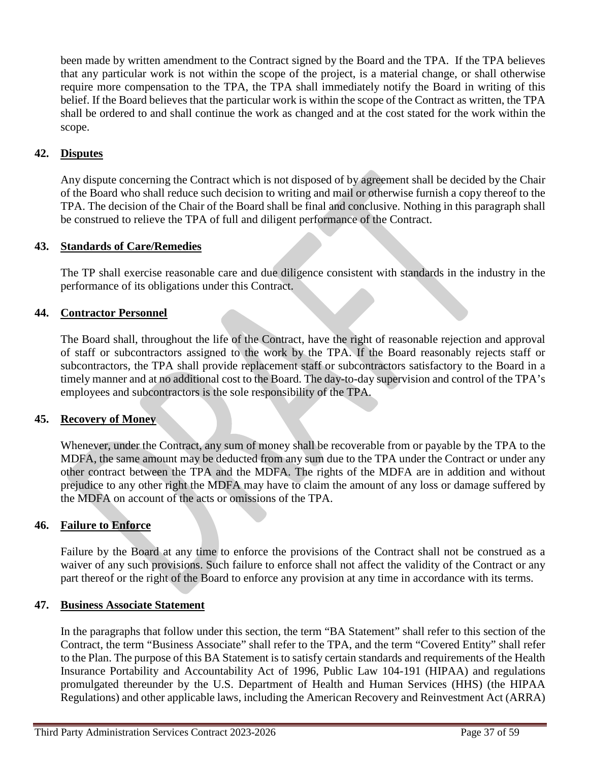been made by written amendment to the Contract signed by the Board and the TPA. If the TPA believes that any particular work is not within the scope of the project, is a material change, or shall otherwise require more compensation to the TPA, the TPA shall immediately notify the Board in writing of this belief. If the Board believes that the particular work is within the scope of the Contract as written, the TPA shall be ordered to and shall continue the work as changed and at the cost stated for the work within the scope.

# **42. Disputes**

Any dispute concerning the Contract which is not disposed of by agreement shall be decided by the Chair of the Board who shall reduce such decision to writing and mail or otherwise furnish a copy thereof to the TPA. The decision of the Chair of the Board shall be final and conclusive. Nothing in this paragraph shall be construed to relieve the TPA of full and diligent performance of the Contract.

## **43. Standards of Care/Remedies**

The TP shall exercise reasonable care and due diligence consistent with standards in the industry in the performance of its obligations under this Contract.

## **44. Contractor Personnel**

The Board shall, throughout the life of the Contract, have the right of reasonable rejection and approval of staff or subcontractors assigned to the work by the TPA. If the Board reasonably rejects staff or subcontractors, the TPA shall provide replacement staff or subcontractors satisfactory to the Board in a timely manner and at no additional cost to the Board. The day-to-day supervision and control of the TPA's employees and subcontractors is the sole responsibility of the TPA.

### **45. Recovery of Money**

Whenever, under the Contract, any sum of money shall be recoverable from or payable by the TPA to the MDFA, the same amount may be deducted from any sum due to the TPA under the Contract or under any other contract between the TPA and the MDFA. The rights of the MDFA are in addition and without prejudice to any other right the MDFA may have to claim the amount of any loss or damage suffered by the MDFA on account of the acts or omissions of the TPA.

### **46. Failure to Enforce**

Failure by the Board at any time to enforce the provisions of the Contract shall not be construed as a waiver of any such provisions. Such failure to enforce shall not affect the validity of the Contract or any part thereof or the right of the Board to enforce any provision at any time in accordance with its terms.

### **47. Business Associate Statement**

In the paragraphs that follow under this section, the term "BA Statement" shall refer to this section of the Contract, the term "Business Associate" shall refer to the TPA, and the term "Covered Entity" shall refer to the Plan. The purpose of this BA Statement is to satisfy certain standards and requirements of the Health Insurance Portability and Accountability Act of 1996, Public Law 104-191 (HIPAA) and regulations promulgated thereunder by the U.S. Department of Health and Human Services (HHS) (the HIPAA Regulations) and other applicable laws, including the American Recovery and Reinvestment Act (ARRA)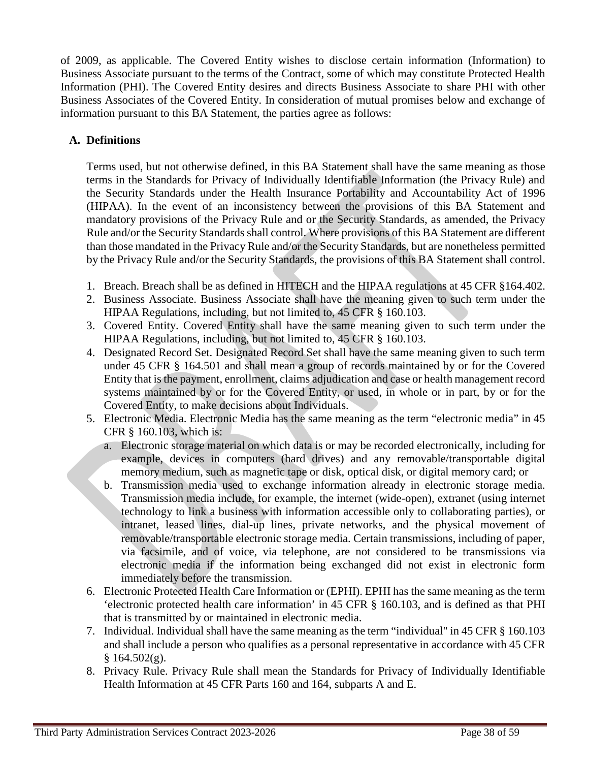of 2009, as applicable. The Covered Entity wishes to disclose certain information (Information) to Business Associate pursuant to the terms of the Contract, some of which may constitute Protected Health Information (PHI). The Covered Entity desires and directs Business Associate to share PHI with other Business Associates of the Covered Entity. In consideration of mutual promises below and exchange of information pursuant to this BA Statement, the parties agree as follows:

# **A. Definitions**

Terms used, but not otherwise defined, in this BA Statement shall have the same meaning as those terms in the Standards for Privacy of Individually Identifiable Information (the Privacy Rule) and the Security Standards under the Health Insurance Portability and Accountability Act of 1996 (HIPAA). In the event of an inconsistency between the provisions of this BA Statement and mandatory provisions of the Privacy Rule and or the Security Standards, as amended, the Privacy Rule and/or the Security Standards shall control. Where provisions of this BA Statement are different than those mandated in the Privacy Rule and/or the Security Standards, but are nonetheless permitted by the Privacy Rule and/or the Security Standards, the provisions of this BA Statement shall control.

- 1. Breach. Breach shall be as defined in HITECH and the HIPAA regulations at 45 CFR §164.402.
- 2. Business Associate. Business Associate shall have the meaning given to such term under the HIPAA Regulations, including, but not limited to, 45 CFR § 160.103.
- 3. Covered Entity. Covered Entity shall have the same meaning given to such term under the HIPAA Regulations, including, but not limited to, 45 CFR § 160.103.
- 4. Designated Record Set. Designated Record Set shall have the same meaning given to such term under 45 CFR § 164.501 and shall mean a group of records maintained by or for the Covered Entity that is the payment, enrollment, claims adjudication and case or health management record systems maintained by or for the Covered Entity, or used, in whole or in part, by or for the Covered Entity, to make decisions about Individuals.
- 5. Electronic Media. Electronic Media has the same meaning as the term "electronic media" in 45 CFR § 160.103, which is:
	- a. Electronic storage material on which data is or may be recorded electronically, including for example, devices in computers (hard drives) and any removable/transportable digital memory medium, such as magnetic tape or disk, optical disk, or digital memory card; or
	- b. Transmission media used to exchange information already in electronic storage media. Transmission media include, for example, the internet (wide-open), extranet (using internet technology to link a business with information accessible only to collaborating parties), or intranet, leased lines, dial-up lines, private networks, and the physical movement of removable/transportable electronic storage media. Certain transmissions, including of paper, via facsimile, and of voice, via telephone, are not considered to be transmissions via electronic media if the information being exchanged did not exist in electronic form immediately before the transmission.
- 6. Electronic Protected Health Care Information or (EPHI). EPHI has the same meaning as the term 'electronic protected health care information' in 45 CFR § 160.103, and is defined as that PHI that is transmitted by or maintained in electronic media.
- 7. Individual. Individual shall have the same meaning as the term "individual" in 45 CFR § 160.103 and shall include a person who qualifies as a personal representative in accordance with 45 CFR  $§ 164.502(g).$
- 8. Privacy Rule. Privacy Rule shall mean the Standards for Privacy of Individually Identifiable Health Information at 45 CFR Parts 160 and 164, subparts A and E.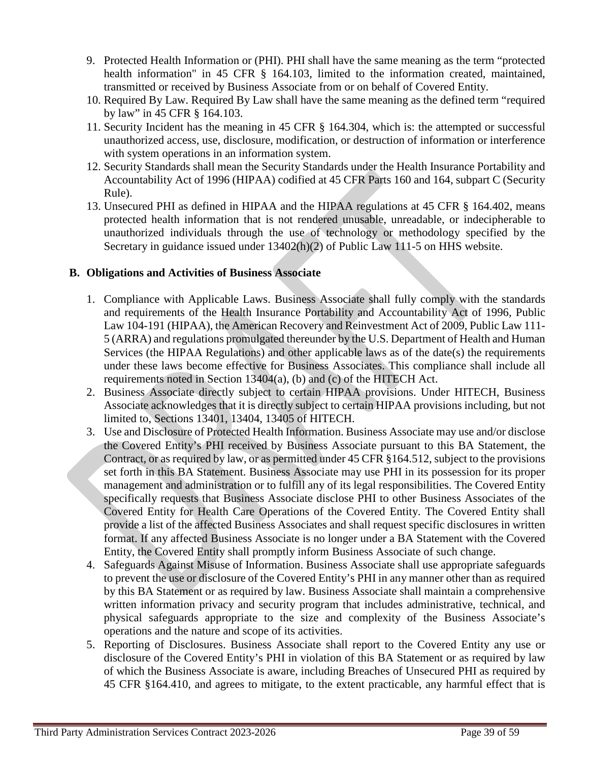- 9. Protected Health Information or (PHI). PHI shall have the same meaning as the term "protected health information" in 45 CFR § 164.103, limited to the information created, maintained, transmitted or received by Business Associate from or on behalf of Covered Entity.
- 10. Required By Law. Required By Law shall have the same meaning as the defined term "required by law" in 45 CFR § 164.103.
- 11. Security Incident has the meaning in 45 CFR § 164.304, which is: the attempted or successful unauthorized access, use, disclosure, modification, or destruction of information or interference with system operations in an information system.
- 12. Security Standards shall mean the Security Standards under the Health Insurance Portability and Accountability Act of 1996 (HIPAA) codified at 45 CFR Parts 160 and 164, subpart C (Security Rule).
- 13. Unsecured PHI as defined in HIPAA and the HIPAA regulations at 45 CFR § 164.402, means protected health information that is not rendered unusable, unreadable, or indecipherable to unauthorized individuals through the use of technology or methodology specified by the Secretary in guidance issued under 13402(h)(2) of Public Law 111-5 on HHS website.

# **B. Obligations and Activities of Business Associate**

- 1. Compliance with Applicable Laws. Business Associate shall fully comply with the standards and requirements of the Health Insurance Portability and Accountability Act of 1996, Public Law 104-191 (HIPAA), the American Recovery and Reinvestment Act of 2009, Public Law 111- 5 (ARRA) and regulations promulgated thereunder by the U.S. Department of Health and Human Services (the HIPAA Regulations) and other applicable laws as of the date(s) the requirements under these laws become effective for Business Associates. This compliance shall include all requirements noted in Section 13404(a), (b) and (c) of the HITECH Act.
- 2. Business Associate directly subject to certain HIPAA provisions. Under HITECH, Business Associate acknowledges that it is directly subject to certain HIPAA provisions including, but not limited to, Sections 13401, 13404, 13405 of HITECH.
- 3. Use and Disclosure of Protected Health Information. Business Associate may use and/or disclose the Covered Entity's PHI received by Business Associate pursuant to this BA Statement, the Contract, or as required by law, or as permitted under 45 CFR §164.512, subject to the provisions set forth in this BA Statement. Business Associate may use PHI in its possession for its proper management and administration or to fulfill any of its legal responsibilities. The Covered Entity specifically requests that Business Associate disclose PHI to other Business Associates of the Covered Entity for Health Care Operations of the Covered Entity. The Covered Entity shall provide a list of the affected Business Associates and shall request specific disclosures in written format. If any affected Business Associate is no longer under a BA Statement with the Covered Entity, the Covered Entity shall promptly inform Business Associate of such change.
- 4. Safeguards Against Misuse of Information. Business Associate shall use appropriate safeguards to prevent the use or disclosure of the Covered Entity's PHI in any manner other than as required by this BA Statement or as required by law. Business Associate shall maintain a comprehensive written information privacy and security program that includes administrative, technical, and physical safeguards appropriate to the size and complexity of the Business Associate's operations and the nature and scope of its activities.
- 5. Reporting of Disclosures. Business Associate shall report to the Covered Entity any use or disclosure of the Covered Entity's PHI in violation of this BA Statement or as required by law of which the Business Associate is aware, including Breaches of Unsecured PHI as required by 45 CFR §164.410, and agrees to mitigate, to the extent practicable, any harmful effect that is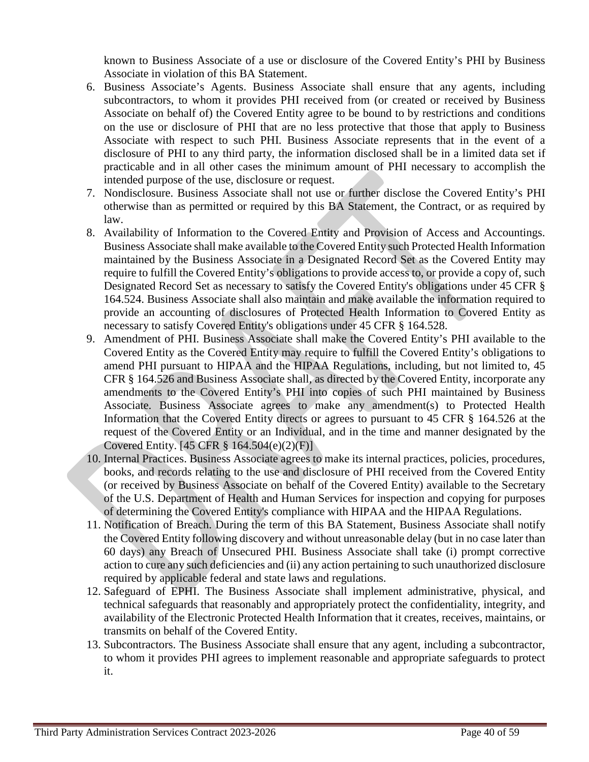known to Business Associate of a use or disclosure of the Covered Entity's PHI by Business Associate in violation of this BA Statement.

- 6. Business Associate's Agents. Business Associate shall ensure that any agents, including subcontractors, to whom it provides PHI received from (or created or received by Business Associate on behalf of) the Covered Entity agree to be bound to by restrictions and conditions on the use or disclosure of PHI that are no less protective that those that apply to Business Associate with respect to such PHI. Business Associate represents that in the event of a disclosure of PHI to any third party, the information disclosed shall be in a limited data set if practicable and in all other cases the minimum amount of PHI necessary to accomplish the intended purpose of the use, disclosure or request.
- 7. Nondisclosure. Business Associate shall not use or further disclose the Covered Entity's PHI otherwise than as permitted or required by this BA Statement, the Contract, or as required by law.
- 8. Availability of Information to the Covered Entity and Provision of Access and Accountings. Business Associate shall make available to the Covered Entity such Protected Health Information maintained by the Business Associate in a Designated Record Set as the Covered Entity may require to fulfill the Covered Entity's obligations to provide access to, or provide a copy of, such Designated Record Set as necessary to satisfy the Covered Entity's obligations under 45 CFR § 164.524. Business Associate shall also maintain and make available the information required to provide an accounting of disclosures of Protected Health Information to Covered Entity as necessary to satisfy Covered Entity's obligations under 45 CFR § 164.528.
- 9. Amendment of PHI. Business Associate shall make the Covered Entity's PHI available to the Covered Entity as the Covered Entity may require to fulfill the Covered Entity's obligations to amend PHI pursuant to HIPAA and the HIPAA Regulations, including, but not limited to, 45 CFR § 164.526 and Business Associate shall, as directed by the Covered Entity, incorporate any amendments to the Covered Entity's PHI into copies of such PHI maintained by Business Associate. Business Associate agrees to make any amendment(s) to Protected Health Information that the Covered Entity directs or agrees to pursuant to 45 CFR § 164.526 at the request of the Covered Entity or an Individual, and in the time and manner designated by the Covered Entity.  $[45 \text{ CFR } $ 164.504(e)(2)(F)]$
- 10. Internal Practices. Business Associate agrees to make its internal practices, policies, procedures, books, and records relating to the use and disclosure of PHI received from the Covered Entity (or received by Business Associate on behalf of the Covered Entity) available to the Secretary of the U.S. Department of Health and Human Services for inspection and copying for purposes of determining the Covered Entity's compliance with HIPAA and the HIPAA Regulations.
- 11. Notification of Breach. During the term of this BA Statement, Business Associate shall notify the Covered Entity following discovery and without unreasonable delay (but in no case later than 60 days) any Breach of Unsecured PHI. Business Associate shall take (i) prompt corrective action to cure any such deficiencies and (ii) any action pertaining to such unauthorized disclosure required by applicable federal and state laws and regulations.
- 12. Safeguard of EPHI. The Business Associate shall implement administrative, physical, and technical safeguards that reasonably and appropriately protect the confidentiality, integrity, and availability of the Electronic Protected Health Information that it creates, receives, maintains, or transmits on behalf of the Covered Entity.
- 13. Subcontractors. The Business Associate shall ensure that any agent, including a subcontractor, to whom it provides PHI agrees to implement reasonable and appropriate safeguards to protect it.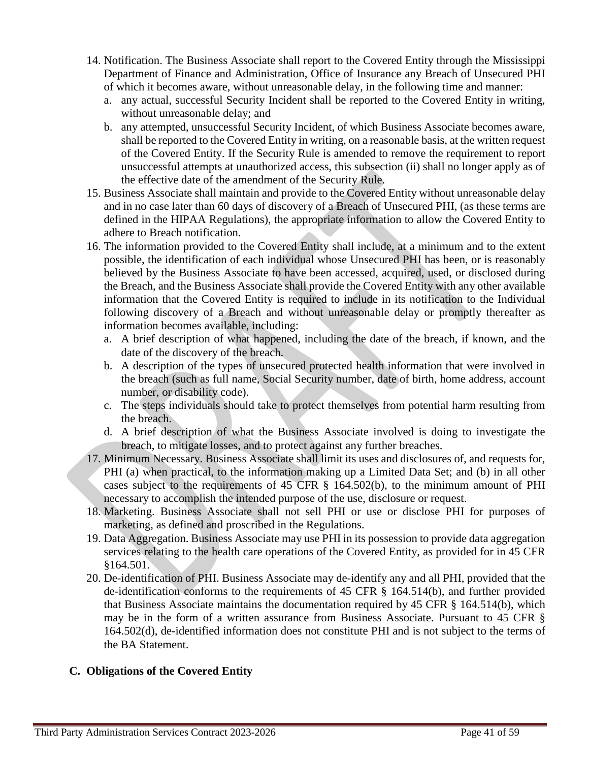- 14. Notification. The Business Associate shall report to the Covered Entity through the Mississippi Department of Finance and Administration, Office of Insurance any Breach of Unsecured PHI of which it becomes aware, without unreasonable delay, in the following time and manner:
	- a. any actual, successful Security Incident shall be reported to the Covered Entity in writing, without unreasonable delay; and
	- b. any attempted, unsuccessful Security Incident, of which Business Associate becomes aware, shall be reported to the Covered Entity in writing, on a reasonable basis, at the written request of the Covered Entity. If the Security Rule is amended to remove the requirement to report unsuccessful attempts at unauthorized access, this subsection (ii) shall no longer apply as of the effective date of the amendment of the Security Rule.
- 15. Business Associate shall maintain and provide to the Covered Entity without unreasonable delay and in no case later than 60 days of discovery of a Breach of Unsecured PHI, (as these terms are defined in the HIPAA Regulations), the appropriate information to allow the Covered Entity to adhere to Breach notification.
- 16. The information provided to the Covered Entity shall include, at a minimum and to the extent possible, the identification of each individual whose Unsecured PHI has been, or is reasonably believed by the Business Associate to have been accessed, acquired, used, or disclosed during the Breach, and the Business Associate shall provide the Covered Entity with any other available information that the Covered Entity is required to include in its notification to the Individual following discovery of a Breach and without unreasonable delay or promptly thereafter as information becomes available, including:
	- a. A brief description of what happened, including the date of the breach, if known, and the date of the discovery of the breach.
	- b. A description of the types of unsecured protected health information that were involved in the breach (such as full name, Social Security number, date of birth, home address, account number, or disability code).
	- c. The steps individuals should take to protect themselves from potential harm resulting from the breach.
	- d. A brief description of what the Business Associate involved is doing to investigate the breach, to mitigate losses, and to protect against any further breaches.
- 17. Minimum Necessary. Business Associate shall limit its uses and disclosures of, and requests for, PHI (a) when practical, to the information making up a Limited Data Set; and (b) in all other cases subject to the requirements of 45 CFR § 164.502(b), to the minimum amount of PHI necessary to accomplish the intended purpose of the use, disclosure or request.
- 18. Marketing. Business Associate shall not sell PHI or use or disclose PHI for purposes of marketing, as defined and proscribed in the Regulations.
- 19. Data Aggregation. Business Associate may use PHI in its possession to provide data aggregation services relating to the health care operations of the Covered Entity, as provided for in 45 CFR §164.501.
- 20. De-identification of PHI. Business Associate may de-identify any and all PHI, provided that the de-identification conforms to the requirements of 45 CFR § 164.514(b), and further provided that Business Associate maintains the documentation required by 45 CFR § 164.514(b), which may be in the form of a written assurance from Business Associate. Pursuant to 45 CFR § 164.502(d), de-identified information does not constitute PHI and is not subject to the terms of the BA Statement.

# **C. Obligations of the Covered Entity**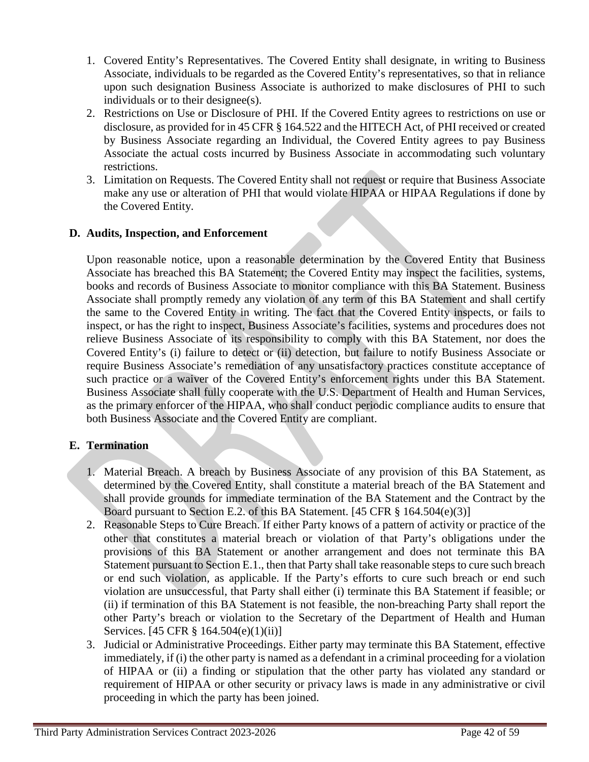- 1. Covered Entity's Representatives. The Covered Entity shall designate, in writing to Business Associate, individuals to be regarded as the Covered Entity's representatives, so that in reliance upon such designation Business Associate is authorized to make disclosures of PHI to such individuals or to their designee(s).
- 2. Restrictions on Use or Disclosure of PHI. If the Covered Entity agrees to restrictions on use or disclosure, as provided for in 45 CFR § 164.522 and the HITECH Act, of PHI received or created by Business Associate regarding an Individual, the Covered Entity agrees to pay Business Associate the actual costs incurred by Business Associate in accommodating such voluntary restrictions.
- 3. Limitation on Requests. The Covered Entity shall not request or require that Business Associate make any use or alteration of PHI that would violate HIPAA or HIPAA Regulations if done by the Covered Entity.

## **D. Audits, Inspection, and Enforcement**

Upon reasonable notice, upon a reasonable determination by the Covered Entity that Business Associate has breached this BA Statement; the Covered Entity may inspect the facilities, systems, books and records of Business Associate to monitor compliance with this BA Statement. Business Associate shall promptly remedy any violation of any term of this BA Statement and shall certify the same to the Covered Entity in writing. The fact that the Covered Entity inspects, or fails to inspect, or has the right to inspect, Business Associate's facilities, systems and procedures does not relieve Business Associate of its responsibility to comply with this BA Statement, nor does the Covered Entity's (i) failure to detect or (ii) detection, but failure to notify Business Associate or require Business Associate's remediation of any unsatisfactory practices constitute acceptance of such practice or a waiver of the Covered Entity's enforcement rights under this BA Statement. Business Associate shall fully cooperate with the U.S. Department of Health and Human Services, as the primary enforcer of the HIPAA, who shall conduct periodic compliance audits to ensure that both Business Associate and the Covered Entity are compliant.

## **E. Termination**

- 1. Material Breach. A breach by Business Associate of any provision of this BA Statement, as determined by the Covered Entity, shall constitute a material breach of the BA Statement and shall provide grounds for immediate termination of the BA Statement and the Contract by the Board pursuant to Section E.2. of this BA Statement. [45 CFR § 164.504(e)(3)]
- 2. Reasonable Steps to Cure Breach. If either Party knows of a pattern of activity or practice of the other that constitutes a material breach or violation of that Party's obligations under the provisions of this BA Statement or another arrangement and does not terminate this BA Statement pursuant to Section E.1., then that Party shall take reasonable steps to cure such breach or end such violation, as applicable. If the Party's efforts to cure such breach or end such violation are unsuccessful, that Party shall either (i) terminate this BA Statement if feasible; or (ii) if termination of this BA Statement is not feasible, the non-breaching Party shall report the other Party's breach or violation to the Secretary of the Department of Health and Human Services. [45 CFR § 164.504(e)(1)(ii)]
- 3. Judicial or Administrative Proceedings. Either party may terminate this BA Statement, effective immediately, if (i) the other party is named as a defendant in a criminal proceeding for a violation of HIPAA or (ii) a finding or stipulation that the other party has violated any standard or requirement of HIPAA or other security or privacy laws is made in any administrative or civil proceeding in which the party has been joined.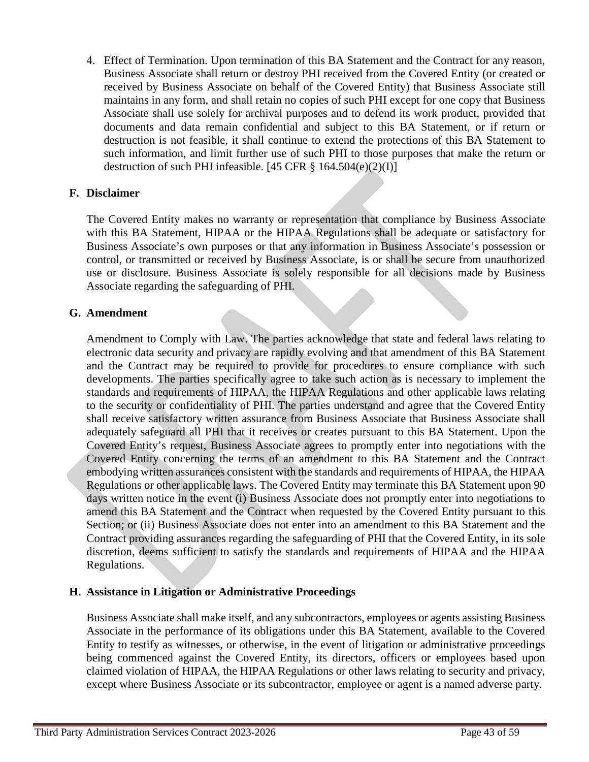4. Effect of Termination. Upon termination of this BA Statement and the Contract for any reason, Business Associate shall return or destroy PHI received from the Covered Entity (or created or received by Business Associate on behalf of the Covered Entity) that Business Associate still maintains in any form, and shall retain no copies of such PHI except for one copy that Business Associate shall use solely for archival purposes and to defend its work product, provided that documents and data remain confidential and subject to this BA Statement, or if return or destruction is not feasible, it shall continue to extend the protections of this BA Statement to such information, and limit further use of such PHI to those purposes that make the return or destruction of such PHI infeasible. [45 CFR  $\S$  164.504(e)(2)(I)]

## **F. Disclaimer**

The Covered Entity makes no warranty or representation that compliance by Business Associate with this BA Statement, HIPAA or the HIPAA Regulations shall be adequate or satisfactory for Business Associate's own purposes or that any information in Business Associate's possession or control, or transmitted or received by Business Associate, is or shall be secure from unauthorized use or disclosure. Business Associate is solely responsible for all decisions made by Business Associate regarding the safeguarding of PHI.

## **G. Amendment**

Amendment to Comply with Law. The parties acknowledge that state and federal laws relating to electronic data security and privacy are rapidly evolving and that amendment of this BA Statement and the Contract may be required to provide for procedures to ensure compliance with such developments. The parties specifically agree to take such action as is necessary to implement the standards and requirements of HIPAA, the HIPAA Regulations and other applicable laws relating to the security or confidentiality of PHI. The parties understand and agree that the Covered Entity shall receive satisfactory written assurance from Business Associate that Business Associate shall adequately safeguard all PHI that it receives or creates pursuant to this BA Statement. Upon the Covered Entity's request, Business Associate agrees to promptly enter into negotiations with the Covered Entity concerning the terms of an amendment to this BA Statement and the Contract embodying written assurances consistent with the standards and requirements of HIPAA, the HIPAA Regulations or other applicable laws. The Covered Entity may terminate this BA Statement upon 90 days written notice in the event (i) Business Associate does not promptly enter into negotiations to amend this BA Statement and the Contract when requested by the Covered Entity pursuant to this Section; or (ii) Business Associate does not enter into an amendment to this BA Statement and the Contract providing assurances regarding the safeguarding of PHI that the Covered Entity, in its sole discretion, deems sufficient to satisfy the standards and requirements of HIPAA and the HIPAA Regulations.

### **H. Assistance in Litigation or Administrative Proceedings**

Business Associate shall make itself, and any subcontractors, employees or agents assisting Business Associate in the performance of its obligations under this BA Statement, available to the Covered Entity to testify as witnesses, or otherwise, in the event of litigation or administrative proceedings being commenced against the Covered Entity, its directors, officers or employees based upon claimed violation of HIPAA, the HIPAA Regulations or other laws relating to security and privacy, except where Business Associate or its subcontractor, employee or agent is a named adverse party.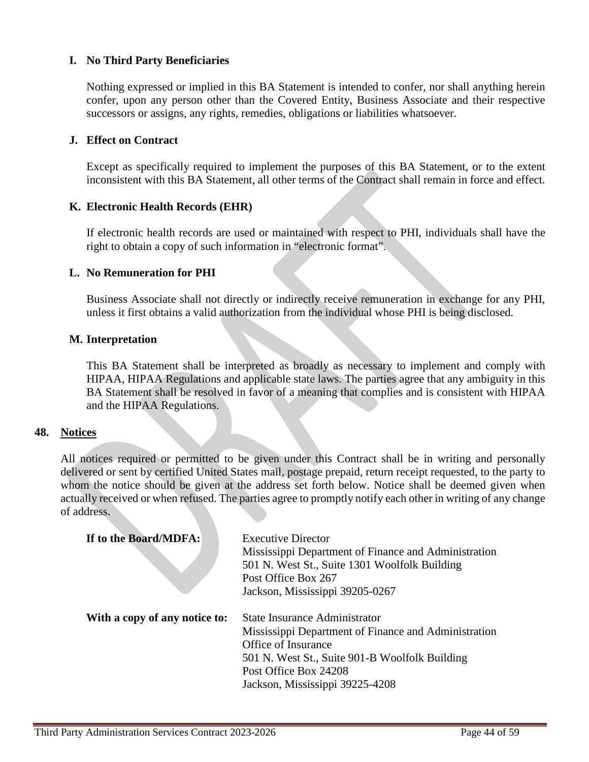## **I. No Third Party Beneficiaries**

Nothing expressed or implied in this BA Statement is intended to confer, nor shall anything herein confer, upon any person other than the Covered Entity, Business Associate and their respective successors or assigns, any rights, remedies, obligations or liabilities whatsoever.

## **J. Effect on Contract**

Except as specifically required to implement the purposes of this BA Statement, or to the extent inconsistent with this BA Statement, all other terms of the Contract shall remain in force and effect.

## **K. Electronic Health Records (EHR)**

If electronic health records are used or maintained with respect to PHI, individuals shall have the right to obtain a copy of such information in "electronic format".

### **L. No Remuneration for PHI**

Business Associate shall not directly or indirectly receive remuneration in exchange for any PHI, unless it first obtains a valid authorization from the individual whose PHI is being disclosed.

#### **M. Interpretation**

This BA Statement shall be interpreted as broadly as necessary to implement and comply with HIPAA, HIPAA Regulations and applicable state laws. The parties agree that any ambiguity in this BA Statement shall be resolved in favor of a meaning that complies and is consistent with HIPAA and the HIPAA Regulations.

### **48. Notices**

All notices required or permitted to be given under this Contract shall be in writing and personally delivered or sent by certified United States mail, postage prepaid, return receipt requested, to the party to whom the notice should be given at the address set forth below. Notice shall be deemed given when actually received or when refused. The parties agree to promptly notify each other in writing of any change of address.

| If to the Board/MDFA:         | <b>Executive Director</b><br>Mississippi Department of Finance and Administration<br>501 N. West St., Suite 1301 Woolfolk Building<br>Post Office Box 267<br>Jackson, Mississippi 39205-0267                                      |
|-------------------------------|-----------------------------------------------------------------------------------------------------------------------------------------------------------------------------------------------------------------------------------|
| With a copy of any notice to: | <b>State Insurance Administrator</b><br>Mississippi Department of Finance and Administration<br>Office of Insurance<br>501 N. West St., Suite 901-B Woolfolk Building<br>Post Office Box 24208<br>Jackson, Mississippi 39225-4208 |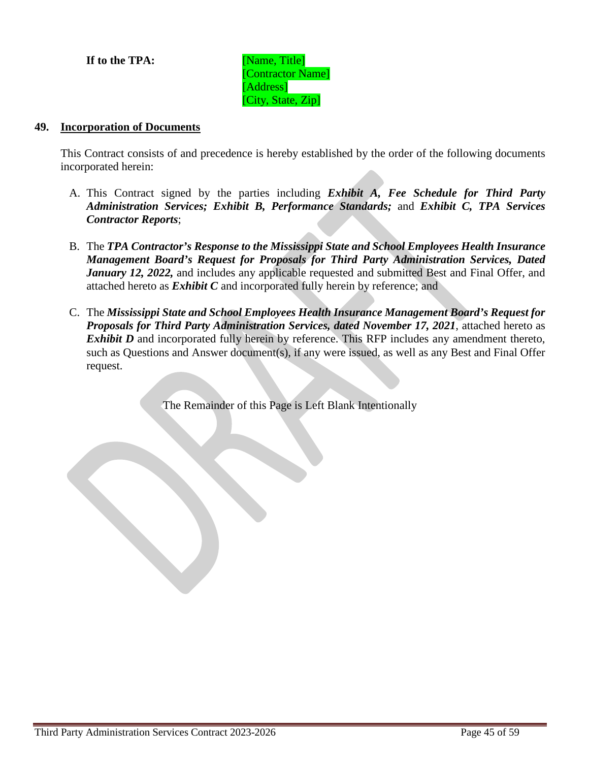**If to the TPA:** [Name, Title]

[Contractor Name] [Address] [City, State, Zip]

### **49. Incorporation of Documents**

This Contract consists of and precedence is hereby established by the order of the following documents incorporated herein:

- A. This Contract signed by the parties including *Exhibit A, Fee Schedule for Third Party Administration Services; Exhibit B, Performance Standards;* and *Exhibit C, TPA Services Contractor Reports*;
- B. The *TPA Contractor's Response to the Mississippi State and School Employees Health Insurance Management Board's Request for Proposals for Third Party Administration Services, Dated January 12, 2022*, and includes any applicable requested and submitted Best and Final Offer, and attached hereto as *Exhibit C* and incorporated fully herein by reference; and
- C. The *Mississippi State and School Employees Health Insurance Management Board's Request for Proposals for Third Party Administration Services, dated November 17, 2021*, attached hereto as *Exhibit D* and incorporated fully herein by reference. This RFP includes any amendment thereto, such as Questions and Answer document(s), if any were issued, as well as any Best and Final Offer request.

The Remainder of this Page is Left Blank Intentionally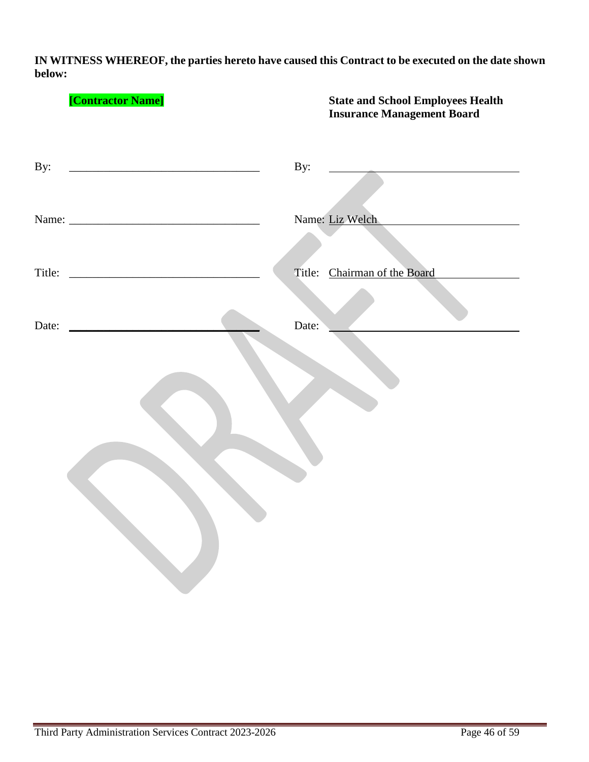**IN WITNESS WHEREOF, the parties hereto have caused this Contract to be executed on the date shown below:**

|     | [Contractor Name]                                                                                                     |       | <b>State and School Employees Health</b><br><b>Insurance Management Board</b> |
|-----|-----------------------------------------------------------------------------------------------------------------------|-------|-------------------------------------------------------------------------------|
| By: | <u> 2008 - Jan James James James James James James James James James James James James James James James James Ja</u> | By:   |                                                                               |
|     |                                                                                                                       |       | Name: Liz Welch                                                               |
|     |                                                                                                                       |       | Title: Chairman of the Board                                                  |
|     |                                                                                                                       | Date: |                                                                               |
|     |                                                                                                                       |       |                                                                               |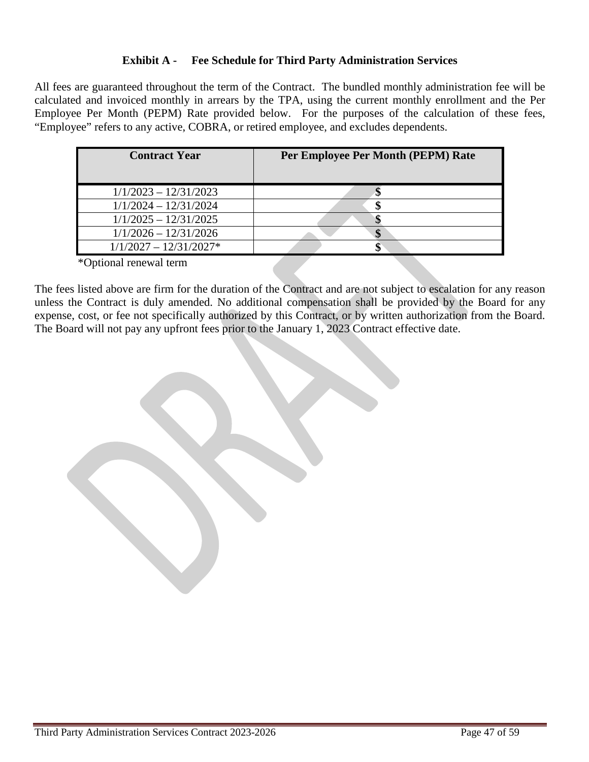# **Exhibit A - Fee Schedule for Third Party Administration Services**

All fees are guaranteed throughout the term of the Contract. The bundled monthly administration fee will be calculated and invoiced monthly in arrears by the TPA, using the current monthly enrollment and the Per Employee Per Month (PEPM) Rate provided below. For the purposes of the calculation of these fees, "Employee" refers to any active, COBRA, or retired employee, and excludes dependents.

| <b>Contract Year</b>     | Per Employee Per Month (PEPM) Rate |
|--------------------------|------------------------------------|
| $1/1/2023 - 12/31/2023$  |                                    |
| $1/1/2024 - 12/31/2024$  |                                    |
| $1/1/2025 - 12/31/2025$  |                                    |
| $1/1/2026 - 12/31/2026$  |                                    |
| $1/1/2027 - 12/31/2027*$ |                                    |

\*Optional renewal term

The fees listed above are firm for the duration of the Contract and are not subject to escalation for any reason unless the Contract is duly amended. No additional compensation shall be provided by the Board for any expense, cost, or fee not specifically authorized by this Contract, or by written authorization from the Board. The Board will not pay any upfront fees prior to the January 1, 2023 Contract effective date.

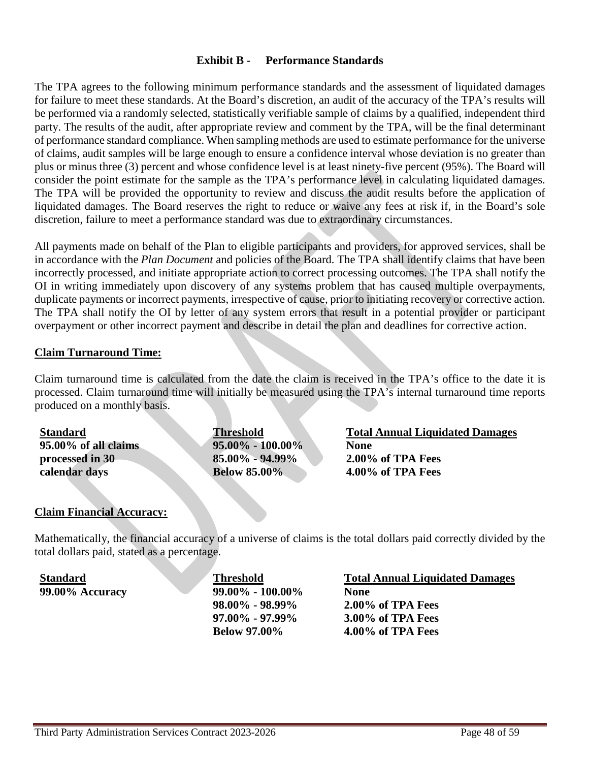## **Exhibit B - Performance Standards**

The TPA agrees to the following minimum performance standards and the assessment of liquidated damages for failure to meet these standards. At the Board's discretion, an audit of the accuracy of the TPA's results will be performed via a randomly selected, statistically verifiable sample of claims by a qualified, independent third party. The results of the audit, after appropriate review and comment by the TPA, will be the final determinant of performance standard compliance. When sampling methods are used to estimate performance for the universe of claims, audit samples will be large enough to ensure a confidence interval whose deviation is no greater than plus or minus three (3) percent and whose confidence level is at least ninety-five percent (95%). The Board will consider the point estimate for the sample as the TPA's performance level in calculating liquidated damages. The TPA will be provided the opportunity to review and discuss the audit results before the application of liquidated damages. The Board reserves the right to reduce or waive any fees at risk if, in the Board's sole discretion, failure to meet a performance standard was due to extraordinary circumstances.

All payments made on behalf of the Plan to eligible participants and providers, for approved services, shall be in accordance with the *Plan Document* and policies of the Board. The TPA shall identify claims that have been incorrectly processed, and initiate appropriate action to correct processing outcomes. The TPA shall notify the OI in writing immediately upon discovery of any systems problem that has caused multiple overpayments, duplicate payments or incorrect payments, irrespective of cause, prior to initiating recovery or corrective action. The TPA shall notify the OI by letter of any system errors that result in a potential provider or participant overpayment or other incorrect payment and describe in detail the plan and deadlines for corrective action.

## **Claim Turnaround Time:**

Claim turnaround time is calculated from the date the claim is received in the TPA's office to the date it is processed. Claim turnaround time will initially be measured using the TPA's internal turnaround time reports produced on a monthly basis.

**Standard 95.00% of all claims processed in 30 calendar days Threshold 95.00% - 100.00% 85.00% - 94.99% Below 85.00% Total Annual Liquidated Damages None 2.00% of TPA Fees 4.00% of TPA Fees**

### **Claim Financial Accuracy:**

Mathematically, the financial accuracy of a universe of claims is the total dollars paid correctly divided by the total dollars paid, stated as a percentage.

**Standard 99.00% Accuracy Threshold 99.00% - 100.00% 98.00% - 98.99% 97.00% - 97.99% Below 97.00% Total Annual Liquidated Damages None 2.00% of TPA Fees 3.00% of TPA Fees 4.00% of TPA Fees**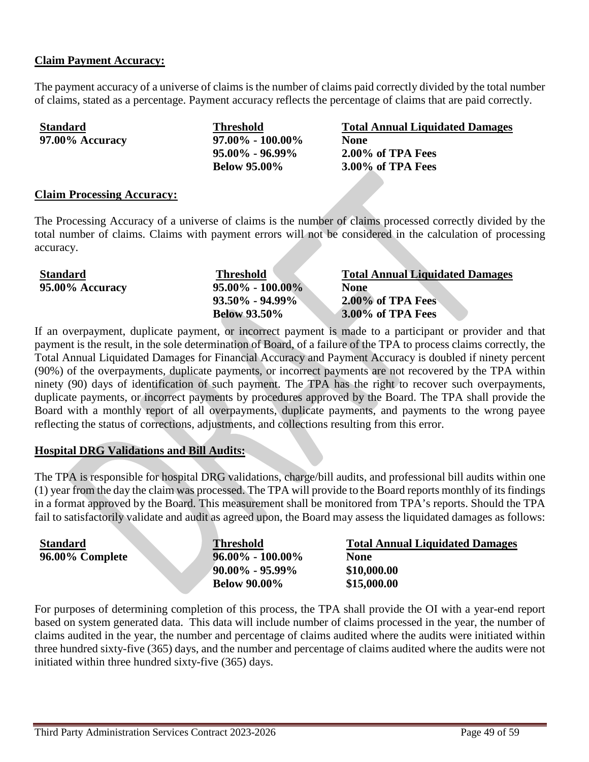## **Claim Payment Accuracy:**

The payment accuracy of a universe of claims is the number of claims paid correctly divided by the total number of claims, stated as a percentage. Payment accuracy reflects the percentage of claims that are paid correctly.

| <b>Standard</b> | <b>Threshold</b>      | <b>Total Annual Liquidated Damages</b> |
|-----------------|-----------------------|----------------------------------------|
| 97.00% Accuracy | $97.00\% - 100.00\%$  | <b>None</b>                            |
|                 | $95.00\%$ - $96.99\%$ | $2.00\%$ of TPA Fees                   |
|                 | <b>Below 95.00%</b>   | 3.00% of TPA Fees                      |

#### **Claim Processing Accuracy:**

The Processing Accuracy of a universe of claims is the number of claims processed correctly divided by the total number of claims. Claims with payment errors will not be considered in the calculation of processing accuracy.

| <b>Standard</b> | <b>Threshold</b>     | <b>Total Annual Liquidated Damages</b> |
|-----------------|----------------------|----------------------------------------|
| 95.00% Accuracy | $95.00\% - 100.00\%$ | None                                   |
|                 | $93.50\% - 94.99\%$  | 2.00% of TPA Fees                      |
|                 | <b>Below 93.50%</b>  | 3.00% of TPA Fees                      |

If an overpayment, duplicate payment, or incorrect payment is made to a participant or provider and that payment is the result, in the sole determination of Board, of a failure of the TPA to process claims correctly, the Total Annual Liquidated Damages for Financial Accuracy and Payment Accuracy is doubled if ninety percent (90%) of the overpayments, duplicate payments, or incorrect payments are not recovered by the TPA within ninety (90) days of identification of such payment. The TPA has the right to recover such overpayments, duplicate payments, or incorrect payments by procedures approved by the Board. The TPA shall provide the Board with a monthly report of all overpayments, duplicate payments, and payments to the wrong payee reflecting the status of corrections, adjustments, and collections resulting from this error.

### **Hospital DRG Validations and Bill Audits:**

The TPA is responsible for hospital DRG validations, charge/bill audits, and professional bill audits within one (1) year from the day the claim was processed. The TPA will provide to the Board reports monthly of its findings in a format approved by the Board. This measurement shall be monitored from TPA's reports. Should the TPA fail to satisfactorily validate and audit as agreed upon, the Board may assess the liquidated damages as follows:

| <b>Standard</b> | <b>Threshold</b>     | <b>Total Annual Liquidated Damages</b> |
|-----------------|----------------------|----------------------------------------|
| 96.00% Complete | $96.00\% - 100.00\%$ | None                                   |
|                 | $90.00\% - 95.99\%$  | \$10,000.00                            |
|                 | <b>Below 90.00%</b>  | \$15,000.00                            |

For purposes of determining completion of this process, the TPA shall provide the OI with a year-end report based on system generated data. This data will include number of claims processed in the year, the number of claims audited in the year, the number and percentage of claims audited where the audits were initiated within three hundred sixty-five (365) days, and the number and percentage of claims audited where the audits were not initiated within three hundred sixty-five (365) days.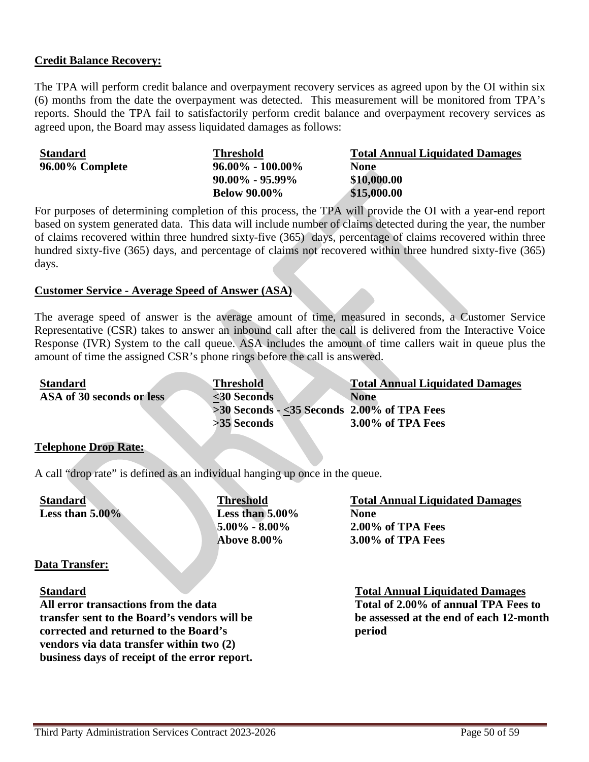## **Credit Balance Recovery:**

The TPA will perform credit balance and overpayment recovery services as agreed upon by the OI within six (6) months from the date the overpayment was detected. This measurement will be monitored from TPA's reports. Should the TPA fail to satisfactorily perform credit balance and overpayment recovery services as agreed upon, the Board may assess liquidated damages as follows:

| <b>Standard</b> | <b>Threshold</b>     | <b>Total Annual Liquidated Damages</b> |
|-----------------|----------------------|----------------------------------------|
| 96.00% Complete | $96.00\% - 100.00\%$ | <b>None</b>                            |
|                 | $90.00\%$ - 95.99%   | \$10,000.00                            |
|                 | <b>Below 90.00%</b>  | \$15,000.00                            |

For purposes of determining completion of this process, the TPA will provide the OI with a year-end report based on system generated data. This data will include number of claims detected during the year, the number of claims recovered within three hundred sixty-five (365) days, percentage of claims recovered within three hundred sixty-five (365) days, and percentage of claims not recovered within three hundred sixty-five (365) days.

### **Customer Service - Average Speed of Answer (ASA)**

The average speed of answer is the average amount of time, measured in seconds, a Customer Service Representative (CSR) takes to answer an inbound call after the call is delivered from the Interactive Voice Response (IVR) System to the call queue. ASA includes the amount of time callers wait in queue plus the amount of time the assigned CSR's phone rings before the call is answered.

| <b>Standard</b>           | <b>Threshold</b>                                | <b>Total Annual Liquidated Damages</b> |
|---------------------------|-------------------------------------------------|----------------------------------------|
| ASA of 30 seconds or less | $30$ Seconds                                    | <b>None</b>                            |
|                           | $>30$ Seconds $-$ <35 Seconds 2.00% of TPA Fees |                                        |
|                           | >35 Seconds                                     | 3.00% of TPA Fees                      |

### **Telephone Drop Rate:**

A call "drop rate" is defined as an individual hanging up once in the queue.

**Standard Less than 5.00%** **Threshold Less than 5.00% 5.00% - 8.00% Above 8.00%**

## **Total Annual Liquidated Damages None 2.00% of TPA Fees 3.00% of TPA Fees**

### **Data Transfer:**

#### **Standard**

**All error transactions from the data transfer sent to the Board's vendors will be corrected and returned to the Board's vendors via data transfer within two (2) business days of receipt of the error report.**

**Total Annual Liquidated Damages Total of 2.00% of annual TPA Fees to be assessed at the end of each 12-month period**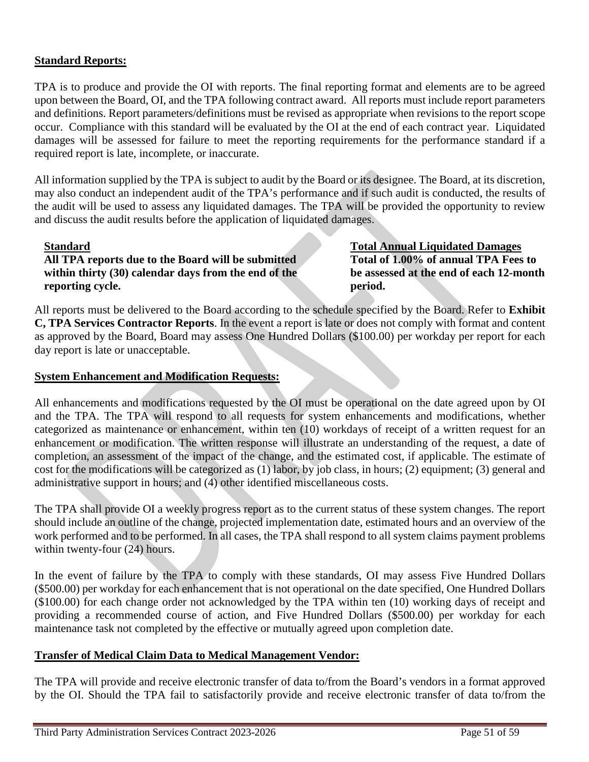# **Standard Reports:**

TPA is to produce and provide the OI with reports. The final reporting format and elements are to be agreed upon between the Board, OI, and the TPA following contract award. All reports must include report parameters and definitions. Report parameters/definitions must be revised as appropriate when revisions to the report scope occur. Compliance with this standard will be evaluated by the OI at the end of each contract year. Liquidated damages will be assessed for failure to meet the reporting requirements for the performance standard if a required report is late, incomplete, or inaccurate.

All information supplied by the TPA is subject to audit by the Board or its designee. The Board, at its discretion, may also conduct an independent audit of the TPA's performance and if such audit is conducted, the results of the audit will be used to assess any liquidated damages. The TPA will be provided the opportunity to review and discuss the audit results before the application of liquidated damages.

### **Standard**

**All TPA reports due to the Board will be submitted within thirty (30) calendar days from the end of the reporting cycle.**

**Total Annual Liquidated Damages Total of 1.00% of annual TPA Fees to be assessed at the end of each 12-month period.**

All reports must be delivered to the Board according to the schedule specified by the Board. Refer to **Exhibit C, TPA Services Contractor Reports**. In the event a report is late or does not comply with format and content as approved by the Board, Board may assess One Hundred Dollars (\$100.00) per workday per report for each day report is late or unacceptable.

## **System Enhancement and Modification Requests:**

All enhancements and modifications requested by the OI must be operational on the date agreed upon by OI and the TPA. The TPA will respond to all requests for system enhancements and modifications, whether categorized as maintenance or enhancement, within ten (10) workdays of receipt of a written request for an enhancement or modification. The written response will illustrate an understanding of the request, a date of completion, an assessment of the impact of the change, and the estimated cost, if applicable. The estimate of cost for the modifications will be categorized as (1) labor, by job class, in hours; (2) equipment; (3) general and administrative support in hours; and (4) other identified miscellaneous costs.

The TPA shall provide OI a weekly progress report as to the current status of these system changes. The report should include an outline of the change, projected implementation date, estimated hours and an overview of the work performed and to be performed. In all cases, the TPA shall respond to all system claims payment problems within twenty-four (24) hours.

In the event of failure by the TPA to comply with these standards, OI may assess Five Hundred Dollars (\$500.00) per workday for each enhancement that is not operational on the date specified, One Hundred Dollars (\$100.00) for each change order not acknowledged by the TPA within ten (10) working days of receipt and providing a recommended course of action, and Five Hundred Dollars (\$500.00) per workday for each maintenance task not completed by the effective or mutually agreed upon completion date.

### **Transfer of Medical Claim Data to Medical Management Vendor:**

The TPA will provide and receive electronic transfer of data to/from the Board's vendors in a format approved by the OI. Should the TPA fail to satisfactorily provide and receive electronic transfer of data to/from the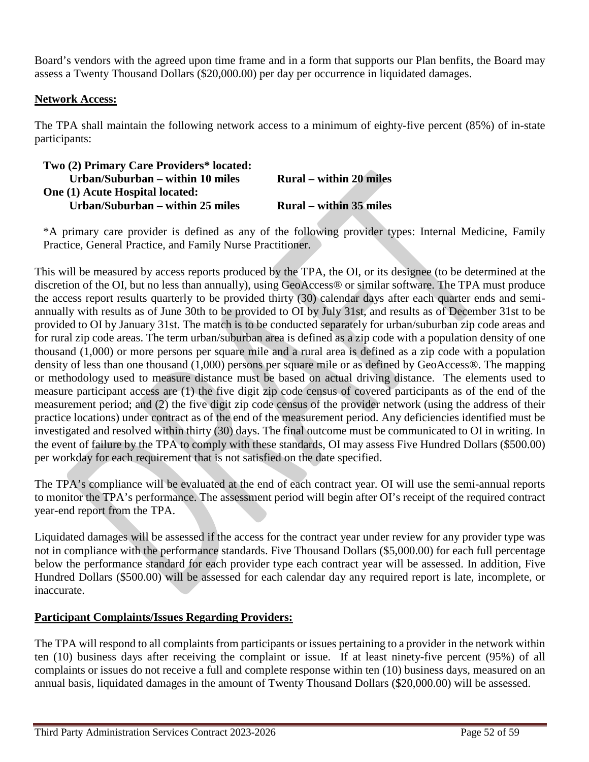Board's vendors with the agreed upon time frame and in a form that supports our Plan benfits, the Board may assess a Twenty Thousand Dollars (\$20,000.00) per day per occurrence in liquidated damages.

# **Network Access:**

The TPA shall maintain the following network access to a minimum of eighty-five percent (85%) of in-state participants:

| Two (2) Primary Care Providers* located: |                                |
|------------------------------------------|--------------------------------|
| Urban/Suburban – within 10 miles         | <b>Rural</b> – within 20 miles |
| <b>One (1) Acute Hospital located:</b>   |                                |
| Urban/Suburban – within 25 miles         | <b>Rural</b> – within 35 miles |

\*A primary care provider is defined as any of the following provider types: Internal Medicine, Family Practice, General Practice, and Family Nurse Practitioner.

This will be measured by access reports produced by the TPA, the OI, or its designee (to be determined at the discretion of the OI, but no less than annually), using GeoAccess® or similar software. The TPA must produce the access report results quarterly to be provided thirty (30) calendar days after each quarter ends and semiannually with results as of June 30th to be provided to OI by July 31st, and results as of December 31st to be provided to OI by January 31st. The match is to be conducted separately for urban/suburban zip code areas and for rural zip code areas. The term urban/suburban area is defined as a zip code with a population density of one thousand (1,000) or more persons per square mile and a rural area is defined as a zip code with a population density of less than one thousand (1,000) persons per square mile or as defined by GeoAccess®. The mapping or methodology used to measure distance must be based on actual driving distance. The elements used to measure participant access are (1) the five digit zip code census of covered participants as of the end of the measurement period; and (2) the five digit zip code census of the provider network (using the address of their practice locations) under contract as of the end of the measurement period. Any deficiencies identified must be investigated and resolved within thirty (30) days. The final outcome must be communicated to OI in writing. In the event of failure by the TPA to comply with these standards, OI may assess Five Hundred Dollars (\$500.00) per workday for each requirement that is not satisfied on the date specified.

The TPA's compliance will be evaluated at the end of each contract year. OI will use the semi-annual reports to monitor the TPA's performance. The assessment period will begin after OI's receipt of the required contract year-end report from the TPA.

Liquidated damages will be assessed if the access for the contract year under review for any provider type was not in compliance with the performance standards. Five Thousand Dollars (\$5,000.00) for each full percentage below the performance standard for each provider type each contract year will be assessed. In addition, Five Hundred Dollars (\$500.00) will be assessed for each calendar day any required report is late, incomplete, or inaccurate.

# **Participant Complaints/Issues Regarding Providers:**

The TPA will respond to all complaints from participants or issues pertaining to a provider in the network within ten (10) business days after receiving the complaint or issue. If at least ninety-five percent (95%) of all complaints or issues do not receive a full and complete response within ten (10) business days, measured on an annual basis, liquidated damages in the amount of Twenty Thousand Dollars (\$20,000.00) will be assessed.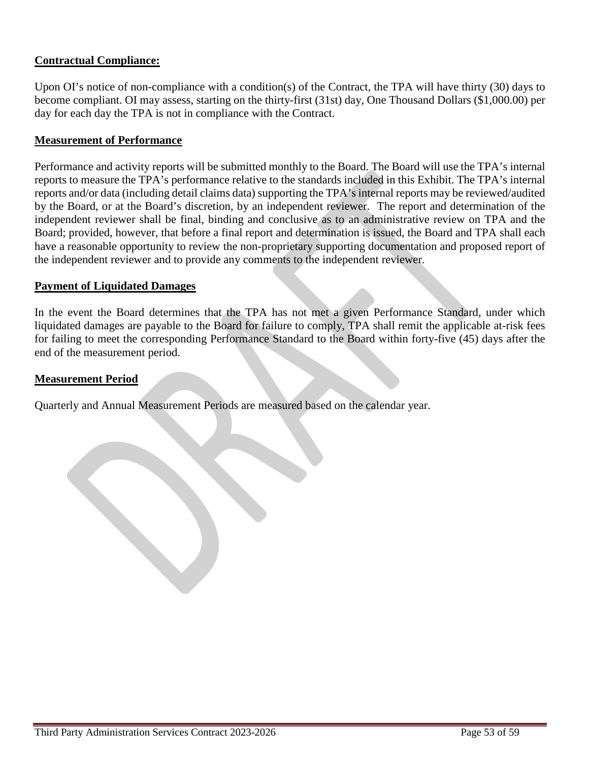# **Contractual Compliance:**

Upon OI's notice of non-compliance with a condition(s) of the Contract, the TPA will have thirty (30) days to become compliant. OI may assess, starting on the thirty-first (31st) day, One Thousand Dollars (\$1,000.00) per day for each day the TPA is not in compliance with the Contract.

### **Measurement of Performance**

Performance and activity reports will be submitted monthly to the Board. The Board will use the TPA's internal reports to measure the TPA's performance relative to the standards included in this Exhibit. The TPA's internal reports and/or data (including detail claims data) supporting the TPA's internal reports may be reviewed/audited by the Board, or at the Board's discretion, by an independent reviewer. The report and determination of the independent reviewer shall be final, binding and conclusive as to an administrative review on TPA and the Board; provided, however, that before a final report and determination is issued, the Board and TPA shall each have a reasonable opportunity to review the non-proprietary supporting documentation and proposed report of the independent reviewer and to provide any comments to the independent reviewer.

### **Payment of Liquidated Damages**

In the event the Board determines that the TPA has not met a given Performance Standard, under which liquidated damages are payable to the Board for failure to comply, TPA shall remit the applicable at-risk fees for failing to meet the corresponding Performance Standard to the Board within forty-five (45) days after the end of the measurement period.

### **Measurement Period**

Quarterly and Annual Measurement Periods are measured based on the calendar year.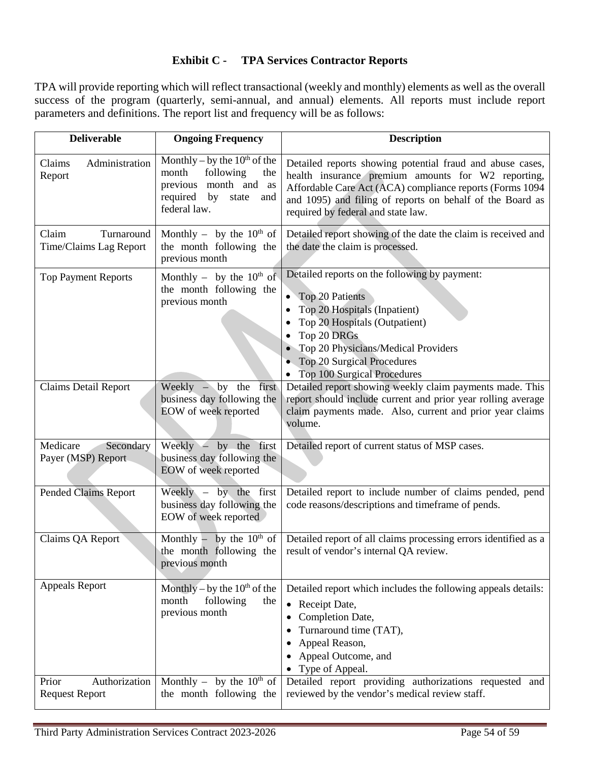# **Exhibit C - TPA Services Contractor Reports**

TPA will provide reporting which will reflect transactional (weekly and monthly) elements as well as the overall success of the program (quarterly, semi-annual, and annual) elements. All reports must include report parameters and definitions. The report list and frequency will be as follows:

| <b>Deliverable</b>                              | <b>Ongoing Frequency</b>                                                                                                            | <b>Description</b>                                                                                                                                                                                                                                                             |
|-------------------------------------------------|-------------------------------------------------------------------------------------------------------------------------------------|--------------------------------------------------------------------------------------------------------------------------------------------------------------------------------------------------------------------------------------------------------------------------------|
| Claims<br>Administration<br>Report              | Monthly – by the $10th$ of the<br>month<br>following<br>the<br>previous month and as<br>required by<br>state<br>and<br>federal law. | Detailed reports showing potential fraud and abuse cases,<br>health insurance premium amounts for W2 reporting,<br>Affordable Care Act (ACA) compliance reports (Forms 1094<br>and 1095) and filing of reports on behalf of the Board as<br>required by federal and state law. |
| Claim<br>Turnaround<br>Time/Claims Lag Report   | Monthly – by the $10^{th}$ of<br>the month following the<br>previous month                                                          | Detailed report showing of the date the claim is received and<br>the date the claim is processed.                                                                                                                                                                              |
| <b>Top Payment Reports</b>                      | Monthly – by the $10^{th}$ of<br>the month following the<br>previous month                                                          | Detailed reports on the following by payment:<br><b>Top 20 Patients</b><br>Top 20 Hospitals (Inpatient)<br>Top 20 Hospitals (Outpatient)<br>Top 20 DRGs<br>Top 20 Physicians/Medical Providers<br>Top 20 Surgical Procedures<br>• Top 100 Surgical Procedures                  |
| <b>Claims Detail Report</b>                     | Weekly $-$ by the first<br>business day following the<br>EOW of week reported                                                       | Detailed report showing weekly claim payments made. This<br>report should include current and prior year rolling average<br>claim payments made. Also, current and prior year claims<br>volume.                                                                                |
| Medicare<br>Secondary<br>Payer (MSP) Report     | Weekly $-$ by the first<br>business day following the<br>EOW of week reported                                                       | Detailed report of current status of MSP cases.                                                                                                                                                                                                                                |
| <b>Pended Claims Report</b>                     | Weekly $-$ by the first<br>business day following the<br>EOW of week reported                                                       | Detailed report to include number of claims pended, pend<br>code reasons/descriptions and timeframe of pends.                                                                                                                                                                  |
| Claims QA Report                                | Monthly – by the $10^{th}$ of<br>the month following the<br>previous month                                                          | Detailed report of all claims processing errors identified as a<br>result of vendor's internal QA review.                                                                                                                                                                      |
| <b>Appeals Report</b>                           | Monthly – by the $10^{th}$ of the<br>following<br>month<br>the<br>previous month                                                    | Detailed report which includes the following appeals details:<br>• Receipt Date,<br>Completion Date,<br>Turnaround time (TAT),<br>Appeal Reason,<br>Appeal Outcome, and<br>• Type of Appeal.                                                                                   |
| Authorization<br>Prior<br><b>Request Report</b> | Monthly – by the $10^{th}$ of<br>the month following the                                                                            | Detailed report providing authorizations requested and<br>reviewed by the vendor's medical review staff.                                                                                                                                                                       |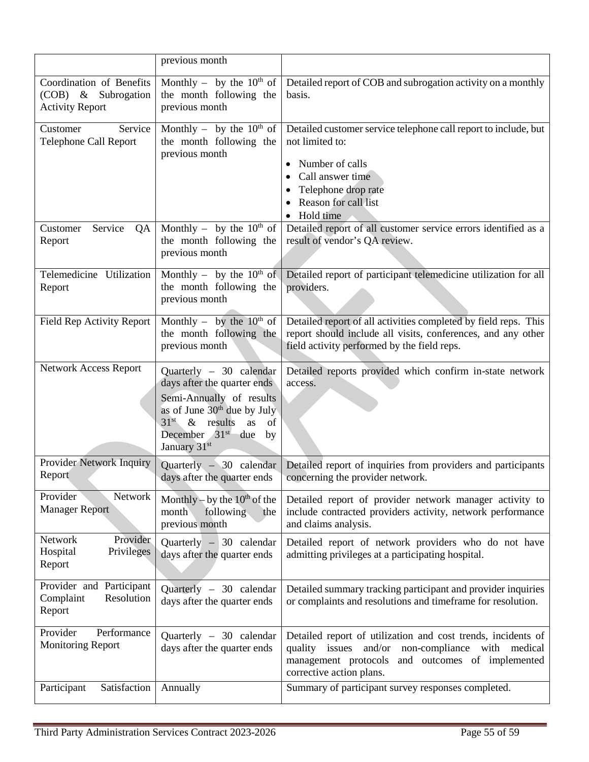|                                                                           | previous month                                                                                                                                                                                             |                                                                                                                                                                                                                     |
|---------------------------------------------------------------------------|------------------------------------------------------------------------------------------------------------------------------------------------------------------------------------------------------------|---------------------------------------------------------------------------------------------------------------------------------------------------------------------------------------------------------------------|
| Coordination of Benefits<br>(COB) & Subrogation<br><b>Activity Report</b> | Monthly – by the $10^{th}$ of<br>the month following the<br>previous month                                                                                                                                 | Detailed report of COB and subrogation activity on a monthly<br>basis.                                                                                                                                              |
| Service<br>Customer<br><b>Telephone Call Report</b>                       | Monthly – by the $10^{th}$ of<br>the month following the<br>previous month                                                                                                                                 | Detailed customer service telephone call report to include, but<br>not limited to:<br>Number of calls<br>Call answer time<br>Telephone drop rate<br>Reason for call list<br>Hold time                               |
| Service<br>Customer<br>QA<br>Report                                       | Monthly – by the $10^{th}$ of<br>the month following the<br>previous month                                                                                                                                 | Detailed report of all customer service errors identified as a<br>result of vendor's QA review.                                                                                                                     |
| Telemedicine Utilization<br>Report                                        | Monthly – by the $10^{th}$ of<br>the month following the<br>previous month                                                                                                                                 | Detailed report of participant telemedicine utilization for all<br>providers.                                                                                                                                       |
| Field Rep Activity Report                                                 | Monthly – by the $10^{th}$ of<br>the month following the<br>previous month                                                                                                                                 | Detailed report of all activities completed by field reps. This<br>report should include all visits, conferences, and any other<br>field activity performed by the field reps.                                      |
| Network Access Report                                                     | Quarterly - 30 calendar<br>days after the quarter ends<br>Semi-Annually of results<br>as of June 30 <sup>th</sup> due by July<br>$31st$ & results<br>as<br>of<br>December $31st$ due<br>by<br>January 31st | Detailed reports provided which confirm in-state network<br>access.                                                                                                                                                 |
| Provider Network Inquiry<br>Report                                        | Quarterly $-30$ calendar<br>days after the quarter ends                                                                                                                                                    | Detailed report of inquiries from providers and participants<br>concerning the provider network.                                                                                                                    |
| Provider<br>Network<br><b>Manager Report</b>                              | Monthly – by the $10^{th}$ of the<br>month<br>following<br>the<br>previous month                                                                                                                           | Detailed report of provider network manager activity to<br>include contracted providers activity, network performance<br>and claims analysis.                                                                       |
| Network<br>Provider<br>Hospital<br>Privileges<br>Report                   | Quarterly $-30$ calendar<br>days after the quarter ends                                                                                                                                                    | Detailed report of network providers who do not have<br>admitting privileges at a participating hospital.                                                                                                           |
| Provider and Participant<br>Complaint<br>Resolution<br>Report             | Quarterly - 30 calendar<br>days after the quarter ends                                                                                                                                                     | Detailed summary tracking participant and provider inquiries<br>or complaints and resolutions and timeframe for resolution.                                                                                         |
| Provider<br>Performance<br><b>Monitoring Report</b>                       | Quarterly - 30 calendar<br>days after the quarter ends                                                                                                                                                     | Detailed report of utilization and cost trends, incidents of<br>and/or<br>issues<br>non-compliance<br>with<br>quality<br>medical<br>management protocols<br>and outcomes of implemented<br>corrective action plans. |
| Satisfaction<br>Participant                                               | Annually                                                                                                                                                                                                   | Summary of participant survey responses completed.                                                                                                                                                                  |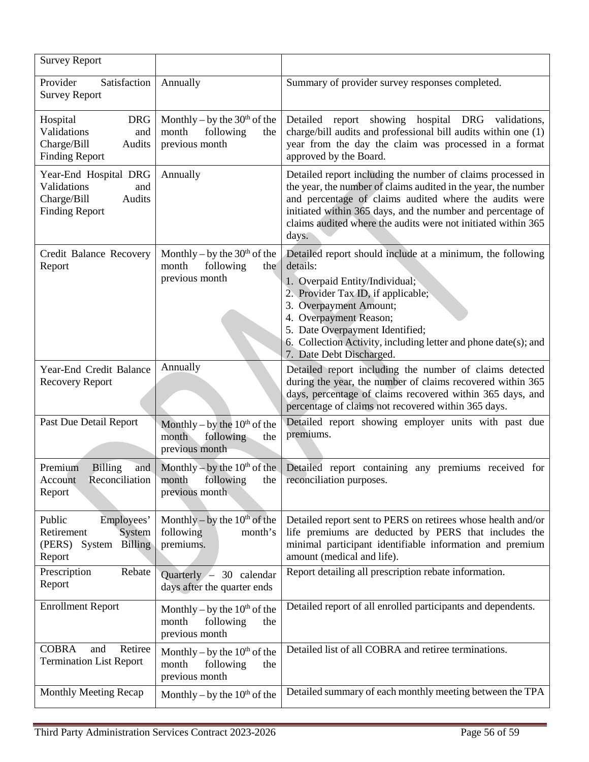| <b>Survey Report</b>                                                                           |                                                                                  |                                                                                                                                                                                                                                                                                                                                      |
|------------------------------------------------------------------------------------------------|----------------------------------------------------------------------------------|--------------------------------------------------------------------------------------------------------------------------------------------------------------------------------------------------------------------------------------------------------------------------------------------------------------------------------------|
| Provider<br>Satisfaction<br><b>Survey Report</b>                                               | Annually                                                                         | Summary of provider survey responses completed.                                                                                                                                                                                                                                                                                      |
| Hospital<br><b>DRG</b><br>Validations<br>and<br>Charge/Bill<br>Audits<br><b>Finding Report</b> | Monthly – by the $30th$ of the<br>month<br>following<br>the<br>previous month    | Detailed report showing hospital DRG validations,<br>charge/bill audits and professional bill audits within one (1)<br>year from the day the claim was processed in a format<br>approved by the Board.                                                                                                                               |
| Year-End Hospital DRG<br>Validations<br>and<br>Charge/Bill<br>Audits<br><b>Finding Report</b>  | Annually                                                                         | Detailed report including the number of claims processed in<br>the year, the number of claims audited in the year, the number<br>and percentage of claims audited where the audits were<br>initiated within 365 days, and the number and percentage of<br>claims audited where the audits were not initiated within 365<br>days.     |
| Credit Balance Recovery<br>Report                                                              | Monthly – by the $30th$ of the<br>month<br>following<br>the<br>previous month    | Detailed report should include at a minimum, the following<br>details:<br>1. Overpaid Entity/Individual;<br>2. Provider Tax ID, if applicable;<br>3. Overpayment Amount;<br>4. Overpayment Reason;<br>5. Date Overpayment Identified;<br>6. Collection Activity, including letter and phone date(s); and<br>7. Date Debt Discharged. |
| Year-End Credit Balance<br><b>Recovery Report</b>                                              | Annually                                                                         | Detailed report including the number of claims detected<br>during the year, the number of claims recovered within 365<br>days, percentage of claims recovered within 365 days, and<br>percentage of claims not recovered within 365 days.                                                                                            |
| Past Due Detail Report                                                                         | Monthly – by the $10^{th}$ of the<br>following<br>month<br>the<br>previous month | Detailed report showing employer units with past due<br>premiums.                                                                                                                                                                                                                                                                    |
| Premium<br><b>Billing</b><br>and<br>Reconciliation<br>Account<br>Report                        | Monthly – by the $10^{th}$ of the<br>following<br>month<br>the<br>previous month | Detailed report containing any premiums received for<br>reconciliation purposes.                                                                                                                                                                                                                                                     |
| Public<br>Employees'<br>Retirement<br>System<br>(PERS)<br>System<br><b>Billing</b><br>Report   | Monthly – by the $10^{th}$ of the<br>following<br>month's<br>premiums.           | Detailed report sent to PERS on retirees whose health and/or<br>life premiums are deducted by PERS that includes the<br>minimal participant identifiable information and premium<br>amount (medical and life).                                                                                                                       |
| Prescription<br>Rebate<br>Report                                                               | Quarterly $-30$ calendar<br>days after the quarter ends                          | Report detailing all prescription rebate information.                                                                                                                                                                                                                                                                                |
| <b>Enrollment Report</b>                                                                       | Monthly – by the $10th$ of the<br>month<br>following<br>the<br>previous month    | Detailed report of all enrolled participants and dependents.                                                                                                                                                                                                                                                                         |
| <b>COBRA</b><br>Retiree<br>and<br><b>Termination List Report</b>                               | Monthly – by the $10^{th}$ of the<br>month<br>following<br>the<br>previous month | Detailed list of all COBRA and retiree terminations.                                                                                                                                                                                                                                                                                 |
| Monthly Meeting Recap                                                                          | Monthly – by the $10th$ of the                                                   | Detailed summary of each monthly meeting between the TPA                                                                                                                                                                                                                                                                             |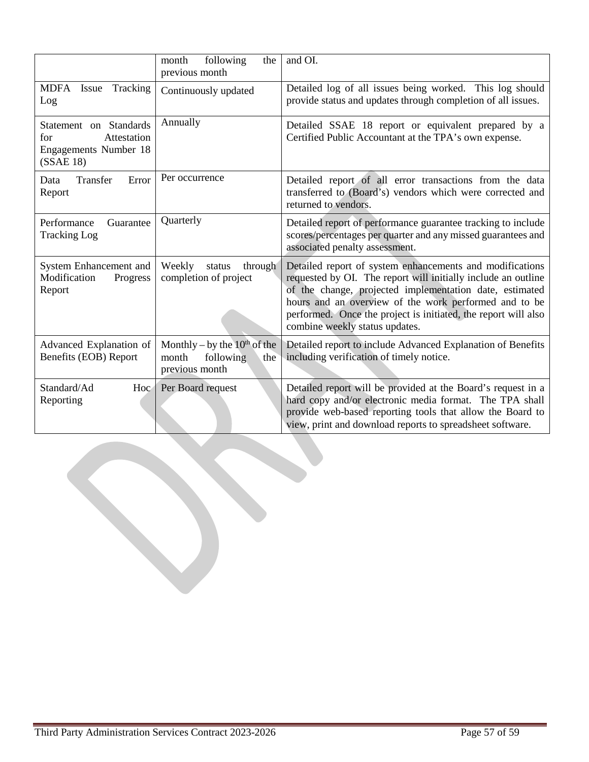|                                                                                          | following<br>month<br>the<br>previous month                                      | and OI.                                                                                                                                                                                                                                                                                                                                           |
|------------------------------------------------------------------------------------------|----------------------------------------------------------------------------------|---------------------------------------------------------------------------------------------------------------------------------------------------------------------------------------------------------------------------------------------------------------------------------------------------------------------------------------------------|
| <b>MDFA</b><br>Tracking<br>Issue<br>Log                                                  | Continuously updated                                                             | Detailed log of all issues being worked. This log should<br>provide status and updates through completion of all issues.                                                                                                                                                                                                                          |
| Statement on Standards<br>for<br>Attestation<br><b>Engagements Number 18</b><br>(SSAE18) | Annually                                                                         | Detailed SSAE 18 report or equivalent prepared by a<br>Certified Public Accountant at the TPA's own expense.                                                                                                                                                                                                                                      |
| Transfer<br>Error<br>Data<br>Report                                                      | Per occurrence                                                                   | Detailed report of all error transactions from the data<br>transferred to (Board's) vendors which were corrected and<br>returned to vendors.                                                                                                                                                                                                      |
| Performance<br>Guarantee<br><b>Tracking Log</b>                                          | Quarterly                                                                        | Detailed report of performance guarantee tracking to include<br>scores/percentages per quarter and any missed guarantees and<br>associated penalty assessment.                                                                                                                                                                                    |
| System Enhancement and<br>Modification<br>Progress<br>Report                             | Weekly<br>status<br>through<br>completion of project                             | Detailed report of system enhancements and modifications<br>requested by OI. The report will initially include an outline<br>of the change, projected implementation date, estimated<br>hours and an overview of the work performed and to be<br>performed. Once the project is initiated, the report will also<br>combine weekly status updates. |
| Advanced Explanation of<br>Benefits (EOB) Report                                         | Monthly – by the $10^{th}$ of the<br>month<br>following<br>the<br>previous month | Detailed report to include Advanced Explanation of Benefits<br>including verification of timely notice.                                                                                                                                                                                                                                           |
| Standard/Ad<br>Hoc<br>Reporting                                                          | Per Board request                                                                | Detailed report will be provided at the Board's request in a<br>hard copy and/or electronic media format. The TPA shall<br>provide web-based reporting tools that allow the Board to<br>view, print and download reports to spreadsheet software.                                                                                                 |

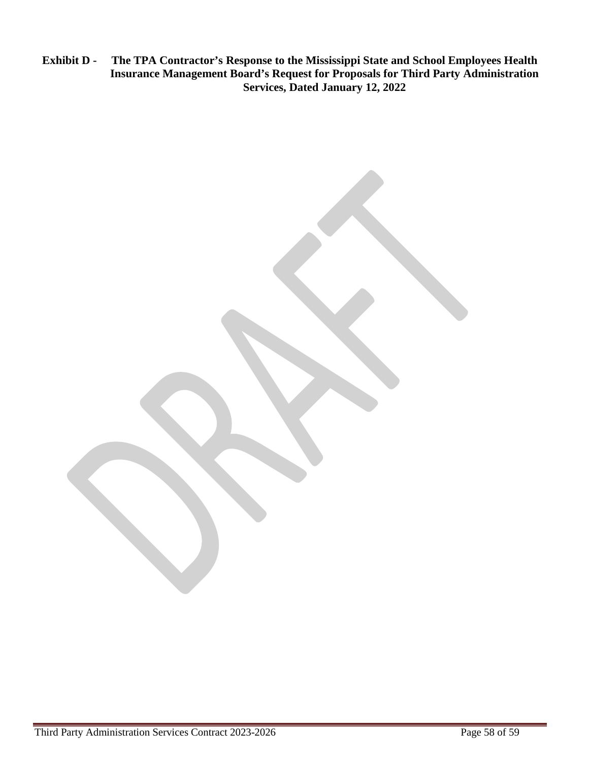**Exhibit D - The TPA Contractor's Response to the Mississippi State and School Employees Health Insurance Management Board's Request for Proposals for Third Party Administration Services, Dated January 12, 2022**